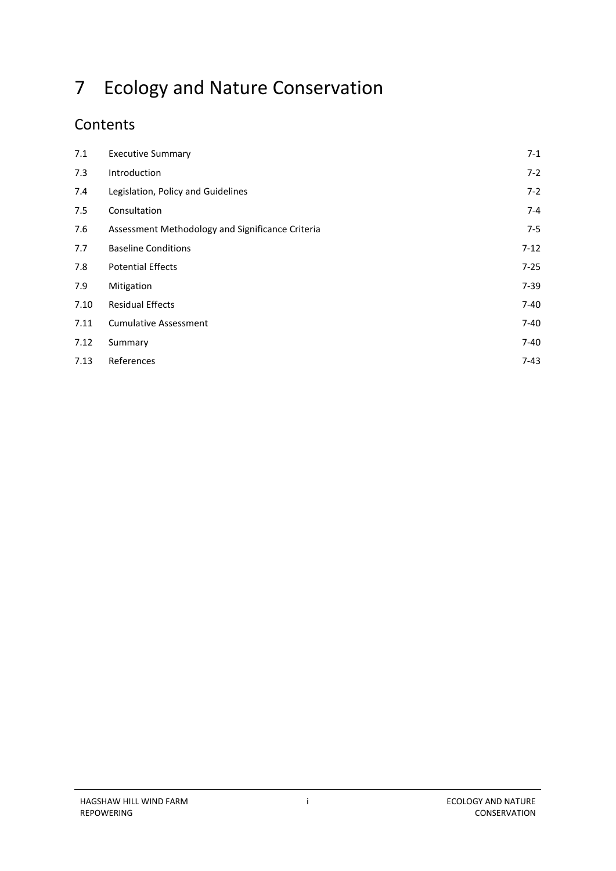# 7 Ecology and Nature Conservation

# **Contents**

| 7.1  | <b>Executive Summary</b>                         | $7-1$    |
|------|--------------------------------------------------|----------|
| 7.3  | Introduction                                     | $7 - 2$  |
| 7.4  | Legislation, Policy and Guidelines               | $7 - 2$  |
| 7.5  | Consultation                                     | $7 - 4$  |
| 7.6  | Assessment Methodology and Significance Criteria | $7-5$    |
| 7.7  | <b>Baseline Conditions</b>                       | $7-12$   |
| 7.8  | <b>Potential Effects</b>                         | $7 - 25$ |
| 7.9  | Mitigation                                       | $7-39$   |
| 7.10 | <b>Residual Effects</b>                          | $7 - 40$ |
| 7.11 | <b>Cumulative Assessment</b>                     | 7-40     |
| 7.12 | Summary                                          | 7-40     |
| 7.13 | References                                       | $7-43$   |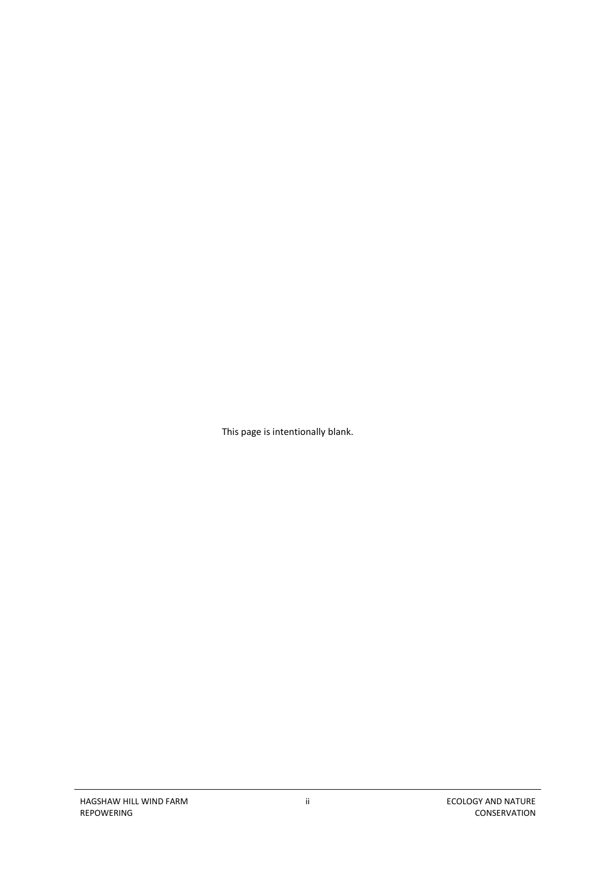This page is intentionally blank.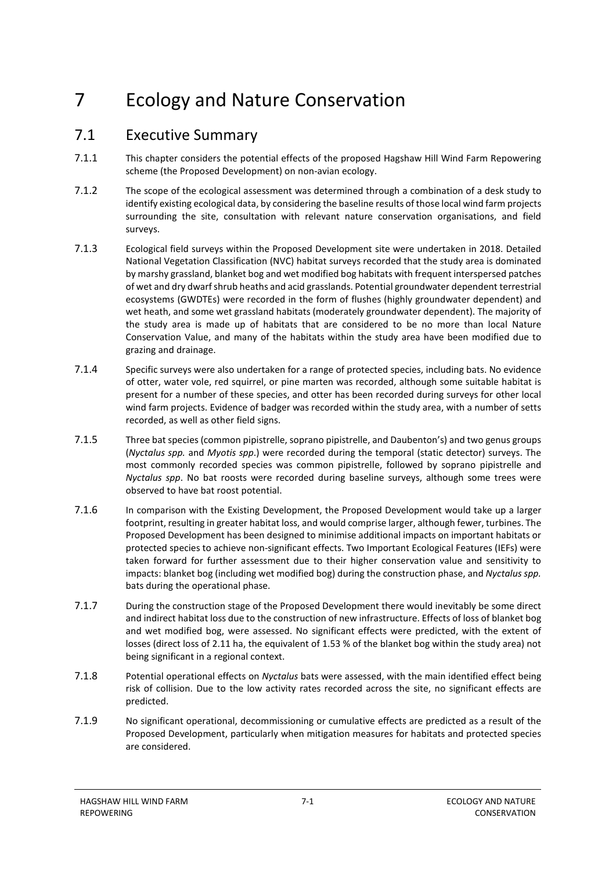# 7 Ecology and Nature Conservation

# <span id="page-2-0"></span>7.1 Executive Summary

- 7.1.1 This chapter considers the potential effects of the proposed Hagshaw Hill Wind Farm Repowering scheme (the Proposed Development) on non-avian ecology.
- 7.1.2 The scope of the ecological assessment was determined through a combination of a desk study to identify existing ecological data, by considering the baseline results of those local wind farm projects surrounding the site, consultation with relevant nature conservation organisations, and field surveys.
- 7.1.3 Ecological field surveys within the Proposed Development site were undertaken in 2018. Detailed National Vegetation Classification (NVC) habitat surveys recorded that the study area is dominated by marshy grassland, blanket bog and wet modified bog habitats with frequent interspersed patches of wet and dry dwarf shrub heaths and acid grasslands. Potential groundwater dependent terrestrial ecosystems (GWDTEs) were recorded in the form of flushes (highly groundwater dependent) and wet heath, and some wet grassland habitats (moderately groundwater dependent). The majority of the study area is made up of habitats that are considered to be no more than local Nature Conservation Value, and many of the habitats within the study area have been modified due to grazing and drainage.
- 7.1.4 Specific surveys were also undertaken for a range of protected species, including bats. No evidence of otter, water vole, red squirrel, or pine marten was recorded, although some suitable habitat is present for a number of these species, and otter has been recorded during surveys for other local wind farm projects. Evidence of badger was recorded within the study area, with a number of setts recorded, as well as other field signs.
- 7.1.5 Three bat species (common pipistrelle, soprano pipistrelle, and Daubenton's) and two genus groups (*Nyctalus spp.* and *Myotis spp*.) were recorded during the temporal (static detector) surveys. The most commonly recorded species was common pipistrelle, followed by soprano pipistrelle and *Nyctalus spp*. No bat roosts were recorded during baseline surveys, although some trees were observed to have bat roost potential.
- 7.1.6 In comparison with the Existing Development, the Proposed Development would take up a larger footprint, resulting in greater habitat loss, and would comprise larger, although fewer, turbines. The Proposed Development has been designed to minimise additional impacts on important habitats or protected species to achieve non-significant effects. Two Important Ecological Features (IEFs) were taken forward for further assessment due to their higher conservation value and sensitivity to impacts: blanket bog (including wet modified bog) during the construction phase, and *Nyctalus spp.*  bats during the operational phase.
- 7.1.7 During the construction stage of the Proposed Development there would inevitably be some direct and indirect habitat loss due to the construction of new infrastructure. Effects of loss of blanket bog and wet modified bog, were assessed. No significant effects were predicted, with the extent of losses (direct loss of 2.11 ha, the equivalent of 1.53 % of the blanket bog within the study area) not being significant in a regional context.
- 7.1.8 Potential operational effects on *Nyctalus* bats were assessed, with the main identified effect being risk of collision. Due to the low activity rates recorded across the site, no significant effects are predicted.
- 7.1.9 No significant operational, decommissioning or cumulative effects are predicted as a result of the Proposed Development, particularly when mitigation measures for habitats and protected species are considered.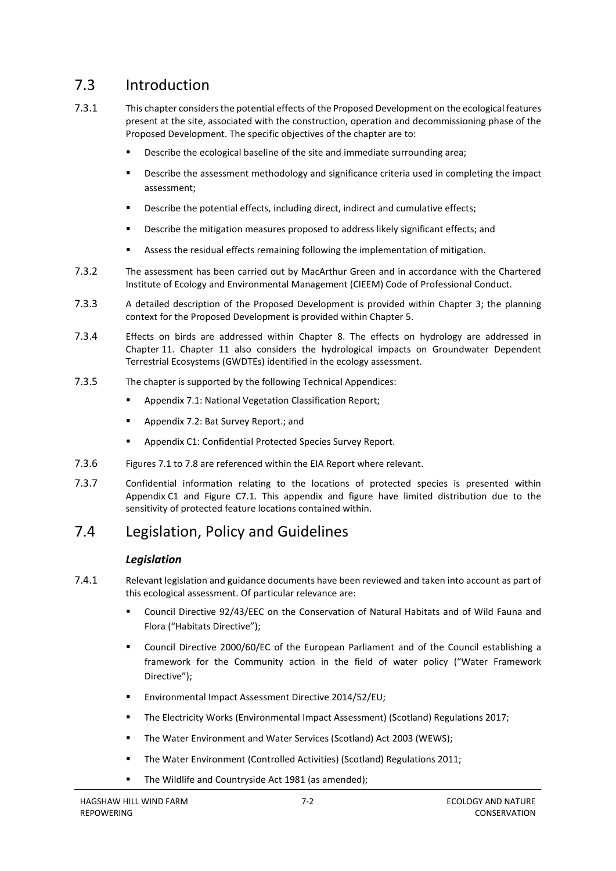# <span id="page-3-0"></span>7.3 Introduction

- 7.3.1 This chapter considers the potential effects of the Proposed Development on the ecological features present at the site, associated with the construction, operation and decommissioning phase of the Proposed Development. The specific objectives of the chapter are to:
	- Describe the ecological baseline of the site and immediate surrounding area;
	- **•** Describe the assessment methodology and significance criteria used in completing the impact assessment;
	- Describe the potential effects, including direct, indirect and cumulative effects;
	- Describe the mitigation measures proposed to address likely significant effects; and
	- Assess the residual effects remaining following the implementation of mitigation.
- 7.3.2 The assessment has been carried out by MacArthur Green and in accordance with the Chartered Institute of Ecology and Environmental Management (CIEEM) Code of Professional Conduct.
- 7.3.3 A detailed description of the Proposed Development is provided within Chapter 3; the planning context for the Proposed Development is provided within Chapter 5.
- 7.3.4 Effects on birds are addressed within Chapter 8. The effects on hydrology are addressed in Chapter 11. Chapter 11 also considers the hydrological impacts on Groundwater Dependent Terrestrial Ecosystems (GWDTEs) identified in the ecology assessment.
- 7.3.5 The chapter is supported by the following Technical Appendices:
	- Appendix 7.1: National Vegetation Classification Report;
	- **Appendix 7.2: Bat Survey Report.; and**
	- Appendix C1: Confidential Protected Species Survey Report.
- 7.3.6 Figures 7.1 to 7.8 are referenced within the EIA Report where relevant.
- 7.3.7 Confidential information relating to the locations of protected species is presented within Appendix C1 and Figure C7.1. This appendix and figure have limited distribution due to the sensitivity of protected feature locations contained within.

# <span id="page-3-1"></span>7.4 Legislation, Policy and Guidelines

### *Legislation*

- 7.4.1 Relevant legislation and guidance documents have been reviewed and taken into account as part of this ecological assessment. Of particular relevance are:
	- Council Directive 92/43/EEC on the Conservation of Natural Habitats and of Wild Fauna and Flora ("Habitats Directive");
	- Council Directive 2000/60/EC of the European Parliament and of the Council establishing a framework for the Community action in the field of water policy ("Water Framework Directive");
	- Environmental Impact Assessment Directive 2014/52/EU;
	- The Electricity Works (Environmental Impact Assessment) (Scotland) Regulations 2017;
	- The Water Environment and Water Services (Scotland) Act 2003 (WEWS);
	- **The Water Environment (Controlled Activities) (Scotland) Regulations 2011;**
	- The Wildlife and Countryside Act 1981 (as amended);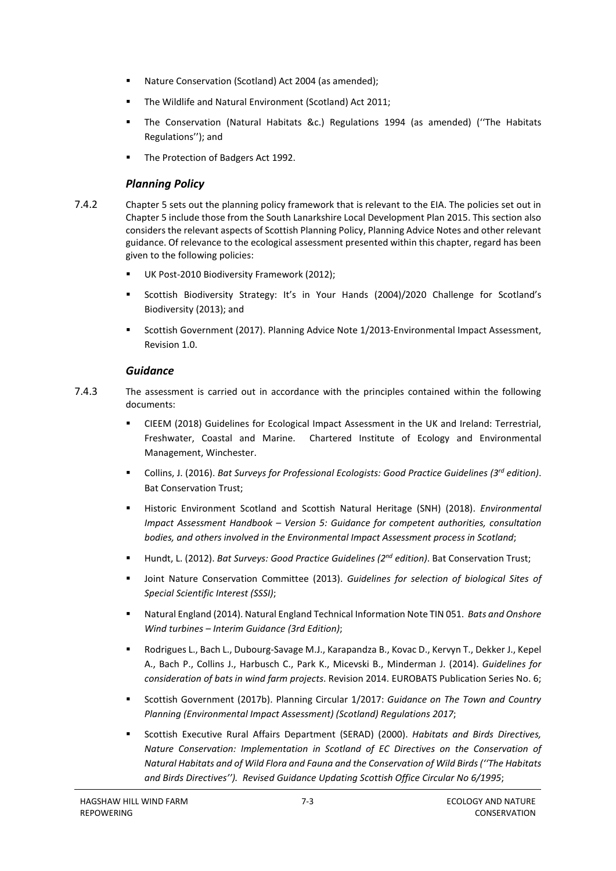- Nature Conservation (Scotland) Act 2004 (as amended);
- The Wildlife and Natural Environment (Scotland) Act 2011;
- The Conservation (Natural Habitats &c.) Regulations 1994 (as amended) (''The Habitats Regulations''); and
- The Protection of Badgers Act 1992.

#### *Planning Policy*

- 7.4.2 Chapter 5 sets out the planning policy framework that is relevant to the EIA. The policies set out in Chapter 5 include those from the South Lanarkshire Local Development Plan 2015. This section also considers the relevant aspects of Scottish Planning Policy, Planning Advice Notes and other relevant guidance. Of relevance to the ecological assessment presented within this chapter, regard has been given to the following policies:
	- UK Post-2010 Biodiversity Framework (2012);
	- Scottish Biodiversity Strategy: It's in Your Hands (2004)/2020 Challenge for Scotland's Biodiversity (2013); and
	- Scottish Government (2017). Planning Advice Note 1/2013-Environmental Impact Assessment, Revision 1.0.

#### *Guidance*

- 7.4.3 The assessment is carried out in accordance with the principles contained within the following documents:
	- CIEEM (2018) Guidelines for Ecological Impact Assessment in the UK and Ireland: Terrestrial, Freshwater, Coastal and Marine. Chartered Institute of Ecology and Environmental Management, Winchester.
	- Collins, J. (2016). *Bat Surveys for Professional Ecologists: Good Practice Guidelines (3rd edition)*. Bat Conservation Trust;
	- Historic Environment Scotland and Scottish Natural Heritage (SNH) (2018). *Environmental Impact Assessment Handbook – Version 5: Guidance for competent authorities, consultation bodies, and others involved in the Environmental Impact Assessment process in Scotland*;
	- Hundt, L. (2012). *Bat Surveys: Good Practice Guidelines (2nd edition)*. Bat Conservation Trust;
	- Joint Nature Conservation Committee (2013). *Guidelines for selection of biological Sites of Special Scientific Interest (SSSI)*;
	- Natural England (2014). Natural England Technical Information Note TIN 051. *Bats and Onshore Wind turbines – Interim Guidance (3rd Edition)*;
	- Rodrigues L., Bach L., Dubourg-Savage M.J., Karapandza B., Kovac D., Kervyn T., Dekker J., Kepel A., Bach P., Collins J., Harbusch C., Park K., Micevski B., Minderman J. (2014). *Guidelines for consideration of bats in wind farm projects*. Revision 2014. EUROBATS Publication Series No. 6;
	- Scottish Government (2017b). Planning Circular 1/2017: *Guidance on The Town and Country Planning (Environmental Impact Assessment) (Scotland) Regulations 2017*;
	- Scottish Executive Rural Affairs Department (SERAD) (2000). *Habitats and Birds Directives, Nature Conservation: Implementation in Scotland of EC Directives on the Conservation of Natural Habitats and of Wild Flora and Fauna and the Conservation of Wild Birds (''The Habitats and Birds Directives''). Revised Guidance Updating Scottish Office Circular No 6/1995*;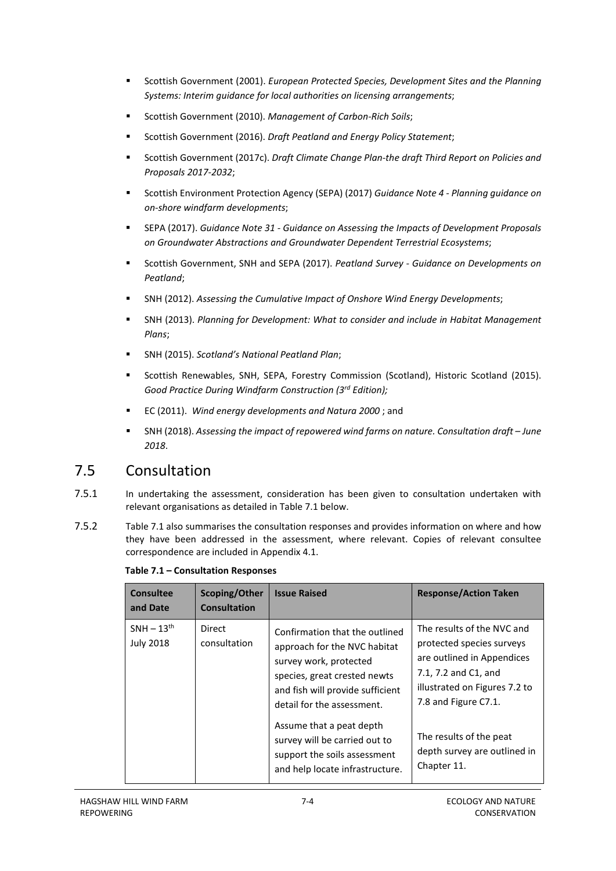- Scottish Government (2001). *European Protected Species, Development Sites and the Planning Systems: Interim guidance for local authorities on licensing arrangements*;
- Scottish Government (2010). *Management of Carbon-Rich Soils*;
- Scottish Government (2016). *Draft Peatland and Energy Policy Statement*;
- Scottish Government (2017c). *Draft Climate Change Plan-the draft Third Report on Policies and Proposals 2017-2032*;
- Scottish Environment Protection Agency (SEPA) (2017) *Guidance Note 4 - Planning guidance on on-shore windfarm developments*;
- SEPA (2017). *Guidance Note 31 - Guidance on Assessing the Impacts of Development Proposals on Groundwater Abstractions and Groundwater Dependent Terrestrial Ecosystems*;
- Scottish Government, SNH and SEPA (2017). *Peatland Survey - Guidance on Developments on Peatland*;
- SNH (2012). *Assessing the Cumulative Impact of Onshore Wind Energy Developments*;
- SNH (2013). *Planning for Development: What to consider and include in Habitat Management Plans*;
- SNH (2015). *Scotland's National Peatland Plan*;
- Scottish Renewables, SNH, SEPA, Forestry Commission (Scotland), Historic Scotland (2015). *Good Practice During Windfarm Construction (3rd Edition);*
- EC (2011). *Wind energy developments and Natura 2000* ; and
- SNH (2018). *Assessing the impact of repowered wind farms on nature. Consultation draft – June 2018*.

# <span id="page-5-0"></span>7.5 Consultation

- 7.5.1 In undertaking the assessment, consideration has been given to consultation undertaken with relevant organisations as detailed in Table 7.1 below.
- 7.5.2 Table 7.1 also summarises the consultation responses and provides information on where and how they have been addressed in the assessment, where relevant. Copies of relevant consultee correspondence are included in Appendix 4.1.

| <b>Consultee</b><br>and Date     | Scoping/Other<br><b>Consultation</b> | <b>Issue Raised</b>                                                                                                                                                                        | <b>Response/Action Taken</b>                                                                                                                                           |
|----------------------------------|--------------------------------------|--------------------------------------------------------------------------------------------------------------------------------------------------------------------------------------------|------------------------------------------------------------------------------------------------------------------------------------------------------------------------|
| $SNH - 13th$<br><b>July 2018</b> | <b>Direct</b><br>consultation        | Confirmation that the outlined<br>approach for the NVC habitat<br>survey work, protected<br>species, great crested newts<br>and fish will provide sufficient<br>detail for the assessment. | The results of the NVC and<br>protected species surveys<br>are outlined in Appendices<br>7.1, 7.2 and C1, and<br>illustrated on Figures 7.2 to<br>7.8 and Figure C7.1. |
|                                  |                                      | Assume that a peat depth<br>survey will be carried out to<br>support the soils assessment<br>and help locate infrastructure.                                                               | The results of the peat<br>depth survey are outlined in<br>Chapter 11.                                                                                                 |

**Table 7.1 – Consultation Responses**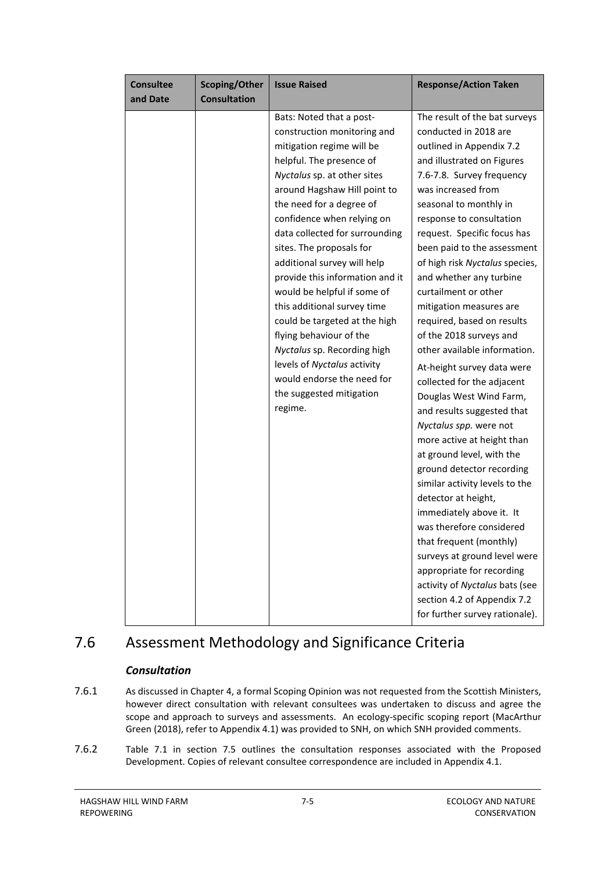| <b>Consultee</b><br>and Date | <b>Scoping/Other</b><br><b>Consultation</b> | <b>Issue Raised</b>                                                                                                                                                                                                                                                                                                                                                                                                                                                                                                                                                                                                                    | <b>Response/Action Taken</b>                                                                                                                                                                                                                                                                                                                                                                                                                                                                                                                                                                                                                                                                                                                                                                                                                                                                                                                                                       |
|------------------------------|---------------------------------------------|----------------------------------------------------------------------------------------------------------------------------------------------------------------------------------------------------------------------------------------------------------------------------------------------------------------------------------------------------------------------------------------------------------------------------------------------------------------------------------------------------------------------------------------------------------------------------------------------------------------------------------------|------------------------------------------------------------------------------------------------------------------------------------------------------------------------------------------------------------------------------------------------------------------------------------------------------------------------------------------------------------------------------------------------------------------------------------------------------------------------------------------------------------------------------------------------------------------------------------------------------------------------------------------------------------------------------------------------------------------------------------------------------------------------------------------------------------------------------------------------------------------------------------------------------------------------------------------------------------------------------------|
|                              |                                             | Bats: Noted that a post-<br>construction monitoring and<br>mitigation regime will be<br>helpful. The presence of<br>Nyctalus sp. at other sites<br>around Hagshaw Hill point to<br>the need for a degree of<br>confidence when relying on<br>data collected for surrounding<br>sites. The proposals for<br>additional survey will help<br>provide this information and it<br>would be helpful if some of<br>this additional survey time<br>could be targeted at the high<br>flying behaviour of the<br>Nyctalus sp. Recording high<br>levels of Nyctalus activity<br>would endorse the need for<br>the suggested mitigation<br>regime. | The result of the bat surveys<br>conducted in 2018 are<br>outlined in Appendix 7.2<br>and illustrated on Figures<br>7.6-7.8. Survey frequency<br>was increased from<br>seasonal to monthly in<br>response to consultation<br>request. Specific focus has<br>been paid to the assessment<br>of high risk Nyctalus species,<br>and whether any turbine<br>curtailment or other<br>mitigation measures are<br>required, based on results<br>of the 2018 surveys and<br>other available information.<br>At-height survey data were<br>collected for the adjacent<br>Douglas West Wind Farm,<br>and results suggested that<br>Nyctalus spp. were not<br>more active at height than<br>at ground level, with the<br>ground detector recording<br>similar activity levels to the<br>detector at height,<br>immediately above it. It<br>was therefore considered<br>that frequent (monthly)<br>surveys at ground level were<br>appropriate for recording<br>activity of Nyctalus bats (see |
|                              |                                             |                                                                                                                                                                                                                                                                                                                                                                                                                                                                                                                                                                                                                                        | section 4.2 of Appendix 7.2<br>for further survey rationale).                                                                                                                                                                                                                                                                                                                                                                                                                                                                                                                                                                                                                                                                                                                                                                                                                                                                                                                      |

# <span id="page-6-0"></span>7.6 Assessment Methodology and Significance Criteria

### *Consultation*

- 7.6.1 As discussed in Chapter 4, a formal Scoping Opinion was not requested from the Scottish Ministers, however direct consultation with relevant consultees was undertaken to discuss and agree the scope and approach to surveys and assessments. An ecology-specific scoping report (MacArthur Green (2018), refer to Appendix 4.1) was provided to SNH, on which SNH provided comments.
- 7.6.2 Table 7.1 in section 7.5 outlines the consultation responses associated with the Proposed Development. Copies of relevant consultee correspondence are included in Appendix 4.1.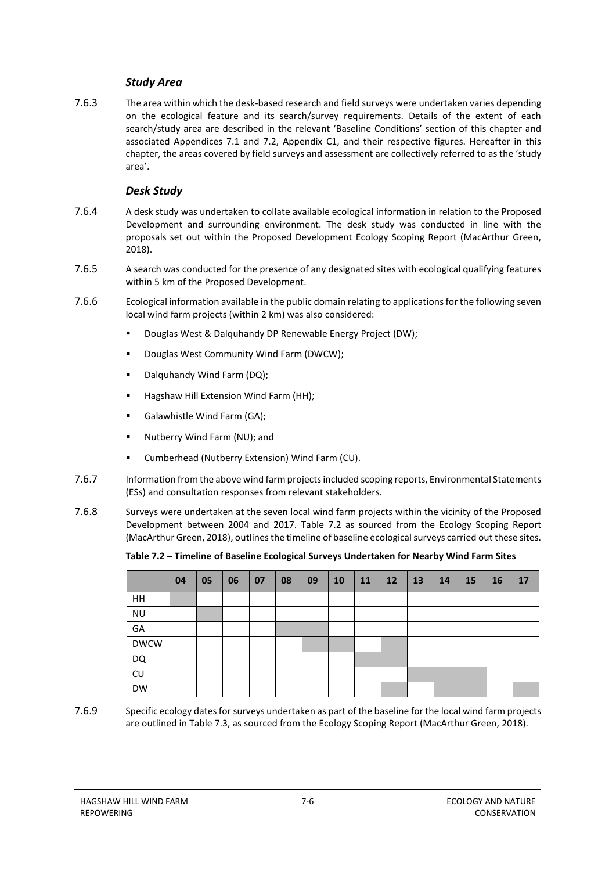#### *Study Area*

7.6.3 The area within which the desk-based research and field surveys were undertaken varies depending on the ecological feature and its search/survey requirements. Details of the extent of each search/study area are described in the relevant 'Baseline Conditions' section of this chapter and associated Appendices 7.1 and 7.2, Appendix C1, and their respective figures. Hereafter in this chapter, the areas covered by field surveys and assessment are collectively referred to as the 'study area'.

#### *Desk Study*

- 7.6.4 A desk study was undertaken to collate available ecological information in relation to the Proposed Development and surrounding environment. The desk study was conducted in line with the proposals set out within the Proposed Development Ecology Scoping Report (MacArthur Green, 2018).
- 7.6.5 A search was conducted for the presence of any designated sites with ecological qualifying features within 5 km of the Proposed Development.
- 7.6.6 Ecological information available in the public domain relating to applications for the following seven local wind farm projects (within 2 km) was also considered:
	- Douglas West & Dalquhandy DP Renewable Energy Project (DW);
	- **Douglas West Community Wind Farm (DWCW);**
	- Dalquhandy Wind Farm (DQ);
	- Hagshaw Hill Extension Wind Farm (HH);
	- Galawhistle Wind Farm (GA);
	- Nutberry Wind Farm (NU); and
	- Cumberhead (Nutberry Extension) Wind Farm (CU).
- 7.6.7 Information from the above wind farm projects included scoping reports, Environmental Statements (ESs) and consultation responses from relevant stakeholders.
- 7.6.8 Surveys were undertaken at the seven local wind farm projects within the vicinity of the Proposed Development between 2004 and 2017. Table 7.2 as sourced from the Ecology Scoping Report (MacArthur Green, 2018), outlines the timeline of baseline ecological surveys carried out these sites.

**Table 7.2 – Timeline of Baseline Ecological Surveys Undertaken for Nearby Wind Farm Sites**

|             | 04 | 05 | 06 | 07 | 08 | 09 | <b>10</b> | <b>11</b> | 12 | 13 | 14 | 15 | 16 | 17 |
|-------------|----|----|----|----|----|----|-----------|-----------|----|----|----|----|----|----|
| HH          |    |    |    |    |    |    |           |           |    |    |    |    |    |    |
| <b>NU</b>   |    |    |    |    |    |    |           |           |    |    |    |    |    |    |
| GA          |    |    |    |    |    |    |           |           |    |    |    |    |    |    |
| <b>DWCW</b> |    |    |    |    |    |    |           |           |    |    |    |    |    |    |
| <b>DQ</b>   |    |    |    |    |    |    |           |           |    |    |    |    |    |    |
| CU          |    |    |    |    |    |    |           |           |    |    |    |    |    |    |
| <b>DW</b>   |    |    |    |    |    |    |           |           |    |    |    |    |    |    |

7.6.9 Specific ecology dates for surveys undertaken as part of the baseline for the local wind farm projects are outlined in Table 7.3, as sourced from the Ecology Scoping Report (MacArthur Green, 2018).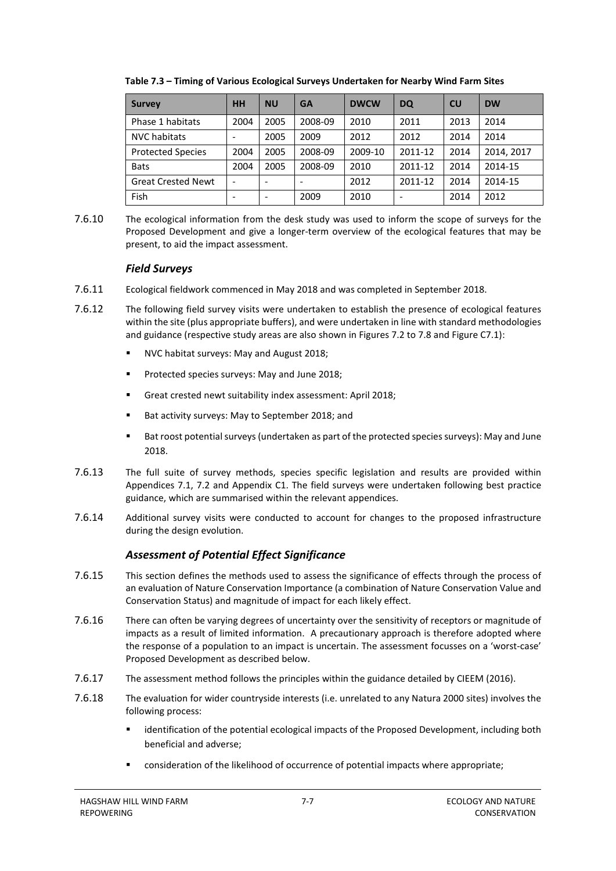| <b>Survey</b>             | <b>HH</b> | <b>NU</b>                | <b>GA</b> | <b>DWCW</b> | <b>DQ</b> | $\mathsf{C}\mathsf{U}$ | <b>DW</b>  |
|---------------------------|-----------|--------------------------|-----------|-------------|-----------|------------------------|------------|
| Phase 1 habitats          | 2004      | 2005                     | 2008-09   | 2010        | 2011      | 2013                   | 2014       |
| <b>NVC habitats</b>       |           | 2005                     | 2009      | 2012        | 2012      | 2014                   | 2014       |
| <b>Protected Species</b>  | 2004      | 2005                     | 2008-09   | 2009-10     | 2011-12   | 2014                   | 2014, 2017 |
| <b>Bats</b>               | 2004      | 2005                     | 2008-09   | 2010        | 2011-12   | 2014                   | 2014-15    |
| <b>Great Crested Newt</b> |           | $\overline{\phantom{a}}$ |           | 2012        | 2011-12   | 2014                   | 2014-15    |
| Fish                      |           | $\overline{\phantom{a}}$ | 2009      | 2010        |           | 2014                   | 2012       |

**Table 7.3 – Timing of Various Ecological Surveys Undertaken for Nearby Wind Farm Sites**

7.6.10 The ecological information from the desk study was used to inform the scope of surveys for the Proposed Development and give a longer-term overview of the ecological features that may be present, to aid the impact assessment.

### *Field Surveys*

- 7.6.11 Ecological fieldwork commenced in May 2018 and was completed in September 2018.
- 7.6.12 The following field survey visits were undertaken to establish the presence of ecological features within the site (plus appropriate buffers), and were undertaken in line with standard methodologies and guidance (respective study areas are also shown in Figures 7.2 to 7.8 and Figure C7.1):
	- **NVC** habitat surveys: May and August 2018;
	- **Protected species surveys: May and June 2018;**
	- Great crested newt suitability index assessment: April 2018;
	- Bat activity surveys: May to September 2018: and
	- Bat roost potential surveys (undertaken as part of the protected species surveys): May and June 2018.
- 7.6.13 The full suite of survey methods, species specific legislation and results are provided within Appendices 7.1, 7.2 and Appendix C1. The field surveys were undertaken following best practice guidance, which are summarised within the relevant appendices.
- 7.6.14 Additional survey visits were conducted to account for changes to the proposed infrastructure during the design evolution.

### *Assessment of Potential Effect Significance*

- 7.6.15 This section defines the methods used to assess the significance of effects through the process of an evaluation of Nature Conservation Importance (a combination of Nature Conservation Value and Conservation Status) and magnitude of impact for each likely effect.
- 7.6.16 There can often be varying degrees of uncertainty over the sensitivity of receptors or magnitude of impacts as a result of limited information. A precautionary approach is therefore adopted where the response of a population to an impact is uncertain. The assessment focusses on a 'worst-case' Proposed Development as described below.
- 7.6.17 The assessment method follows the principles within the guidance detailed by CIEEM (2016).
- 7.6.18 The evaluation for wider countryside interests (i.e. unrelated to any Natura 2000 sites) involves the following process:
	- identification of the potential ecological impacts of the Proposed Development, including both beneficial and adverse;
	- consideration of the likelihood of occurrence of potential impacts where appropriate;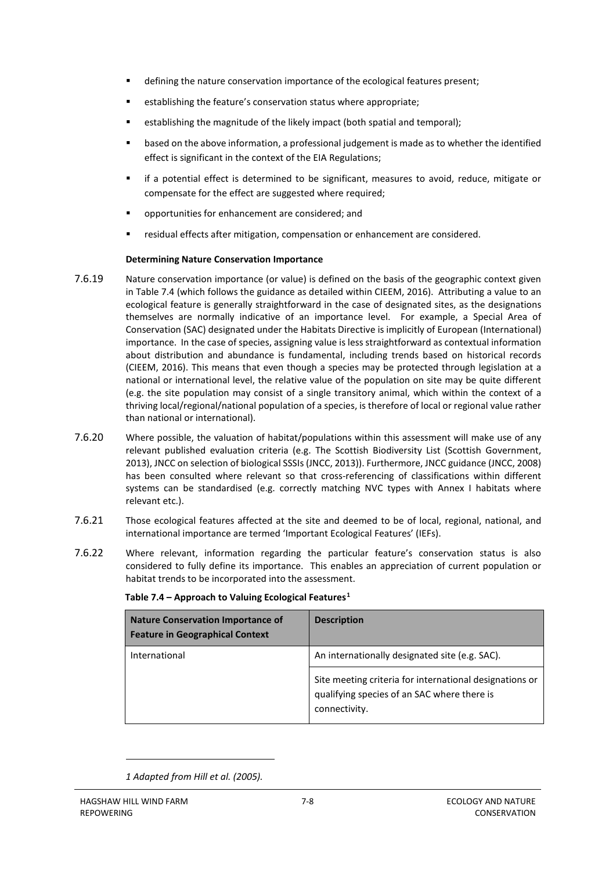- defining the nature conservation importance of the ecological features present;
- establishing the feature's conservation status where appropriate;
- establishing the magnitude of the likely impact (both spatial and temporal):
- based on the above information, a professional judgement is made as to whether the identified effect is significant in the context of the EIA Regulations;
- if a potential effect is determined to be significant, measures to avoid, reduce, mitigate or compensate for the effect are suggested where required;
- opportunities for enhancement are considered; and
- residual effects after mitigation, compensation or enhancement are considered.

#### **Determining Nature Conservation Importance**

- 7.6.19 Nature conservation importance (or value) is defined on the basis of the geographic context given in Table 7.4 (which follows the guidance as detailed within CIEEM, 2016). Attributing a value to an ecological feature is generally straightforward in the case of designated sites, as the designations themselves are normally indicative of an importance level. For example, a Special Area of Conservation (SAC) designated under the Habitats Directive is implicitly of European (International) importance. In the case of species, assigning value is less straightforward as contextual information about distribution and abundance is fundamental, including trends based on historical records (CIEEM, 2016). This means that even though a species may be protected through legislation at a national or international level, the relative value of the population on site may be quite different (e.g. the site population may consist of a single transitory animal, which within the context of a thriving local/regional/national population of a species, is therefore of local or regional value rather than national or international).
- 7.6.20 Where possible, the valuation of habitat/populations within this assessment will make use of any relevant published evaluation criteria (e.g. The Scottish Biodiversity List (Scottish Government, 2013), JNCC on selection of biological SSSIs (JNCC, 2013)). Furthermore, JNCC guidance (JNCC, 2008) has been consulted where relevant so that cross-referencing of classifications within different systems can be standardised (e.g. correctly matching NVC types with Annex I habitats where relevant etc.).
- 7.6.21 Those ecological features affected at the site and deemed to be of local, regional, national, and international importance are termed 'Important Ecological Features' (IEFs).
- 7.6.22 Where relevant, information regarding the particular feature's conservation status is also considered to fully define its importance. This enables an appreciation of current population or habitat trends to be incorporated into the assessment.

| <b>Nature Conservation Importance of</b><br><b>Feature in Geographical Context</b> | <b>Description</b>                                                                                                      |
|------------------------------------------------------------------------------------|-------------------------------------------------------------------------------------------------------------------------|
| International                                                                      | An internationally designated site (e.g. SAC).                                                                          |
|                                                                                    | Site meeting criteria for international designations or<br>qualifying species of an SAC where there is<br>connectivity. |

**Table 7.4 – Approach to Valuing Ecological Features[1](#page-9-0)**

<span id="page-9-0"></span>*<sup>1</sup> Adapted from Hill et al. (2005).*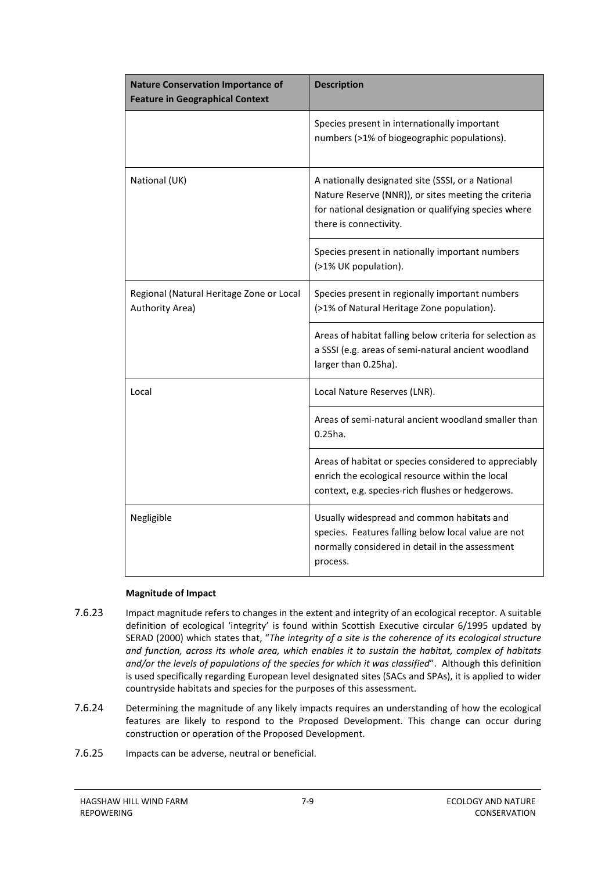| <b>Nature Conservation Importance of</b><br><b>Feature in Geographical Context</b> | <b>Description</b>                                                                                                                                                                          |
|------------------------------------------------------------------------------------|---------------------------------------------------------------------------------------------------------------------------------------------------------------------------------------------|
|                                                                                    | Species present in internationally important<br>numbers (>1% of biogeographic populations).                                                                                                 |
| National (UK)                                                                      | A nationally designated site (SSSI, or a National<br>Nature Reserve (NNR)), or sites meeting the criteria<br>for national designation or qualifying species where<br>there is connectivity. |
|                                                                                    | Species present in nationally important numbers<br>(>1% UK population).                                                                                                                     |
| Regional (Natural Heritage Zone or Local<br>Authority Area)                        | Species present in regionally important numbers<br>(>1% of Natural Heritage Zone population).                                                                                               |
|                                                                                    | Areas of habitat falling below criteria for selection as<br>a SSSI (e.g. areas of semi-natural ancient woodland<br>larger than 0.25ha).                                                     |
| Local                                                                              | Local Nature Reserves (LNR).                                                                                                                                                                |
|                                                                                    | Areas of semi-natural ancient woodland smaller than<br>$0.25$ ha.                                                                                                                           |
|                                                                                    | Areas of habitat or species considered to appreciably<br>enrich the ecological resource within the local<br>context, e.g. species-rich flushes or hedgerows.                                |
| Negligible                                                                         | Usually widespread and common habitats and<br>species. Features falling below local value are not<br>normally considered in detail in the assessment<br>process.                            |

#### **Magnitude of Impact**

- 7.6.23 Impact magnitude refers to changes in the extent and integrity of an ecological receptor. A suitable definition of ecological 'integrity' is found within Scottish Executive circular 6/1995 updated by SERAD (2000) which states that, "*The integrity of a site is the coherence of its ecological structure and function, across its whole area, which enables it to sustain the habitat, complex of habitats and/or the levels of populations of the species for which it was classified*". Although this definition is used specifically regarding European level designated sites (SACs and SPAs), it is applied to wider countryside habitats and species for the purposes of this assessment.
- 7.6.24 Determining the magnitude of any likely impacts requires an understanding of how the ecological features are likely to respond to the Proposed Development. This change can occur during construction or operation of the Proposed Development.
- 7.6.25 Impacts can be adverse, neutral or beneficial.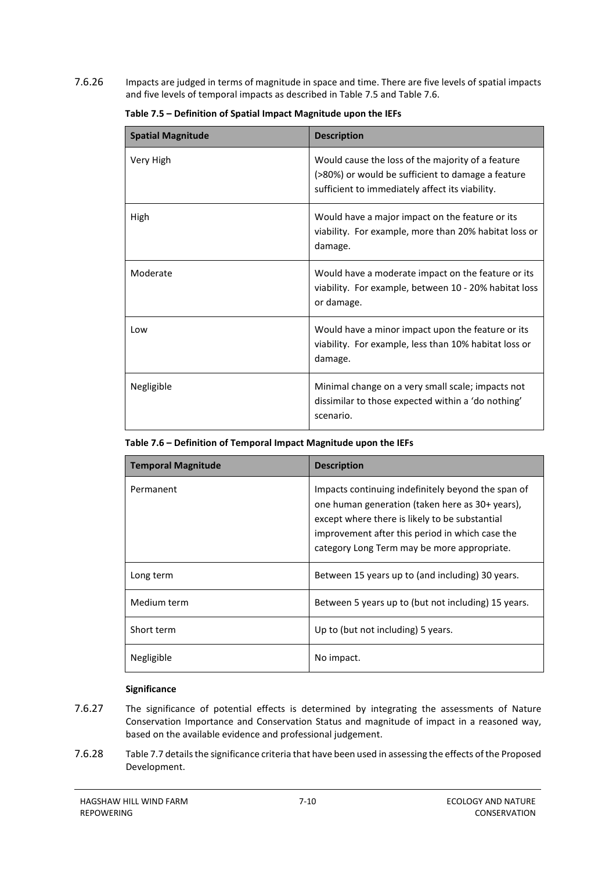7.6.26 Impacts are judged in terms of magnitude in space and time. There are five levels of spatial impacts and five levels of temporal impacts as described in Table 7.5 and Table 7.6.

| <b>Spatial Magnitude</b> | <b>Description</b>                                                                                                                                        |
|--------------------------|-----------------------------------------------------------------------------------------------------------------------------------------------------------|
| Very High                | Would cause the loss of the majority of a feature<br>(>80%) or would be sufficient to damage a feature<br>sufficient to immediately affect its viability. |
| High                     | Would have a major impact on the feature or its<br>viability. For example, more than 20% habitat loss or<br>damage.                                       |
| Moderate                 | Would have a moderate impact on the feature or its<br>viability. For example, between 10 - 20% habitat loss<br>or damage.                                 |
| Low                      | Would have a minor impact upon the feature or its<br>viability. For example, less than 10% habitat loss or<br>damage.                                     |
| Negligible               | Minimal change on a very small scale; impacts not<br>dissimilar to those expected within a 'do nothing'<br>scenario.                                      |

**Table 7.5 – Definition of Spatial Impact Magnitude upon the IEFs**

#### **Table 7.6 – Definition of Temporal Impact Magnitude upon the IEFs**

| <b>Temporal Magnitude</b> | <b>Description</b>                                                                                                                                                                                                                                        |
|---------------------------|-----------------------------------------------------------------------------------------------------------------------------------------------------------------------------------------------------------------------------------------------------------|
| Permanent                 | Impacts continuing indefinitely beyond the span of<br>one human generation (taken here as 30+ years),<br>except where there is likely to be substantial<br>improvement after this period in which case the<br>category Long Term may be more appropriate. |
| Long term                 | Between 15 years up to (and including) 30 years.                                                                                                                                                                                                          |
| Medium term               | Between 5 years up to (but not including) 15 years.                                                                                                                                                                                                       |
| Short term                | Up to (but not including) 5 years.                                                                                                                                                                                                                        |
| Negligible                | No impact.                                                                                                                                                                                                                                                |

#### **Significance**

- 7.6.27 The significance of potential effects is determined by integrating the assessments of Nature Conservation Importance and Conservation Status and magnitude of impact in a reasoned way, based on the available evidence and professional judgement.
- 7.6.28 Table 7.7 details the significance criteria that have been used in assessing the effects of the Proposed Development.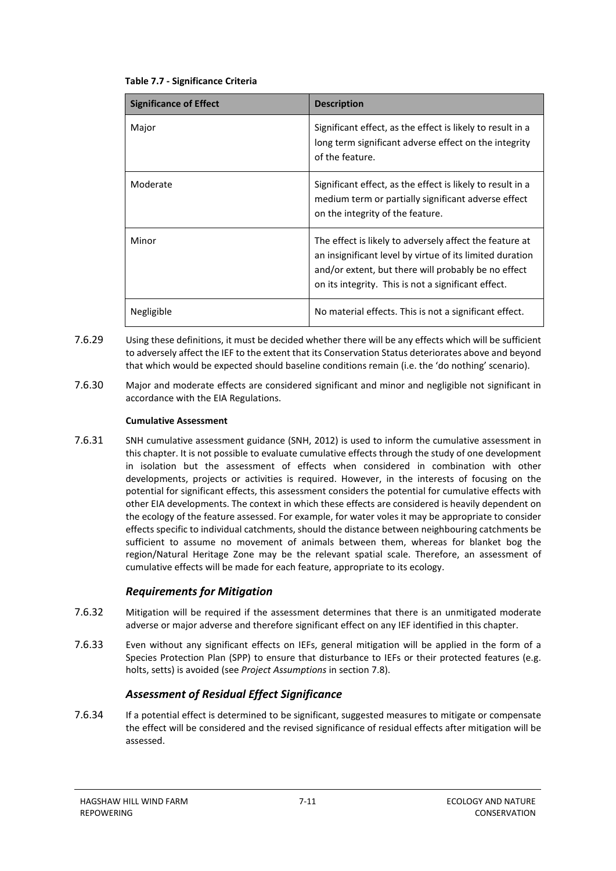| <b>Significance of Effect</b> | <b>Description</b>                                                                                                                                                                                                                |
|-------------------------------|-----------------------------------------------------------------------------------------------------------------------------------------------------------------------------------------------------------------------------------|
| Major                         | Significant effect, as the effect is likely to result in a<br>long term significant adverse effect on the integrity<br>of the feature.                                                                                            |
| Moderate                      | Significant effect, as the effect is likely to result in a<br>medium term or partially significant adverse effect<br>on the integrity of the feature.                                                                             |
| Minor                         | The effect is likely to adversely affect the feature at<br>an insignificant level by virtue of its limited duration<br>and/or extent, but there will probably be no effect<br>on its integrity. This is not a significant effect. |
| Negligible                    | No material effects. This is not a significant effect.                                                                                                                                                                            |

#### **Table 7.7 - Significance Criteria**

- 7.6.29 Using these definitions, it must be decided whether there will be any effects which will be sufficient to adversely affect the IEF to the extent that its Conservation Status deteriorates above and beyond that which would be expected should baseline conditions remain (i.e. the 'do nothing' scenario).
- 7.6.30 Major and moderate effects are considered significant and minor and negligible not significant in accordance with the EIA Regulations.

#### **Cumulative Assessment**

7.6.31 SNH cumulative assessment guidance (SNH, 2012) is used to inform the cumulative assessment in this chapter. It is not possible to evaluate cumulative effects through the study of one development in isolation but the assessment of effects when considered in combination with other developments, projects or activities is required. However, in the interests of focusing on the potential for significant effects, this assessment considers the potential for cumulative effects with other EIA developments. The context in which these effects are considered is heavily dependent on the ecology of the feature assessed. For example, for water voles it may be appropriate to consider effects specific to individual catchments, should the distance between neighbouring catchments be sufficient to assume no movement of animals between them, whereas for blanket bog the region/Natural Heritage Zone may be the relevant spatial scale. Therefore, an assessment of cumulative effects will be made for each feature, appropriate to its ecology.

### *Requirements for Mitigation*

- 7.6.32 Mitigation will be required if the assessment determines that there is an unmitigated moderate adverse or major adverse and therefore significant effect on any IEF identified in this chapter.
- 7.6.33 Even without any significant effects on IEFs, general mitigation will be applied in the form of a Species Protection Plan (SPP) to ensure that disturbance to IEFs or their protected features (e.g. holts, setts) is avoided (see *Project Assumptions* in section [7.8\)](#page-26-0).

### *Assessment of Residual Effect Significance*

7.6.34 If a potential effect is determined to be significant, suggested measures to mitigate or compensate the effect will be considered and the revised significance of residual effects after mitigation will be assessed.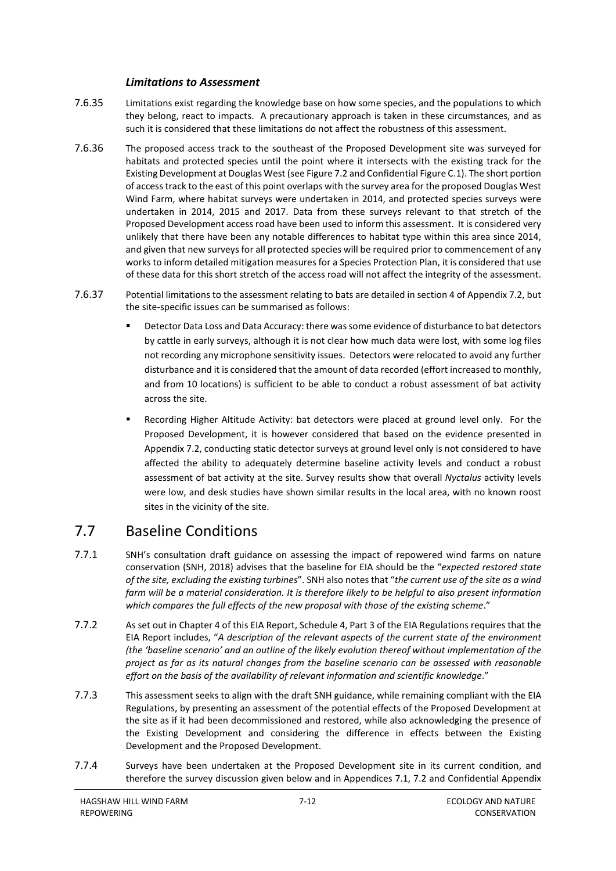#### *Limitations to Assessment*

- 7.6.35 Limitations exist regarding the knowledge base on how some species, and the populations to which they belong, react to impacts. A precautionary approach is taken in these circumstances, and as such it is considered that these limitations do not affect the robustness of this assessment.
- 7.6.36 The proposed access track to the southeast of the Proposed Development site was surveyed for habitats and protected species until the point where it intersects with the existing track for the Existing Development at Douglas West (see Figure 7.2 and Confidential Figure C.1). The short portion of access track to the east of this point overlaps with the survey area for the proposed Douglas West Wind Farm, where habitat surveys were undertaken in 2014, and protected species surveys were undertaken in 2014, 2015 and 2017. Data from these surveys relevant to that stretch of the Proposed Development access road have been used to inform this assessment. It is considered very unlikely that there have been any notable differences to habitat type within this area since 2014, and given that new surveys for all protected species will be required prior to commencement of any works to inform detailed mitigation measures for a Species Protection Plan, it is considered that use of these data for this short stretch of the access road will not affect the integrity of the assessment.
- 7.6.37 Potential limitations to the assessment relating to bats are detailed in section 4 of Appendix 7.2, but the site-specific issues can be summarised as follows:
	- Detector Data Loss and Data Accuracy: there was some evidence of disturbance to bat detectors by cattle in early surveys, although it is not clear how much data were lost, with some log files not recording any microphone sensitivity issues. Detectors were relocated to avoid any further disturbance and it is considered that the amount of data recorded (effort increased to monthly, and from 10 locations) is sufficient to be able to conduct a robust assessment of bat activity across the site.
	- Recording Higher Altitude Activity: bat detectors were placed at ground level only. For the Proposed Development, it is however considered that based on the evidence presented in Appendix 7.2, conducting static detector surveys at ground level only is not considered to have affected the ability to adequately determine baseline activity levels and conduct a robust assessment of bat activity at the site. Survey results show that overall *Nyctalus* activity levels were low, and desk studies have shown similar results in the local area, with no known roost sites in the vicinity of the site.

# <span id="page-13-0"></span>7.7 Baseline Conditions

- 7.7.1 SNH's consultation draft guidance on assessing the impact of repowered wind farms on nature conservation (SNH, 2018) advises that the baseline for EIA should be the "*expected restored state of the site, excluding the existing turbines*". SNH also notes that "*the current use of the site as a wind farm will be a material consideration. It is therefore likely to be helpful to also present information which compares the full effects of the new proposal with those of the existing scheme*."
- 7.7.2 As set out in Chapter 4 of this EIA Report, Schedule 4, Part 3 of the EIA Regulations requires that the EIA Report includes, "*A description of the relevant aspects of the current state of the environment (the 'baseline scenario' and an outline of the likely evolution thereof without implementation of the project as far as its natural changes from the baseline scenario can be assessed with reasonable effort on the basis of the availability of relevant information and scientific knowledge*."
- 7.7.3 This assessment seeks to align with the draft SNH guidance, while remaining compliant with the EIA Regulations, by presenting an assessment of the potential effects of the Proposed Development at the site as if it had been decommissioned and restored, while also acknowledging the presence of the Existing Development and considering the difference in effects between the Existing Development and the Proposed Development.
- 7.7.4 Surveys have been undertaken at the Proposed Development site in its current condition, and therefore the survey discussion given below and in Appendices 7.1, 7.2 and Confidential Appendix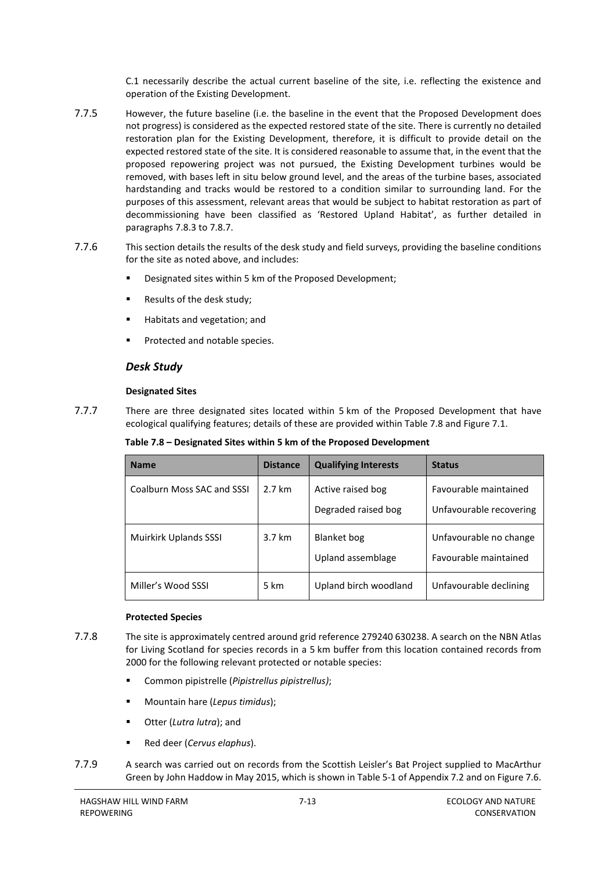C.1 necessarily describe the actual current baseline of the site, i.e. reflecting the existence and operation of the Existing Development.

- 7.7.5 However, the future baseline (i.e. the baseline in the event that the Proposed Development does not progress) is considered as the expected restored state of the site. There is currently no detailed restoration plan for the Existing Development, therefore, it is difficult to provide detail on the expected restored state of the site. It is considered reasonable to assume that, in the event that the proposed repowering project was not pursued, the Existing Development turbines would be removed, with bases left in situ below ground level, and the areas of the turbine bases, associated hardstanding and tracks would be restored to a condition similar to surrounding land. For the purposes of this assessment, relevant areas that would be subject to habitat restoration as part of decommissioning have been classified as 'Restored Upland Habitat', as further detailed in paragraph[s 7.8.3](#page-27-0) to [7.8.7.](#page-28-0)
- 7.7.6 This section details the results of the desk study and field surveys, providing the baseline conditions for the site as noted above, and includes:
	- Designated sites within 5 km of the Proposed Development;
	- **Results of the desk study;**
	- Habitats and vegetation; and
	- Protected and notable species.

#### *Desk Study*

#### **Designated Sites**

7.7.7 There are three designated sites located within 5 km of the Proposed Development that have ecological qualifying features; details of these are provided within Table 7.8 and Figure 7.1.

**Table 7.8 – Designated Sites within 5 km of the Proposed Development**

| <b>Name</b>                | <b>Distance</b>   | <b>Qualifying Interests</b>              | <b>Status</b>                                    |
|----------------------------|-------------------|------------------------------------------|--------------------------------------------------|
| Coalburn Moss SAC and SSSI | $2.7 \mathrm{km}$ | Active raised bog<br>Degraded raised bog | Favourable maintained<br>Unfavourable recovering |
| Muirkirk Uplands SSSI      | 3.7 km            | <b>Blanket</b> bog<br>Upland assemblage  | Unfavourable no change<br>Favourable maintained  |
| Miller's Wood SSSI         | 5 km              | Upland birch woodland                    | Unfavourable declining                           |

#### **Protected Species**

- 7.7.8 The site is approximately centred around grid reference 279240 630238. A search on the NBN Atlas for Living Scotland for species records in a 5 km buffer from this location contained records from 2000 for the following relevant protected or notable species:
	- Common pipistrelle (*Pipistrellus pipistrellus)*;
	- Mountain hare (*Lepus timidus*);
	- Otter (*Lutra lutra*); and
	- Red deer (*Cervus elaphus*).
- 7.7.9 A search was carried out on records from the Scottish Leisler's Bat Project supplied to MacArthur Green by John Haddow in May 2015, which is shown in Table 5-1 of Appendix 7.2 and on Figure 7.6.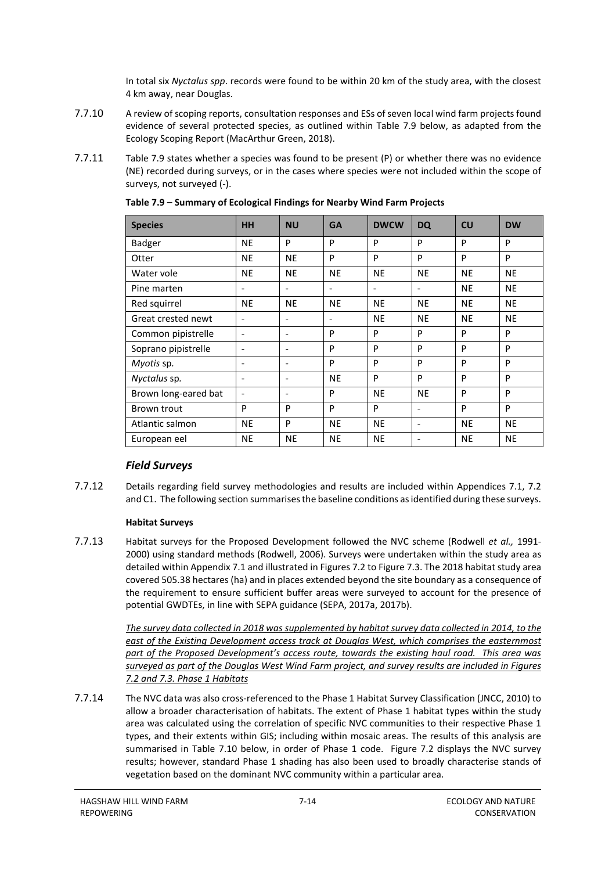In total six *Nyctalus spp*. records were found to be within 20 km of the study area, with the closest 4 km away, near Douglas.

- 7.7.10 A review of scoping reports, consultation responses and ESs of seven local wind farm projects found evidence of several protected species, as outlined within Table 7.9 below, as adapted from the Ecology Scoping Report (MacArthur Green, 2018).
- 7.7.11 Table 7.9 states whether a species was found to be present (P) or whether there was no evidence (NE) recorded during surveys, or in the cases where species were not included within the scope of surveys, not surveyed (-).

| <b>Species</b>       | <b>HH</b>                    | <b>NU</b>                | <b>GA</b>                | <b>DWCW</b>              | <b>DQ</b>                | CU        | <b>DW</b> |
|----------------------|------------------------------|--------------------------|--------------------------|--------------------------|--------------------------|-----------|-----------|
| Badger               | <b>NE</b>                    | P                        | P                        | P                        | P                        | P         | P         |
| Otter                | <b>NE</b>                    | <b>NE</b>                | P                        | P                        | P                        | P         | P         |
| Water vole           | <b>NE</b>                    | <b>NE</b>                | <b>NE</b>                | <b>NE</b>                | <b>NE</b>                | <b>NE</b> | <b>NE</b> |
| Pine marten          | $\qquad \qquad \blacksquare$ | $\overline{\phantom{a}}$ | $\overline{\phantom{a}}$ | $\overline{\phantom{a}}$ | $\overline{\phantom{a}}$ | <b>NE</b> | <b>NE</b> |
| Red squirrel         | <b>NE</b>                    | <b>NE</b>                | <b>NE</b>                | <b>NE</b>                | <b>NE</b>                | <b>NE</b> | <b>NE</b> |
| Great crested newt   | $\qquad \qquad \blacksquare$ | $\overline{\phantom{a}}$ | $\overline{\phantom{a}}$ | <b>NE</b>                | <b>NE</b>                | <b>NE</b> | <b>NE</b> |
| Common pipistrelle   | $\overline{\phantom{a}}$     | $\overline{\phantom{a}}$ | P                        | P                        | P                        | P         | P         |
| Soprano pipistrelle  | $\qquad \qquad \blacksquare$ | $\overline{\phantom{a}}$ | P                        | P                        | P                        | P         | P         |
| Myotis sp.           | $\overline{\phantom{0}}$     | $\overline{\phantom{a}}$ | P                        | P                        | P                        | P         | P         |
| Nyctalus sp.         | $\qquad \qquad \blacksquare$ | $\overline{\phantom{a}}$ | <b>NE</b>                | P                        | P                        | P         | P         |
| Brown long-eared bat | $\overline{\phantom{0}}$     | $\overline{\phantom{a}}$ | P                        | <b>NE</b>                | <b>NE</b>                | P         | P         |
| Brown trout          | P                            | P                        | P                        | P                        | $\overline{\phantom{a}}$ | P         | P         |
| Atlantic salmon      | <b>NE</b>                    | P                        | <b>NE</b>                | <b>NE</b>                | $\overline{\phantom{a}}$ | <b>NE</b> | <b>NE</b> |
| European eel         | <b>NE</b>                    | <b>NE</b>                | <b>NE</b>                | <b>NE</b>                | $\overline{\phantom{a}}$ | <b>NE</b> | <b>NE</b> |

**Table 7.9 – Summary of Ecological Findings for Nearby Wind Farm Projects**

# *Field Surveys*

7.7.12 Details regarding field survey methodologies and results are included within Appendices 7.1, 7.2 and C1. The following section summarises the baseline conditions as identified during these surveys.

### **Habitat Surveys**

7.7.13 Habitat surveys for the Proposed Development followed the NVC scheme (Rodwell *et al.,* 1991- 2000) using standard methods (Rodwell, 2006). Surveys were undertaken within the study area as detailed within Appendix 7.1 and illustrated in Figures 7.2 to Figure 7.3. The 2018 habitat study area covered 505.38 hectares (ha) and in places extended beyond the site boundary as a consequence of the requirement to ensure sufficient buffer areas were surveyed to account for the presence of potential GWDTEs, in line with SEPA guidance (SEPA, 2017a, 2017b).

> *The survey data collected in 2018 was supplemented by habitat survey data collected in 2014, to the east of the Existing Development access track at Douglas West, which comprises the easternmost part of the Proposed Development's access route, towards the existing haul road. This area was surveyed as part of the Douglas West Wind Farm project, and survey results are included in Figures 7.2 and 7.3. Phase 1 Habitats*

7.7.14 The NVC data was also cross-referenced to the Phase 1 Habitat Survey Classification (JNCC, 2010) to allow a broader characterisation of habitats. The extent of Phase 1 habitat types within the study area was calculated using the correlation of specific NVC communities to their respective Phase 1 types, and their extents within GIS; including within mosaic areas. The results of this analysis are summarised in Table 7.10 below, in order of Phase 1 code. Figure 7.2 displays the NVC survey results; however, standard Phase 1 shading has also been used to broadly characterise stands of vegetation based on the dominant NVC community within a particular area.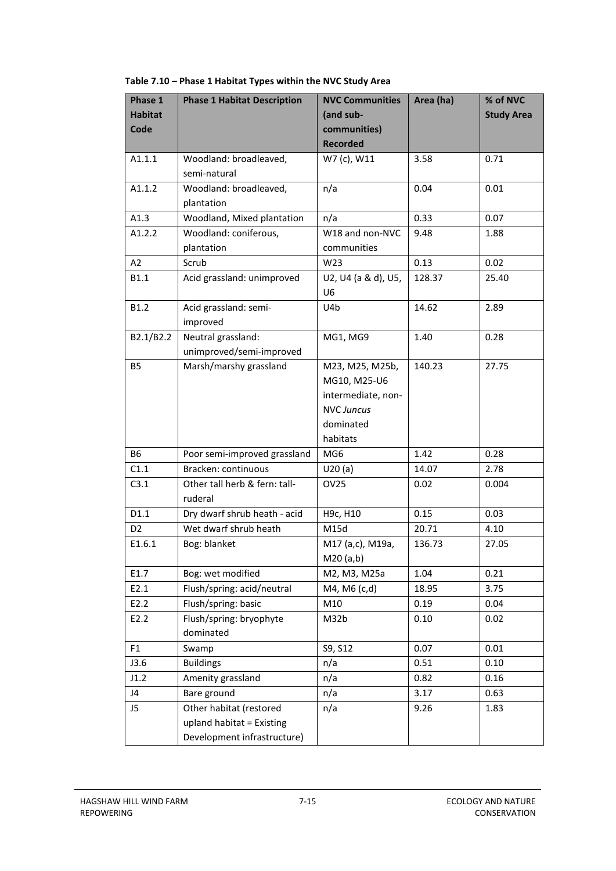| Phase 1        | <b>Phase 1 Habitat Description</b> | <b>NVC Communities</b> | Area (ha) | % of NVC          |
|----------------|------------------------------------|------------------------|-----------|-------------------|
| <b>Habitat</b> |                                    | (and sub-              |           | <b>Study Area</b> |
| Code           |                                    | communities)           |           |                   |
|                |                                    | <b>Recorded</b>        |           |                   |
| A1.1.1         | Woodland: broadleaved,             | W7 (c), W11            | 3.58      | 0.71              |
|                | semi-natural                       |                        |           |                   |
| A1.1.2         | Woodland: broadleaved,             | n/a                    | 0.04      | 0.01              |
|                | plantation                         |                        |           |                   |
| A1.3           | Woodland, Mixed plantation         | n/a                    | 0.33      | 0.07              |
| A1.2.2         | Woodland: coniferous,              | W18 and non-NVC        | 9.48      | 1.88              |
|                | plantation                         | communities            |           |                   |
| A2             | Scrub                              | W23                    | 0.13      | 0.02              |
| B1.1           | Acid grassland: unimproved         | U2, U4 (a & d), U5,    | 128.37    | 25.40             |
|                |                                    | U <sub>6</sub>         |           |                   |
| B1.2           | Acid grassland: semi-              | U4b                    | 14.62     | 2.89              |
|                | improved                           |                        |           |                   |
| B2.1/B2.2      | Neutral grassland:                 | MG1, MG9               | 1.40      | 0.28              |
|                | unimproved/semi-improved           |                        |           |                   |
| <b>B5</b>      | Marsh/marshy grassland             | M23, M25, M25b,        | 140.23    | 27.75             |
|                |                                    | MG10, M25-U6           |           |                   |
|                |                                    | intermediate, non-     |           |                   |
|                |                                    | <b>NVC Juncus</b>      |           |                   |
|                |                                    | dominated              |           |                   |
|                |                                    | habitats               |           |                   |
| <b>B6</b>      | Poor semi-improved grassland       | MG6                    | 1.42      | 0.28              |
| C1.1           | Bracken: continuous                | U20(a)                 | 14.07     | 2.78              |
| C3.1           | Other tall herb & fern: tall-      | <b>OV25</b>            | 0.02      | 0.004             |
|                | ruderal                            |                        |           |                   |
| D1.1           | Dry dwarf shrub heath - acid       | H9c, H10               | 0.15      | 0.03              |
| D <sub>2</sub> | Wet dwarf shrub heath              | M15d                   | 20.71     | 4.10              |
| E1.6.1         | Bog: blanket                       | M17 (a,c), M19a,       | 136.73    | 27.05             |
|                |                                    | M20(a,b)               |           |                   |
| E1.7           | Bog: wet modified                  | M2, M3, M25a           | 1.04      | 0.21              |
| E2.1           | Flush/spring: acid/neutral         | M4, M6 (c,d)           | 18.95     | 3.75              |
| E2.2           | Flush/spring: basic                | M10                    | 0.19      | 0.04              |
| E2.2           | Flush/spring: bryophyte            | M32b                   | 0.10      | 0.02              |
|                | dominated                          |                        |           |                   |
| F <sub>1</sub> | Swamp                              | S9, S12                | 0.07      | 0.01              |
| J3.6           | <b>Buildings</b>                   | n/a                    | 0.51      | 0.10              |
| J1.2           | Amenity grassland                  | n/a                    | 0.82      | 0.16              |
| J4             | Bare ground                        | n/a                    | 3.17      | 0.63              |
| J5             | Other habitat (restored            | n/a                    | 9.26      | 1.83              |
|                | upland habitat = Existing          |                        |           |                   |
|                | Development infrastructure)        |                        |           |                   |

**Table 7.10 – Phase 1 Habitat Types within the NVC Study Area**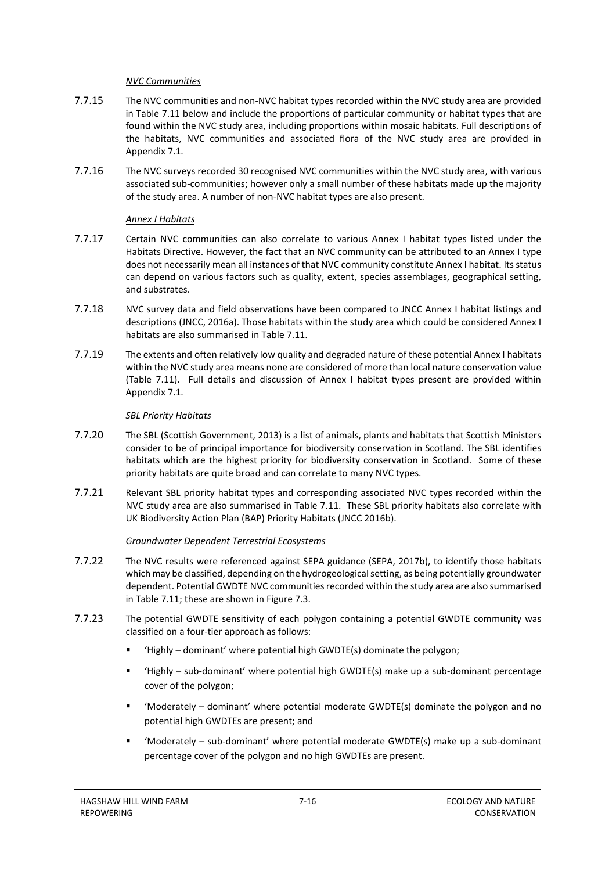#### *NVC Communities*

- 7.7.15 The NVC communities and non-NVC habitat types recorded within the NVC study area are provided in Table 7.11 below and include the proportions of particular community or habitat types that are found within the NVC study area, including proportions within mosaic habitats. Full descriptions of the habitats, NVC communities and associated flora of the NVC study area are provided in Appendix 7.1.
- 7.7.16 The NVC surveys recorded 30 recognised NVC communities within the NVC study area, with various associated sub-communities; however only a small number of these habitats made up the majority of the study area. A number of non-NVC habitat types are also present.

#### *Annex I Habitats*

- 7.7.17 Certain NVC communities can also correlate to various Annex I habitat types listed under the Habitats Directive. However, the fact that an NVC community can be attributed to an Annex I type does not necessarily mean all instances of that NVC community constitute Annex I habitat. Its status can depend on various factors such as quality, extent, species assemblages, geographical setting, and substrates.
- 7.7.18 NVC survey data and field observations have been compared to JNCC Annex I habitat listings and descriptions (JNCC, 2016a). Those habitats within the study area which could be considered Annex I habitats are also summarised in Table 7.11.
- 7.7.19 The extents and often relatively low quality and degraded nature of these potential Annex I habitats within the NVC study area means none are considered of more than local nature conservation value (Table 7.11). Full details and discussion of Annex I habitat types present are provided within Appendix 7.1.

#### *SBL Priority Habitats*

- 7.7.20 The SBL (Scottish Government, 2013) is a list of animals, plants and habitats that Scottish Ministers consider to be of principal importance for biodiversity conservation in Scotland. The SBL identifies habitats which are the highest priority for biodiversity conservation in Scotland. Some of these priority habitats are quite broad and can correlate to many NVC types.
- 7.7.21 Relevant SBL priority habitat types and corresponding associated NVC types recorded within the NVC study area are also summarised in Table 7.11. These SBL priority habitats also correlate with UK Biodiversity Action Plan (BAP) Priority Habitats (JNCC 2016b).

#### *Groundwater Dependent Terrestrial Ecosystems*

- 7.7.22 The NVC results were referenced against SEPA guidance (SEPA, 2017b), to identify those habitats which may be classified, depending on the hydrogeological setting, as being potentially groundwater dependent. Potential GWDTE NVC communities recorded within the study area are also summarised in Table 7.11; these are shown in Figure 7.3.
- 7.7.23 The potential GWDTE sensitivity of each polygon containing a potential GWDTE community was classified on a four-tier approach as follows:
	- 'Highly dominant' where potential high GWDTE(s) dominate the polygon;
	- 'Highly sub-dominant' where potential high GWDTE(s) make up a sub-dominant percentage cover of the polygon;
	- 'Moderately dominant' where potential moderate GWDTE(s) dominate the polygon and no potential high GWDTEs are present; and
	- 'Moderately sub-dominant' where potential moderate GWDTE(s) make up a sub-dominant percentage cover of the polygon and no high GWDTEs are present.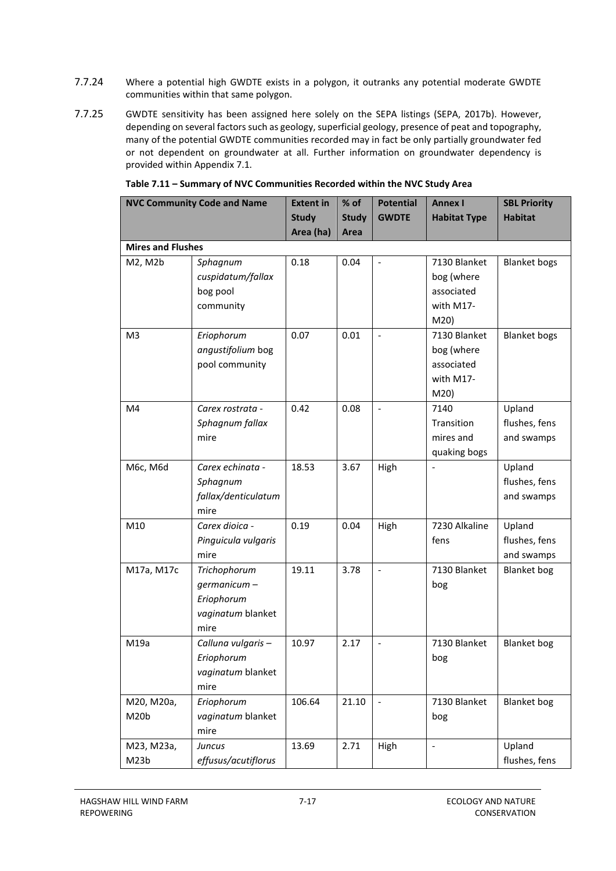- 7.7.24 Where a potential high GWDTE exists in a polygon, it outranks any potential moderate GWDTE communities within that same polygon.
- 7.7.25 GWDTE sensitivity has been assigned here solely on the SEPA listings (SEPA, 2017b). However, depending on several factors such as geology, superficial geology, presence of peat and topography, many of the potential GWDTE communities recorded may in fact be only partially groundwater fed or not dependent on groundwater at all. Further information on groundwater dependency is provided within Appendix 7.1.

|                          | <b>NVC Community Code and Name</b> | <b>Extent in</b> | % of         | <b>Potential</b>         | <b>Annex I</b>      | <b>SBL Priority</b> |
|--------------------------|------------------------------------|------------------|--------------|--------------------------|---------------------|---------------------|
|                          |                                    | <b>Study</b>     | <b>Study</b> | <b>GWDTE</b>             | <b>Habitat Type</b> | <b>Habitat</b>      |
|                          |                                    | Area (ha)        | Area         |                          |                     |                     |
| <b>Mires and Flushes</b> |                                    |                  |              |                          |                     |                     |
| M2, M2b                  | Sphagnum                           | 0.18             | 0.04         |                          | 7130 Blanket        | <b>Blanket bogs</b> |
|                          | cuspidatum/fallax                  |                  |              |                          | bog (where          |                     |
|                          | bog pool                           |                  |              |                          | associated          |                     |
|                          | community                          |                  |              |                          | with M17-           |                     |
|                          |                                    |                  |              |                          | M20                 |                     |
| M <sub>3</sub>           | Eriophorum                         | 0.07             | 0.01         |                          | 7130 Blanket        | <b>Blanket bogs</b> |
|                          | angustifolium bog                  |                  |              |                          | bog (where          |                     |
|                          | pool community                     |                  |              |                          | associated          |                     |
|                          |                                    |                  |              |                          | with M17-           |                     |
|                          |                                    |                  |              |                          | M20                 |                     |
| M4                       | Carex rostrata -                   | 0.42             | 0.08         | $\overline{\phantom{a}}$ | 7140                | Upland              |
|                          | Sphagnum fallax                    |                  |              |                          | Transition          | flushes, fens       |
|                          | mire                               |                  |              |                          | mires and           | and swamps          |
|                          |                                    |                  |              |                          | quaking bogs        |                     |
| M6c, M6d                 | Carex echinata -                   | 18.53            | 3.67         | High                     |                     | Upland              |
|                          | Sphagnum                           |                  |              |                          |                     | flushes, fens       |
|                          | fallax/denticulatum                |                  |              |                          |                     | and swamps          |
|                          | mire                               |                  |              |                          |                     |                     |
| M10                      | Carex dioica -                     | 0.19             | 0.04         | High                     | 7230 Alkaline       | Upland              |
|                          | Pinguicula vulgaris                |                  |              |                          | fens                | flushes, fens       |
|                          | mire                               |                  |              |                          |                     | and swamps          |
| M17a, M17c               | Trichophorum                       | 19.11            | 3.78         | $\overline{a}$           | 7130 Blanket        | <b>Blanket</b> bog  |
|                          | germanicum-                        |                  |              |                          | bog                 |                     |
|                          | Eriophorum                         |                  |              |                          |                     |                     |
|                          | vaginatum blanket                  |                  |              |                          |                     |                     |
|                          | mire                               |                  |              |                          |                     |                     |
| M19a                     | Calluna vulgaris-                  | 10.97            | 2.17         | $\overline{a}$           | 7130 Blanket        | <b>Blanket</b> bog  |
|                          | Eriophorum                         |                  |              |                          | bog                 |                     |
|                          | vaginatum blanket                  |                  |              |                          |                     |                     |
|                          | mire                               |                  |              |                          |                     |                     |
| M20, M20a,               | Eriophorum                         | 106.64           | 21.10        |                          | 7130 Blanket        | <b>Blanket</b> bog  |
| M20b                     | vaginatum blanket                  |                  |              |                          | bog                 |                     |
|                          | mire                               |                  |              |                          |                     |                     |
| M23, M23a,               | Juncus                             | 13.69            | 2.71         | High                     |                     | Upland              |
| M23b                     | effusus/acutiflorus                |                  |              |                          |                     | flushes, fens       |

| Table 7.11 - Summary of NVC Communities Recorded within the NVC Study Area |  |
|----------------------------------------------------------------------------|--|
|----------------------------------------------------------------------------|--|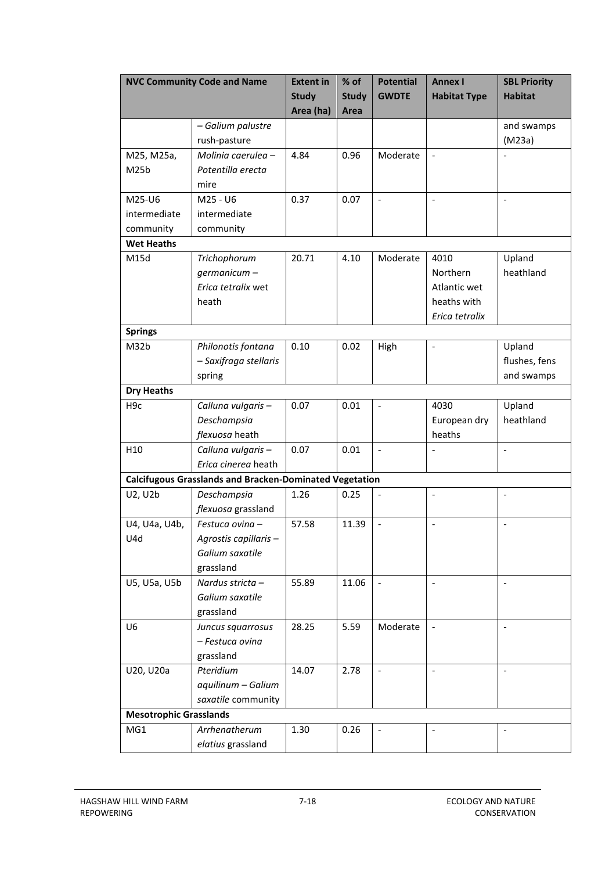| <b>NVC Community Code and Name</b> |                                                                | <b>Extent in</b><br><b>Study</b> | % of<br><b>Study</b> | <b>Potential</b><br><b>GWDTE</b> | <b>Annex I</b><br><b>Habitat Type</b> | <b>SBL Priority</b><br><b>Habitat</b> |
|------------------------------------|----------------------------------------------------------------|----------------------------------|----------------------|----------------------------------|---------------------------------------|---------------------------------------|
|                                    |                                                                | Area (ha)                        | Area                 |                                  |                                       |                                       |
|                                    | - Galium palustre                                              |                                  |                      |                                  |                                       | and swamps                            |
|                                    | rush-pasture                                                   |                                  |                      |                                  |                                       | (M23a)                                |
| M25, M25a,                         | Molinia caerulea -                                             | 4.84                             | 0.96                 | Moderate                         | $\overline{\phantom{a}}$              |                                       |
| M <sub>25</sub> b                  | Potentilla erecta                                              |                                  |                      |                                  |                                       |                                       |
|                                    | mire                                                           |                                  |                      |                                  |                                       |                                       |
| M25-U6                             | $M25 - U6$                                                     | 0.37                             | 0.07                 | $\blacksquare$                   | $\overline{\phantom{a}}$              | $\overline{\phantom{a}}$              |
| intermediate                       | intermediate                                                   |                                  |                      |                                  |                                       |                                       |
| community                          | community                                                      |                                  |                      |                                  |                                       |                                       |
| <b>Wet Heaths</b>                  |                                                                |                                  |                      |                                  |                                       |                                       |
| M15d                               | Trichophorum                                                   | 20.71                            | 4.10                 | Moderate                         | 4010                                  | Upland                                |
|                                    | germanicum -                                                   |                                  |                      |                                  | Northern                              | heathland                             |
|                                    | Erica tetralix wet                                             |                                  |                      |                                  | Atlantic wet                          |                                       |
|                                    | heath                                                          |                                  |                      |                                  | heaths with                           |                                       |
|                                    |                                                                |                                  |                      |                                  | Erica tetralix                        |                                       |
| <b>Springs</b>                     |                                                                |                                  |                      |                                  |                                       |                                       |
| M32b                               | Philonotis fontana                                             | 0.10                             | 0.02                 | High                             | $\overline{\phantom{a}}$              | Upland                                |
|                                    | - Saxifraga stellaris                                          |                                  |                      |                                  |                                       | flushes, fens<br>and swamps           |
| <b>Dry Heaths</b>                  | spring                                                         |                                  |                      |                                  |                                       |                                       |
| H <sub>9c</sub>                    | Calluna vulgaris-                                              | 0.07                             | 0.01                 | $\overline{\phantom{0}}$         | 4030                                  | Upland                                |
|                                    | Deschampsia                                                    |                                  |                      |                                  | European dry                          | heathland                             |
|                                    | flexuosa heath                                                 |                                  |                      |                                  | heaths                                |                                       |
| H <sub>10</sub>                    | Calluna vulgaris-                                              | 0.07                             | 0.01                 | $\overline{a}$                   |                                       | $\overline{\phantom{m}}$              |
|                                    | Erica cinerea heath                                            |                                  |                      |                                  |                                       |                                       |
|                                    | <b>Calcifugous Grasslands and Bracken-Dominated Vegetation</b> |                                  |                      |                                  |                                       |                                       |
| U2, U2b                            | Deschampsia                                                    | 1.26                             | 0.25                 | $\overline{\phantom{0}}$         |                                       |                                       |
|                                    | flexuosa grassland                                             |                                  |                      |                                  |                                       |                                       |
| U4, U4a, U4b,                      | Festuca ovina-                                                 | 57.58                            | 11.39                | $\overline{a}$                   |                                       |                                       |
| U4d                                | Agrostis capillaris -                                          |                                  |                      |                                  |                                       |                                       |
|                                    | Galium saxatile                                                |                                  |                      |                                  |                                       |                                       |
|                                    | grassland                                                      |                                  |                      |                                  |                                       |                                       |
| U5, U5a, U5b                       | Nardus stricta-                                                | 55.89                            | 11.06                | $\overline{\phantom{0}}$         | $\overline{\phantom{a}}$              | $\overline{\phantom{a}}$              |
|                                    | Galium saxatile                                                |                                  |                      |                                  |                                       |                                       |
|                                    | grassland                                                      |                                  |                      |                                  |                                       |                                       |
| U <sub>6</sub>                     | Juncus squarrosus                                              | 28.25                            | 5.59                 | Moderate                         |                                       | $\overline{\phantom{a}}$              |
|                                    | - Festuca ovina                                                |                                  |                      |                                  |                                       |                                       |
|                                    | grassland                                                      |                                  |                      |                                  |                                       |                                       |
| U20, U20a                          | Pteridium                                                      | 14.07                            | 2.78                 | $\overline{\phantom{a}}$         | $\overline{\phantom{a}}$              | $\overline{\phantom{a}}$              |
|                                    | aquilinum - Galium                                             |                                  |                      |                                  |                                       |                                       |
|                                    | saxatile community                                             |                                  |                      |                                  |                                       |                                       |
| <b>Mesotrophic Grasslands</b>      |                                                                |                                  |                      |                                  |                                       |                                       |
| MG1                                | Arrhenatherum                                                  | 1.30                             | 0.26                 |                                  |                                       |                                       |
|                                    | elatius grassland                                              |                                  |                      |                                  |                                       |                                       |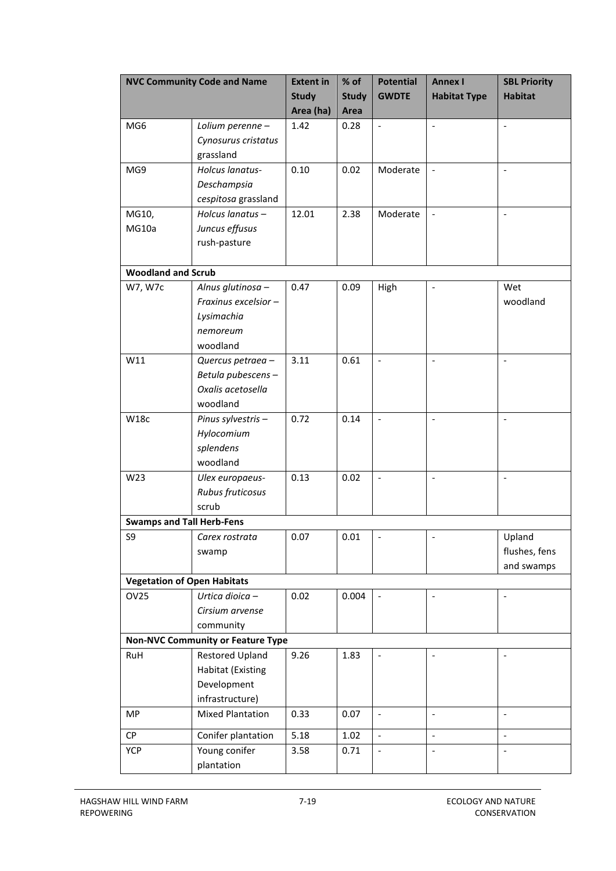|                                    | <b>NVC Community Code and Name</b>       | <b>Extent in</b><br><b>Study</b> | % of<br><b>Study</b> | <b>Potential</b><br><b>GWDTE</b> | <b>Annex I</b><br><b>Habitat Type</b> | <b>SBL Priority</b><br><b>Habitat</b> |
|------------------------------------|------------------------------------------|----------------------------------|----------------------|----------------------------------|---------------------------------------|---------------------------------------|
|                                    |                                          | Area (ha)                        | Area                 |                                  |                                       |                                       |
| MG6                                | Lolium perenne -                         | 1.42                             | 0.28                 | $\blacksquare$                   | $\overline{\phantom{a}}$              | $\overline{\phantom{0}}$              |
|                                    | Cynosurus cristatus                      |                                  |                      |                                  |                                       |                                       |
|                                    | grassland                                |                                  |                      |                                  |                                       |                                       |
| MG9                                | Holcus lanatus-                          | 0.10                             | 0.02                 | Moderate                         | $\overline{\phantom{a}}$              | $\blacksquare$                        |
|                                    | Deschampsia                              |                                  |                      |                                  |                                       |                                       |
|                                    | cespitosa grassland                      |                                  |                      |                                  |                                       |                                       |
| MG10,                              | Holcus lanatus-                          | 12.01                            | 2.38                 | Moderate                         |                                       | $\overline{\phantom{a}}$              |
| MG10a                              | Juncus effusus                           |                                  |                      |                                  |                                       |                                       |
|                                    | rush-pasture                             |                                  |                      |                                  |                                       |                                       |
| <b>Woodland and Scrub</b>          |                                          |                                  |                      |                                  |                                       |                                       |
| W7, W7c                            | Alnus glutinosa-                         | 0.47                             | 0.09                 | High                             |                                       | Wet                                   |
|                                    | Fraxinus excelsior -                     |                                  |                      |                                  |                                       | woodland                              |
|                                    | Lysimachia                               |                                  |                      |                                  |                                       |                                       |
|                                    | nemoreum                                 |                                  |                      |                                  |                                       |                                       |
|                                    | woodland                                 |                                  |                      |                                  |                                       |                                       |
| W11                                | Quercus petraea -                        | 3.11                             | 0.61                 | $\blacksquare$                   | $\overline{\phantom{a}}$              | $\overline{\phantom{a}}$              |
|                                    | Betula pubescens -                       |                                  |                      |                                  |                                       |                                       |
|                                    | Oxalis acetosella                        |                                  |                      |                                  |                                       |                                       |
|                                    | woodland                                 |                                  |                      |                                  |                                       |                                       |
| <b>W18c</b>                        | Pinus sylvestris-                        | 0.72                             | 0.14                 | $\overline{a}$                   |                                       |                                       |
|                                    | Hylocomium                               |                                  |                      |                                  |                                       |                                       |
|                                    | splendens                                |                                  |                      |                                  |                                       |                                       |
|                                    | woodland                                 |                                  |                      |                                  |                                       |                                       |
| W23                                | Ulex europaeus-                          | 0.13                             | 0.02                 | $\frac{1}{2}$                    |                                       | $\frac{1}{2}$                         |
|                                    | Rubus fruticosus                         |                                  |                      |                                  |                                       |                                       |
|                                    | scrub                                    |                                  |                      |                                  |                                       |                                       |
| <b>Swamps and Tall Herb-Fens</b>   |                                          |                                  |                      |                                  |                                       |                                       |
| S9                                 | Carex rostrata                           | 0.07                             | $0.01\,$             |                                  |                                       | Upland                                |
|                                    | swamp                                    |                                  |                      |                                  |                                       | flushes, fens                         |
|                                    |                                          |                                  |                      |                                  |                                       | and swamps                            |
| <b>Vegetation of Open Habitats</b> |                                          |                                  |                      |                                  |                                       |                                       |
| <b>OV25</b>                        | Urtica dioica -                          | 0.02                             | 0.004                |                                  |                                       |                                       |
|                                    | Cirsium arvense                          |                                  |                      |                                  |                                       |                                       |
|                                    | community                                |                                  |                      |                                  |                                       |                                       |
|                                    | <b>Non-NVC Community or Feature Type</b> |                                  |                      |                                  |                                       |                                       |
| RuH                                | Restored Upland                          | 9.26                             | 1.83                 |                                  |                                       |                                       |
|                                    | Habitat (Existing                        |                                  |                      |                                  |                                       |                                       |
|                                    | Development                              |                                  |                      |                                  |                                       |                                       |
|                                    | infrastructure)                          |                                  |                      |                                  |                                       |                                       |
| MP                                 | <b>Mixed Plantation</b>                  | 0.33                             | 0.07                 | $\blacksquare$                   |                                       | $\qquad \qquad \blacksquare$          |
| CP                                 | Conifer plantation                       | 5.18                             | 1.02                 | $\overline{a}$                   | $\overline{a}$                        |                                       |
| <b>YCP</b>                         | Young conifer                            | 3.58                             | 0.71                 | $\overline{a}$                   | $\overline{\phantom{a}}$              | $\overline{a}$                        |
|                                    | plantation                               |                                  |                      |                                  |                                       |                                       |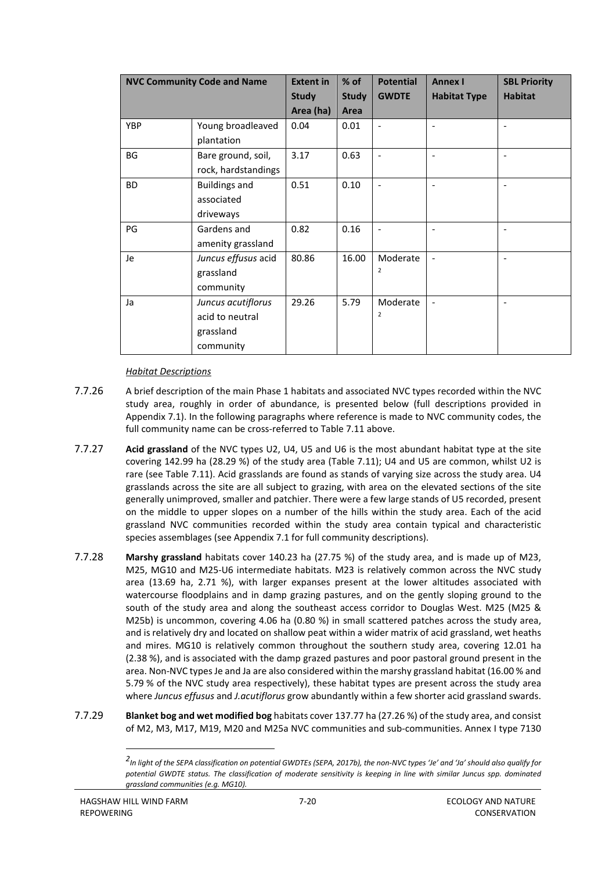|            | <b>NVC Community Code and Name</b>                              | <b>Extent in</b><br><b>Study</b> | % of<br><b>Study</b> | <b>Potential</b><br><b>GWDTE</b> | <b>Annex I</b><br><b>Habitat Type</b> | <b>SBL Priority</b><br><b>Habitat</b> |
|------------|-----------------------------------------------------------------|----------------------------------|----------------------|----------------------------------|---------------------------------------|---------------------------------------|
|            |                                                                 | Area (ha)                        | Area                 |                                  |                                       |                                       |
| <b>YBP</b> | Young broadleaved<br>plantation                                 | 0.04                             | 0.01                 | $\overline{\phantom{a}}$         |                                       |                                       |
| <b>BG</b>  | Bare ground, soil,<br>rock, hardstandings                       | 3.17                             | 0.63                 | $\overline{\phantom{a}}$         |                                       |                                       |
| <b>BD</b>  | <b>Buildings and</b><br>associated<br>driveways                 | 0.51                             | 0.10                 | $\overline{\phantom{a}}$         |                                       |                                       |
| PG         | Gardens and<br>amenity grassland                                | 0.82                             | 0.16                 |                                  | $\overline{\phantom{a}}$              |                                       |
| Je         | Juncus effusus acid<br>grassland<br>community                   | 80.86                            | 16.00                | Moderate<br>2                    |                                       |                                       |
| Ja         | Juncus acutiflorus<br>acid to neutral<br>grassland<br>community | 29.26                            | 5.79                 | Moderate<br>$\overline{2}$       |                                       |                                       |

#### *Habitat Descriptions*

- 7.7.26 A brief description of the main Phase 1 habitats and associated NVC types recorded within the NVC study area, roughly in order of abundance, is presented below (full descriptions provided in Appendix 7.1). In the following paragraphs where reference is made to NVC community codes, the full community name can be cross-referred to Table 7.11 above.
- 7.7.27 **Acid grassland** of the NVC types U2, U4, U5 and U6 is the most abundant habitat type at the site covering 142.99 ha (28.29 %) of the study area (Table 7.11); U4 and U5 are common, whilst U2 is rare (see Table 7.11). Acid grasslands are found as stands of varying size across the study area. U4 grasslands across the site are all subject to grazing, with area on the elevated sections of the site generally unimproved, smaller and patchier. There were a few large stands of U5 recorded, present on the middle to upper slopes on a number of the hills within the study area. Each of the acid grassland NVC communities recorded within the study area contain typical and characteristic species assemblages (see Appendix 7.1 for full community descriptions).
- 7.7.28 **Marshy grassland** habitats cover 140.23 ha (27.75 %) of the study area, and is made up of M23, M25, MG10 and M25-U6 intermediate habitats. M23 is relatively common across the NVC study area (13.69 ha, 2.71 %), with larger expanses present at the lower altitudes associated with watercourse floodplains and in damp grazing pastures, and on the gently sloping ground to the south of the study area and along the southeast access corridor to Douglas West. M25 (M25 & M25b) is uncommon, covering 4.06 ha (0.80 %) in small scattered patches across the study area, and is relatively dry and located on shallow peat within a wider matrix of acid grassland, wet heaths and mires. MG10 is relatively common throughout the southern study area, covering 12.01 ha (2.38 %), and is associated with the damp grazed pastures and poor pastoral ground present in the area. Non-NVC types Je and Ja are also considered within the marshy grassland habitat (16.00 % and 5.79 % of the NVC study area respectively), these habitat types are present across the study area where *Juncus effusus* and *J.acutiflorus* grow abundantly within a few shorter acid grassland swards.
- <span id="page-21-0"></span>7.7.29 **Blanket bog and wet modified bog** habitats cover 137.77 ha (27.26 %) of the study area, and consist of M2, M3, M17, M19, M20 and M25a NVC communities and sub-communities. Annex I type 7130

*<sup>2</sup>In light of the SEPA classification on potential GWDTEs (SEPA, 2017b), the non-NVC types 'Je' and 'Ja' should also qualify for potential GWDTE status. The classification of moderate sensitivity is keeping in line with similar Juncus spp. dominated grassland communities (e.g. MG10).*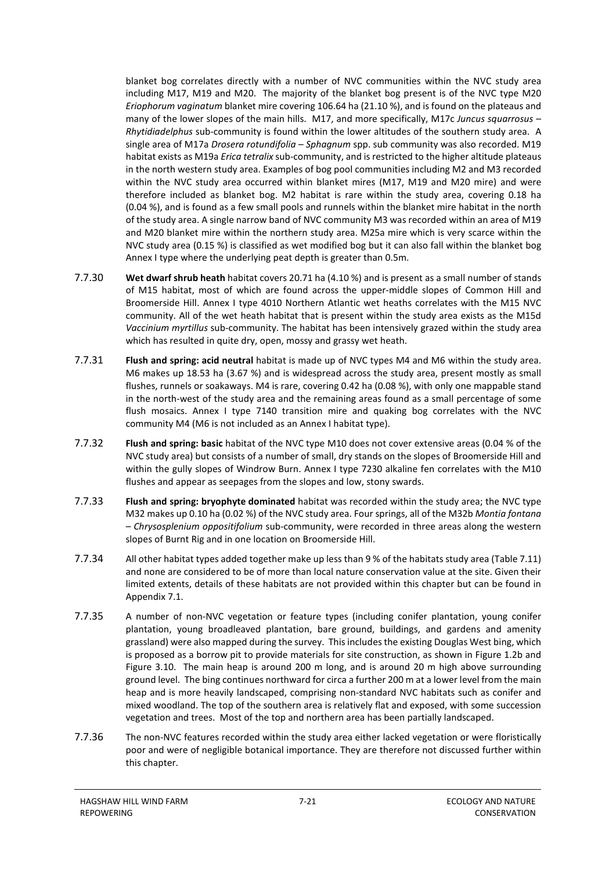blanket bog correlates directly with a number of NVC communities within the NVC study area including M17, M19 and M20. The majority of the blanket bog present is of the NVC type M20 *Eriophorum vaginatum* blanket mire covering 106.64 ha (21.10 %), and is found on the plateaus and many of the lower slopes of the main hills. M17, and more specifically, M17c *Juncus squarrosus* – *Rhytidiadelphus* sub-community is found within the lower altitudes of the southern study area. A single area of M17a *Drosera rotundifolia – Sphagnum* spp. sub community was also recorded. M19 habitat exists as M19a *Erica tetralix* sub-community, and is restricted to the higher altitude plateaus in the north western study area. Examples of bog pool communities including M2 and M3 recorded within the NVC study area occurred within blanket mires (M17, M19 and M20 mire) and were therefore included as blanket bog. M2 habitat is rare within the study area, covering 0.18 ha (0.04 %), and is found as a few small pools and runnels within the blanket mire habitat in the north of the study area. A single narrow band of NVC community M3 was recorded within an area of M19 and M20 blanket mire within the northern study area. M25a mire which is very scarce within the NVC study area (0.15 %) is classified as wet modified bog but it can also fall within the blanket bog Annex I type where the underlying peat depth is greater than 0.5m.

- 7.7.30 **Wet dwarf shrub heath** habitat covers 20.71 ha (4.10 %) and is present as a small number of stands of M15 habitat, most of which are found across the upper-middle slopes of Common Hill and Broomerside Hill. Annex I type 4010 Northern Atlantic wet heaths correlates with the M15 NVC community. All of the wet heath habitat that is present within the study area exists as the M15d *Vaccinium myrtillus* sub-community. The habitat has been intensively grazed within the study area which has resulted in quite dry, open, mossy and grassy wet heath.
- 7.7.31 **Flush and spring: acid neutral** habitat is made up of NVC types M4 and M6 within the study area. M6 makes up 18.53 ha (3.67 %) and is widespread across the study area, present mostly as small flushes, runnels or soakaways. M4 is rare, covering 0.42 ha (0.08 %), with only one mappable stand in the north-west of the study area and the remaining areas found as a small percentage of some flush mosaics. Annex I type 7140 transition mire and quaking bog correlates with the NVC community M4 (M6 is not included as an Annex I habitat type).
- 7.7.32 **Flush and spring: basic** habitat of the NVC type M10 does not cover extensive areas (0.04 % of the NVC study area) but consists of a number of small, dry stands on the slopes of Broomerside Hill and within the gully slopes of Windrow Burn. Annex I type 7230 alkaline fen correlates with the M10 flushes and appear as seepages from the slopes and low, stony swards.
- 7.7.33 **Flush and spring: bryophyte dominated** habitat was recorded within the study area; the NVC type M32 makes up 0.10 ha (0.02 %) of the NVC study area. Four springs, all of the M32b *Montia fontana – Chrysosplenium oppositifolium* sub-community, were recorded in three areas along the western slopes of Burnt Rig and in one location on Broomerside Hill.
- 7.7.34 All other habitat types added together make up less than 9 % of the habitats study area (Table 7.11) and none are considered to be of more than local nature conservation value at the site. Given their limited extents, details of these habitats are not provided within this chapter but can be found in Appendix 7.1.
- 7.7.35 A number of non-NVC vegetation or feature types (including conifer plantation, young conifer plantation, young broadleaved plantation, bare ground, buildings, and gardens and amenity grassland) were also mapped during the survey. This includes the existing Douglas West bing, which is proposed as a borrow pit to provide materials for site construction, as shown in Figure 1.2b and Figure 3.10. The main heap is around 200 m long, and is around 20 m high above surrounding ground level. The bing continues northward for circa a further 200 m at a lower level from the main heap and is more heavily landscaped, comprising non-standard NVC habitats such as conifer and mixed woodland. The top of the southern area is relatively flat and exposed, with some succession vegetation and trees. Most of the top and northern area has been partially landscaped.
- 7.7.36 The non-NVC features recorded within the study area either lacked vegetation or were floristically poor and were of negligible botanical importance. They are therefore not discussed further within this chapter.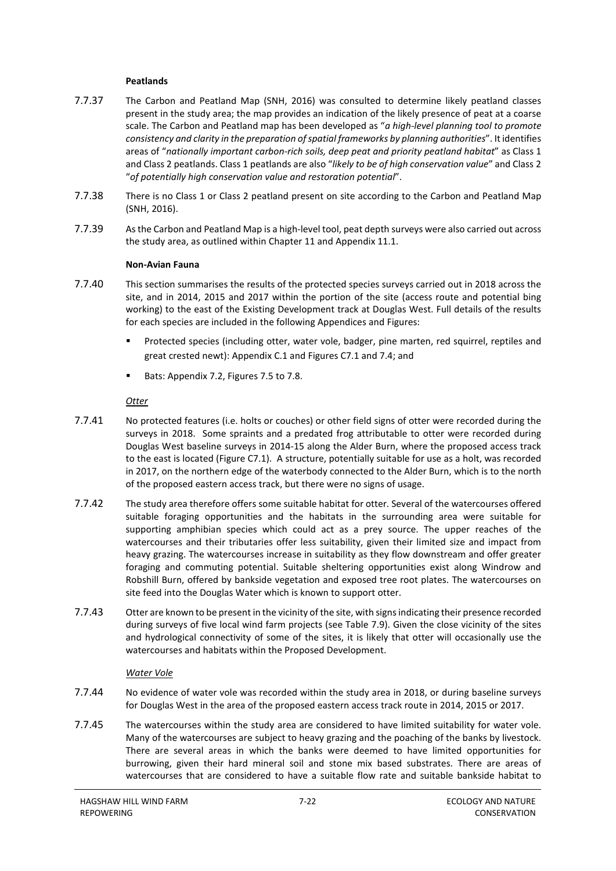#### **Peatlands**

- 7.7.37 The Carbon and Peatland Map (SNH, 2016) was consulted to determine likely peatland classes present in the study area; the map provides an indication of the likely presence of peat at a coarse scale. The Carbon and Peatland map has been developed as "*a high-level planning tool to promote consistency and clarity in the preparation of spatial frameworks by planning authorities*". It identifies areas of "*nationally important carbon-rich soils, deep peat and priority peatland habitat*" as Class 1 and Class 2 peatlands. Class 1 peatlands are also "*likely to be of high conservation value*" and Class 2 "*of potentially high conservation value and restoration potential*".
- 7.7.38 There is no Class 1 or Class 2 peatland present on site according to the Carbon and Peatland Map (SNH, 2016).
- 7.7.39 As the Carbon and Peatland Map is a high-level tool, peat depth surveys were also carried out across the study area, as outlined within Chapter 11 and Appendix 11.1.

#### **Non-Avian Fauna**

- 7.7.40 This section summarises the results of the protected species surveys carried out in 2018 across the site, and in 2014, 2015 and 2017 within the portion of the site (access route and potential bing working) to the east of the Existing Development track at Douglas West. Full details of the results for each species are included in the following Appendices and Figures:
	- Protected species (including otter, water vole, badger, pine marten, red squirrel, reptiles and great crested newt): Appendix C.1 and Figures C7.1 and 7.4; and
	- Bats: Appendix 7.2, Figures 7.5 to 7.8.

#### *Otter*

- 7.7.41 No protected features (i.e. holts or couches) or other field signs of otter were recorded during the surveys in 2018. Some spraints and a predated frog attributable to otter were recorded during Douglas West baseline surveys in 2014-15 along the Alder Burn, where the proposed access track to the east is located (Figure C7.1). A structure, potentially suitable for use as a holt, was recorded in 2017, on the northern edge of the waterbody connected to the Alder Burn, which is to the north of the proposed eastern access track, but there were no signs of usage.
- 7.7.42 The study area therefore offers some suitable habitat for otter. Several of the watercourses offered suitable foraging opportunities and the habitats in the surrounding area were suitable for supporting amphibian species which could act as a prey source. The upper reaches of the watercourses and their tributaries offer less suitability, given their limited size and impact from heavy grazing. The watercourses increase in suitability as they flow downstream and offer greater foraging and commuting potential. Suitable sheltering opportunities exist along Windrow and Robshill Burn, offered by bankside vegetation and exposed tree root plates. The watercourses on site feed into the Douglas Water which is known to support otter.
- 7.7.43 Otter are known to be present in the vicinity of the site, with signs indicating their presence recorded during surveys of five local wind farm projects (see Table 7.9). Given the close vicinity of the sites and hydrological connectivity of some of the sites, it is likely that otter will occasionally use the watercourses and habitats within the Proposed Development.

#### *Water Vole*

- 7.7.44 No evidence of water vole was recorded within the study area in 2018, or during baseline surveys for Douglas West in the area of the proposed eastern access track route in 2014, 2015 or 2017.
- 7.7.45 The watercourses within the study area are considered to have limited suitability for water vole. Many of the watercourses are subject to heavy grazing and the poaching of the banks by livestock. There are several areas in which the banks were deemed to have limited opportunities for burrowing, given their hard mineral soil and stone mix based substrates. There are areas of watercourses that are considered to have a suitable flow rate and suitable bankside habitat to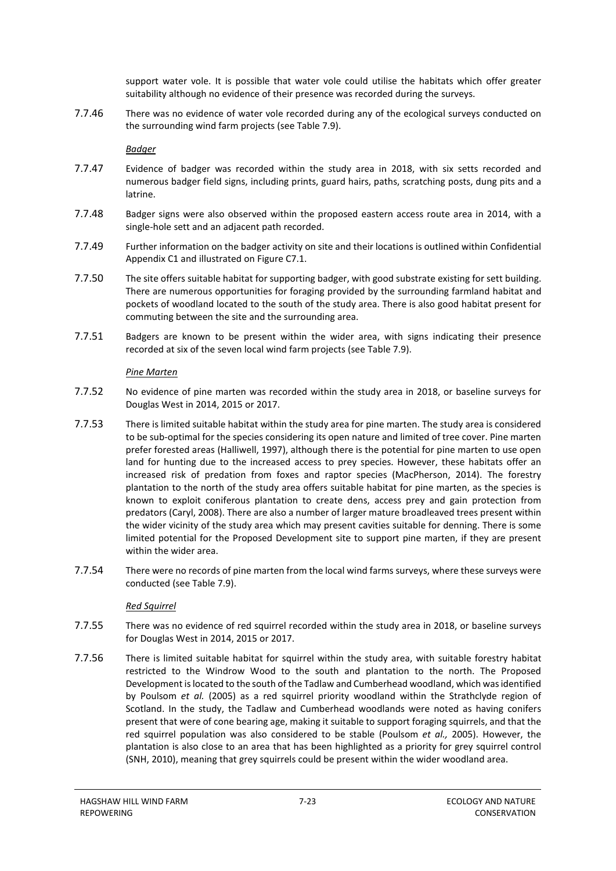support water vole. It is possible that water vole could utilise the habitats which offer greater suitability although no evidence of their presence was recorded during the surveys.

7.7.46 There was no evidence of water vole recorded during any of the ecological surveys conducted on the surrounding wind farm projects (see Table 7.9).

#### *Badger*

- 7.7.47 Evidence of badger was recorded within the study area in 2018, with six setts recorded and numerous badger field signs, including prints, guard hairs, paths, scratching posts, dung pits and a latrine.
- 7.7.48 Badger signs were also observed within the proposed eastern access route area in 2014, with a single-hole sett and an adjacent path recorded.
- 7.7.49 Further information on the badger activity on site and their locations is outlined within Confidential Appendix C1 and illustrated on Figure C7.1.
- 7.7.50 The site offers suitable habitat for supporting badger, with good substrate existing for sett building. There are numerous opportunities for foraging provided by the surrounding farmland habitat and pockets of woodland located to the south of the study area. There is also good habitat present for commuting between the site and the surrounding area.
- 7.7.51 Badgers are known to be present within the wider area, with signs indicating their presence recorded at six of the seven local wind farm projects (see Table 7.9).

#### *Pine Marten*

- 7.7.52 No evidence of pine marten was recorded within the study area in 2018, or baseline surveys for Douglas West in 2014, 2015 or 2017.
- 7.7.53 There is limited suitable habitat within the study area for pine marten. The study area is considered to be sub-optimal for the species considering its open nature and limited of tree cover. Pine marten prefer forested areas (Halliwell, 1997), although there is the potential for pine marten to use open land for hunting due to the increased access to prey species. However, these habitats offer an increased risk of predation from foxes and raptor species (MacPherson, 2014). The forestry plantation to the north of the study area offers suitable habitat for pine marten, as the species is known to exploit coniferous plantation to create dens, access prey and gain protection from predators (Caryl, 2008). There are also a number of larger mature broadleaved trees present within the wider vicinity of the study area which may present cavities suitable for denning. There is some limited potential for the Proposed Development site to support pine marten, if they are present within the wider area.
- 7.7.54 There were no records of pine marten from the local wind farms surveys, where these surveys were conducted (see Table 7.9).

#### *Red Squirrel*

- 7.7.55 There was no evidence of red squirrel recorded within the study area in 2018, or baseline surveys for Douglas West in 2014, 2015 or 2017.
- 7.7.56 There is limited suitable habitat for squirrel within the study area, with suitable forestry habitat restricted to the Windrow Wood to the south and plantation to the north. The Proposed Development is located to the south of the Tadlaw and Cumberhead woodland, which was identified by Poulsom *et al.* (2005) as a red squirrel priority woodland within the Strathclyde region of Scotland. In the study, the Tadlaw and Cumberhead woodlands were noted as having conifers present that were of cone bearing age, making it suitable to support foraging squirrels, and that the red squirrel population was also considered to be stable (Poulsom *et al.,* 2005). However, the plantation is also close to an area that has been highlighted as a priority for grey squirrel control (SNH, 2010), meaning that grey squirrels could be present within the wider woodland area.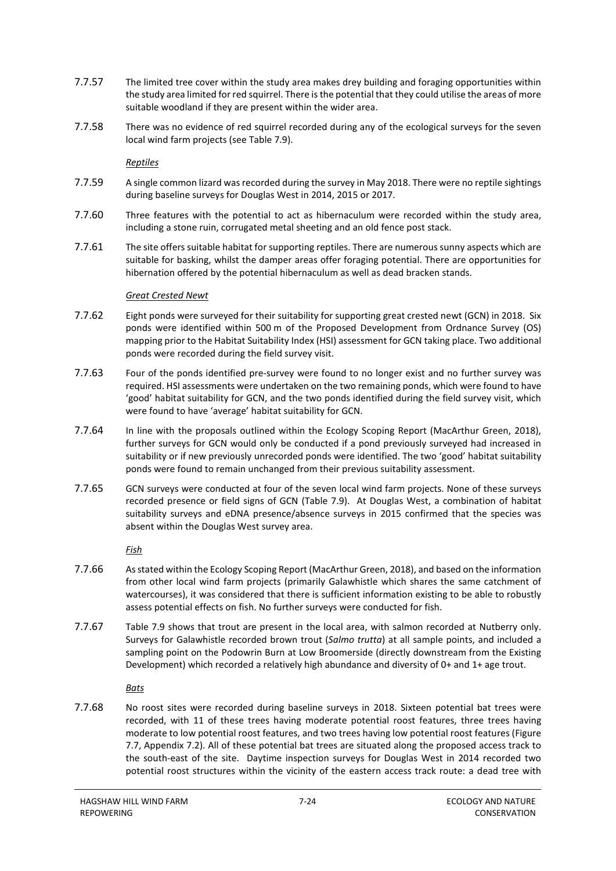- 7.7.57 The limited tree cover within the study area makes drey building and foraging opportunities within the study area limited for red squirrel. There is the potential that they could utilise the areas of more suitable woodland if they are present within the wider area.
- 7.7.58 There was no evidence of red squirrel recorded during any of the ecological surveys for the seven local wind farm projects (see Table 7.9).

*Reptiles*

- 7.7.59 A single common lizard was recorded during the survey in May 2018. There were no reptile sightings during baseline surveys for Douglas West in 2014, 2015 or 2017.
- 7.7.60 Three features with the potential to act as hibernaculum were recorded within the study area, including a stone ruin, corrugated metal sheeting and an old fence post stack.
- 7.7.61 The site offers suitable habitat for supporting reptiles. There are numerous sunny aspects which are suitable for basking, whilst the damper areas offer foraging potential. There are opportunities for hibernation offered by the potential hibernaculum as well as dead bracken stands.

#### *Great Crested Newt*

- 7.7.62 Eight ponds were surveyed for their suitability for supporting great crested newt (GCN) in 2018. Six ponds were identified within 500 m of the Proposed Development from Ordnance Survey (OS) mapping prior to the Habitat Suitability Index (HSI) assessment for GCN taking place. Two additional ponds were recorded during the field survey visit.
- 7.7.63 Four of the ponds identified pre-survey were found to no longer exist and no further survey was required. HSI assessments were undertaken on the two remaining ponds, which were found to have 'good' habitat suitability for GCN, and the two ponds identified during the field survey visit, which were found to have 'average' habitat suitability for GCN.
- 7.7.64 In line with the proposals outlined within the Ecology Scoping Report (MacArthur Green, 2018), further surveys for GCN would only be conducted if a pond previously surveyed had increased in suitability or if new previously unrecorded ponds were identified. The two 'good' habitat suitability ponds were found to remain unchanged from their previous suitability assessment.
- 7.7.65 GCN surveys were conducted at four of the seven local wind farm projects. None of these surveys recorded presence or field signs of GCN (Table 7.9). At Douglas West, a combination of habitat suitability surveys and eDNA presence/absence surveys in 2015 confirmed that the species was absent within the Douglas West survey area.

*Fish*

- 7.7.66 As stated within the Ecology Scoping Report (MacArthur Green, 2018), and based on the information from other local wind farm projects (primarily Galawhistle which shares the same catchment of watercourses), it was considered that there is sufficient information existing to be able to robustly assess potential effects on fish. No further surveys were conducted for fish.
- 7.7.67 Table 7.9 shows that trout are present in the local area, with salmon recorded at Nutberry only. Surveys for Galawhistle recorded brown trout (*Salmo trutta*) at all sample points, and included a sampling point on the Podowrin Burn at Low Broomerside (directly downstream from the Existing Development) which recorded a relatively high abundance and diversity of 0+ and 1+ age trout.

*Bats*

7.7.68 No roost sites were recorded during baseline surveys in 2018. Sixteen potential bat trees were recorded, with 11 of these trees having moderate potential roost features, three trees having moderate to low potential roost features, and two trees having low potential roost features (Figure 7.7, Appendix 7.2). All of these potential bat trees are situated along the proposed access track to the south-east of the site. Daytime inspection surveys for Douglas West in 2014 recorded two potential roost structures within the vicinity of the eastern access track route: a dead tree with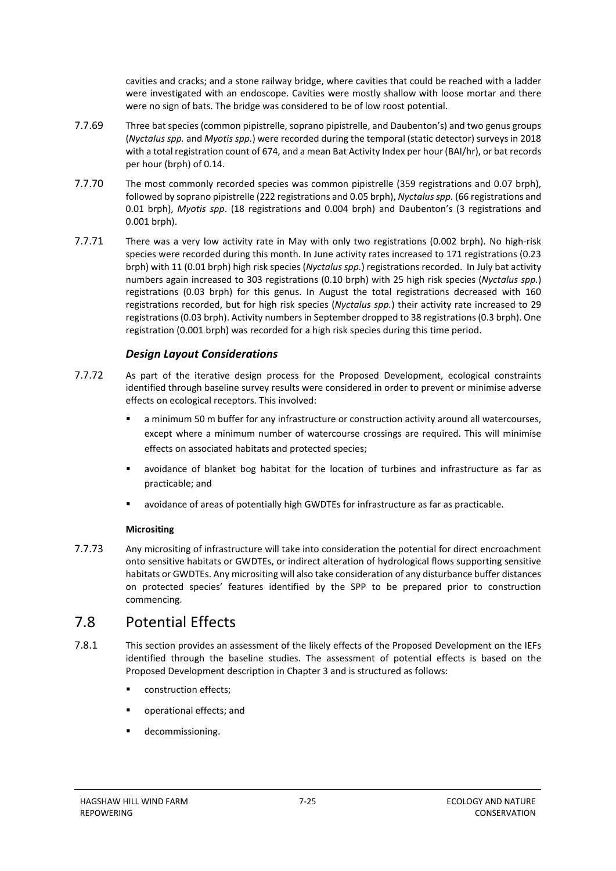cavities and cracks; and a stone railway bridge, where cavities that could be reached with a ladder were investigated with an endoscope. Cavities were mostly shallow with loose mortar and there were no sign of bats. The bridge was considered to be of low roost potential.

- 7.7.69 Three bat species (common pipistrelle, soprano pipistrelle, and Daubenton's) and two genus groups (*Nyctalus spp.* and *Myotis spp.*) were recorded during the temporal (static detector) surveys in 2018 with a total registration count of 674, and a mean Bat Activity Index per hour (BAI/hr), or bat records per hour (brph) of 0.14.
- 7.7.70 The most commonly recorded species was common pipistrelle (359 registrations and 0.07 brph), followed by soprano pipistrelle (222 registrations and 0.05 brph), *Nyctalus spp.* (66 registrations and 0.01 brph), *Myotis spp*. (18 registrations and 0.004 brph) and Daubenton's (3 registrations and 0.001 brph).
- 7.7.71 There was a very low activity rate in May with only two registrations (0.002 brph). No high-risk species were recorded during this month. In June activity rates increased to 171 registrations (0.23 brph) with 11 (0.01 brph) high risk species (*Nyctalus spp.*) registrations recorded. In July bat activity numbers again increased to 303 registrations (0.10 brph) with 25 high risk species (*Nyctalus spp.*) registrations (0.03 brph) for this genus. In August the total registrations decreased with 160 registrations recorded, but for high risk species (*Nyctalus spp.*) their activity rate increased to 29 registrations (0.03 brph). Activity numbers in September dropped to 38 registrations (0.3 brph). One registration (0.001 brph) was recorded for a high risk species during this time period.

### *Design Layout Considerations*

- 7.7.72 As part of the iterative design process for the Proposed Development, ecological constraints identified through baseline survey results were considered in order to prevent or minimise adverse effects on ecological receptors. This involved:
	- a minimum 50 m buffer for any infrastructure or construction activity around all watercourses, except where a minimum number of watercourse crossings are required. This will minimise effects on associated habitats and protected species;
	- avoidance of blanket bog habitat for the location of turbines and infrastructure as far as practicable; and
	- avoidance of areas of potentially high GWDTEs for infrastructure as far as practicable.

#### **Micrositing**

7.7.73 Any micrositing of infrastructure will take into consideration the potential for direct encroachment onto sensitive habitats or GWDTEs, or indirect alteration of hydrological flows supporting sensitive habitats or GWDTEs. Any micrositing will also take consideration of any disturbance buffer distances on protected species' features identified by the SPP to be prepared prior to construction commencing.

# <span id="page-26-0"></span>7.8 Potential Effects

- 7.8.1 This section provides an assessment of the likely effects of the Proposed Development on the IEFs identified through the baseline studies. The assessment of potential effects is based on the Proposed Development description in Chapter 3 and is structured as follows:
	- construction effects;
	- **•** operational effects; and
	- decommissioning.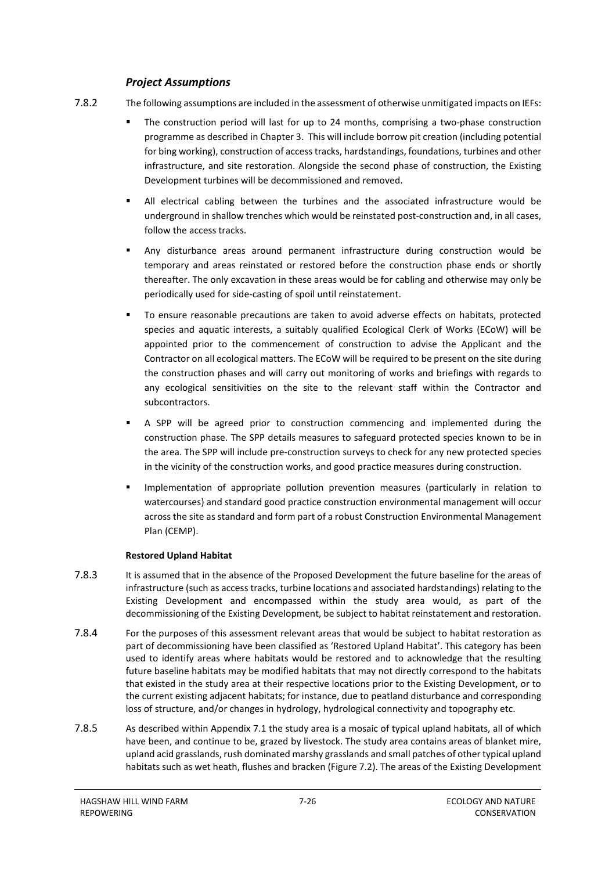### *Project Assumptions*

- 7.8.2 The following assumptions are included in the assessment of otherwise unmitigated impacts on IEFs:
	- The construction period will last for up to 24 months, comprising a two-phase construction programme as described in Chapter 3. This will include borrow pit creation (including potential for bing working), construction of access tracks, hardstandings, foundations, turbines and other infrastructure, and site restoration. Alongside the second phase of construction, the Existing Development turbines will be decommissioned and removed.
	- All electrical cabling between the turbines and the associated infrastructure would be underground in shallow trenches which would be reinstated post-construction and, in all cases, follow the access tracks.
	- Any disturbance areas around permanent infrastructure during construction would be temporary and areas reinstated or restored before the construction phase ends or shortly thereafter. The only excavation in these areas would be for cabling and otherwise may only be periodically used for side-casting of spoil until reinstatement.
	- To ensure reasonable precautions are taken to avoid adverse effects on habitats, protected species and aquatic interests, a suitably qualified Ecological Clerk of Works (ECoW) will be appointed prior to the commencement of construction to advise the Applicant and the Contractor on all ecological matters. The ECoW will be required to be present on the site during the construction phases and will carry out monitoring of works and briefings with regards to any ecological sensitivities on the site to the relevant staff within the Contractor and subcontractors.
	- A SPP will be agreed prior to construction commencing and implemented during the construction phase. The SPP details measures to safeguard protected species known to be in the area. The SPP will include pre-construction surveys to check for any new protected species in the vicinity of the construction works, and good practice measures during construction.
	- Implementation of appropriate pollution prevention measures (particularly in relation to watercourses) and standard good practice construction environmental management will occur across the site as standard and form part of a robust Construction Environmental Management Plan (CEMP).

#### **Restored Upland Habitat**

- <span id="page-27-0"></span>7.8.3 It is assumed that in the absence of the Proposed Development the future baseline for the areas of infrastructure (such as access tracks, turbine locations and associated hardstandings) relating to the Existing Development and encompassed within the study area would, as part of the decommissioning of the Existing Development, be subject to habitat reinstatement and restoration.
- 7.8.4 For the purposes of this assessment relevant areas that would be subject to habitat restoration as part of decommissioning have been classified as 'Restored Upland Habitat'. This category has been used to identify areas where habitats would be restored and to acknowledge that the resulting future baseline habitats may be modified habitats that may not directly correspond to the habitats that existed in the study area at their respective locations prior to the Existing Development, or to the current existing adjacent habitats; for instance, due to peatland disturbance and corresponding loss of structure, and/or changes in hydrology, hydrological connectivity and topography etc.
- 7.8.5 As described within Appendix 7.1 the study area is a mosaic of typical upland habitats, all of which have been, and continue to be, grazed by livestock. The study area contains areas of blanket mire, upland acid grasslands, rush dominated marshy grasslands and small patches of other typical upland habitats such as wet heath, flushes and bracken (Figure 7.2). The areas of the Existing Development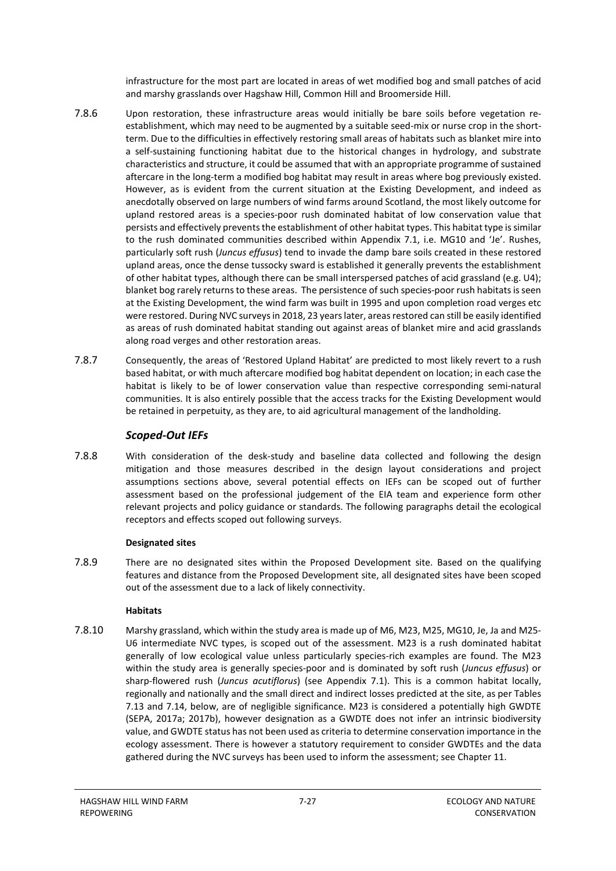infrastructure for the most part are located in areas of wet modified bog and small patches of acid and marshy grasslands over Hagshaw Hill, Common Hill and Broomerside Hill.

- 7.8.6 Upon restoration, these infrastructure areas would initially be bare soils before vegetation reestablishment, which may need to be augmented by a suitable seed-mix or nurse crop in the shortterm. Due to the difficulties in effectively restoring small areas of habitats such as blanket mire into a self-sustaining functioning habitat due to the historical changes in hydrology, and substrate characteristics and structure, it could be assumed that with an appropriate programme of sustained aftercare in the long-term a modified bog habitat may result in areas where bog previously existed. However, as is evident from the current situation at the Existing Development, and indeed as anecdotally observed on large numbers of wind farms around Scotland, the most likely outcome for upland restored areas is a species-poor rush dominated habitat of low conservation value that persists and effectively prevents the establishment of other habitat types. This habitat type is similar to the rush dominated communities described within Appendix 7.1, i.e. MG10 and 'Je'. Rushes, particularly soft rush (*Juncus effusus*) tend to invade the damp bare soils created in these restored upland areas, once the dense tussocky sward is established it generally prevents the establishment of other habitat types, although there can be small interspersed patches of acid grassland (e.g. U4); blanket bog rarely returns to these areas. The persistence of such species-poor rush habitats is seen at the Existing Development, the wind farm was built in 1995 and upon completion road verges etc were restored. During NVC surveys in 2018, 23 years later, areas restored can still be easily identified as areas of rush dominated habitat standing out against areas of blanket mire and acid grasslands along road verges and other restoration areas.
- <span id="page-28-0"></span>7.8.7 Consequently, the areas of 'Restored Upland Habitat' are predicted to most likely revert to a rush based habitat, or with much aftercare modified bog habitat dependent on location; in each case the habitat is likely to be of lower conservation value than respective corresponding semi-natural communities. It is also entirely possible that the access tracks for the Existing Development would be retained in perpetuity, as they are, to aid agricultural management of the landholding.

#### *Scoped-Out IEFs*

7.8.8 With consideration of the desk-study and baseline data collected and following the design mitigation and those measures described in the design layout considerations and project assumptions sections above, several potential effects on IEFs can be scoped out of further assessment based on the professional judgement of the EIA team and experience form other relevant projects and policy guidance or standards. The following paragraphs detail the ecological receptors and effects scoped out following surveys.

#### **Designated sites**

7.8.9 There are no designated sites within the Proposed Development site. Based on the qualifying features and distance from the Proposed Development site, all designated sites have been scoped out of the assessment due to a lack of likely connectivity.

#### **Habitats**

7.8.10 Marshy grassland, which within the study area is made up of M6, M23, M25, MG10, Je, Ja and M25- U6 intermediate NVC types, is scoped out of the assessment. M23 is a rush dominated habitat generally of low ecological value unless particularly species-rich examples are found. The M23 within the study area is generally species-poor and is dominated by soft rush (*Juncus effusus*) or sharp-flowered rush (*Juncus acutiflorus*) (see Appendix 7.1). This is a common habitat locally, regionally and nationally and the small direct and indirect losses predicted at the site, as per Tables 7.13 and 7.14, below, are of negligible significance. M23 is considered a potentially high GWDTE (SEPA, 2017a; 2017b), however designation as a GWDTE does not infer an intrinsic biodiversity value, and GWDTE status has not been used as criteria to determine conservation importance in the ecology assessment. There is however a statutory requirement to consider GWDTEs and the data gathered during the NVC surveys has been used to inform the assessment; see Chapter 11.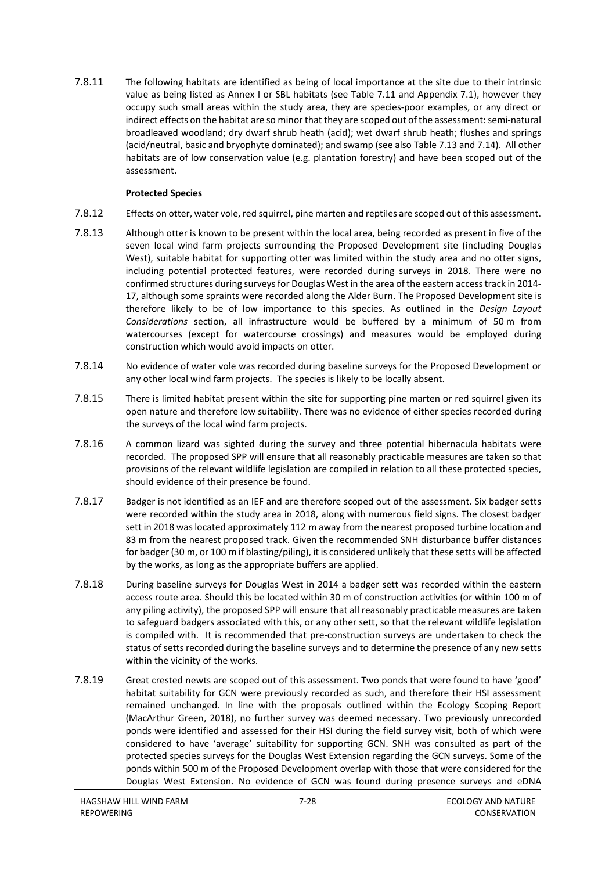7.8.11 The following habitats are identified as being of local importance at the site due to their intrinsic value as being listed as Annex I or SBL habitats (see Table 7.11 and Appendix 7.1), however they occupy such small areas within the study area, they are species-poor examples, or any direct or indirect effects on the habitat are so minor that they are scoped out of the assessment: semi-natural broadleaved woodland; dry dwarf shrub heath (acid); wet dwarf shrub heath; flushes and springs (acid/neutral, basic and bryophyte dominated); and swamp (see also Table 7.13 and 7.14). All other habitats are of low conservation value (e.g. plantation forestry) and have been scoped out of the assessment.

#### **Protected Species**

- 7.8.12 Effects on otter, water vole, red squirrel, pine marten and reptiles are scoped out of this assessment.
- 7.8.13 Although otter is known to be present within the local area, being recorded as present in five of the seven local wind farm projects surrounding the Proposed Development site (including Douglas West), suitable habitat for supporting otter was limited within the study area and no otter signs, including potential protected features, were recorded during surveys in 2018. There were no confirmed structures during surveys for Douglas West in the area of the eastern access track in 2014- 17, although some spraints were recorded along the Alder Burn. The Proposed Development site is therefore likely to be of low importance to this species. As outlined in the *Design Layout Considerations* section, all infrastructure would be buffered by a minimum of 50 m from watercourses (except for watercourse crossings) and measures would be employed during construction which would avoid impacts on otter.
- 7.8.14 No evidence of water vole was recorded during baseline surveys for the Proposed Development or any other local wind farm projects. The species is likely to be locally absent.
- 7.8.15 There is limited habitat present within the site for supporting pine marten or red squirrel given its open nature and therefore low suitability. There was no evidence of either species recorded during the surveys of the local wind farm projects.
- 7.8.16 A common lizard was sighted during the survey and three potential hibernacula habitats were recorded. The proposed SPP will ensure that all reasonably practicable measures are taken so that provisions of the relevant wildlife legislation are compiled in relation to all these protected species, should evidence of their presence be found.
- 7.8.17 Badger is not identified as an IEF and are therefore scoped out of the assessment. Six badger setts were recorded within the study area in 2018, along with numerous field signs. The closest badger sett in 2018 was located approximately 112 m away from the nearest proposed turbine location and 83 m from the nearest proposed track. Given the recommended SNH disturbance buffer distances for badger (30 m, or 100 m if blasting/piling), it is considered unlikely that these setts will be affected by the works, as long as the appropriate buffers are applied.
- 7.8.18 During baseline surveys for Douglas West in 2014 a badger sett was recorded within the eastern access route area. Should this be located within 30 m of construction activities (or within 100 m of any piling activity), the proposed SPP will ensure that all reasonably practicable measures are taken to safeguard badgers associated with this, or any other sett, so that the relevant wildlife legislation is compiled with. It is recommended that pre-construction surveys are undertaken to check the status of setts recorded during the baseline surveys and to determine the presence of any new setts within the vicinity of the works.
- 7.8.19 Great crested newts are scoped out of this assessment. Two ponds that were found to have 'good' habitat suitability for GCN were previously recorded as such, and therefore their HSI assessment remained unchanged. In line with the proposals outlined within the Ecology Scoping Report (MacArthur Green, 2018), no further survey was deemed necessary. Two previously unrecorded ponds were identified and assessed for their HSI during the field survey visit, both of which were considered to have 'average' suitability for supporting GCN. SNH was consulted as part of the protected species surveys for the Douglas West Extension regarding the GCN surveys. Some of the ponds within 500 m of the Proposed Development overlap with those that were considered for the Douglas West Extension. No evidence of GCN was found during presence surveys and eDNA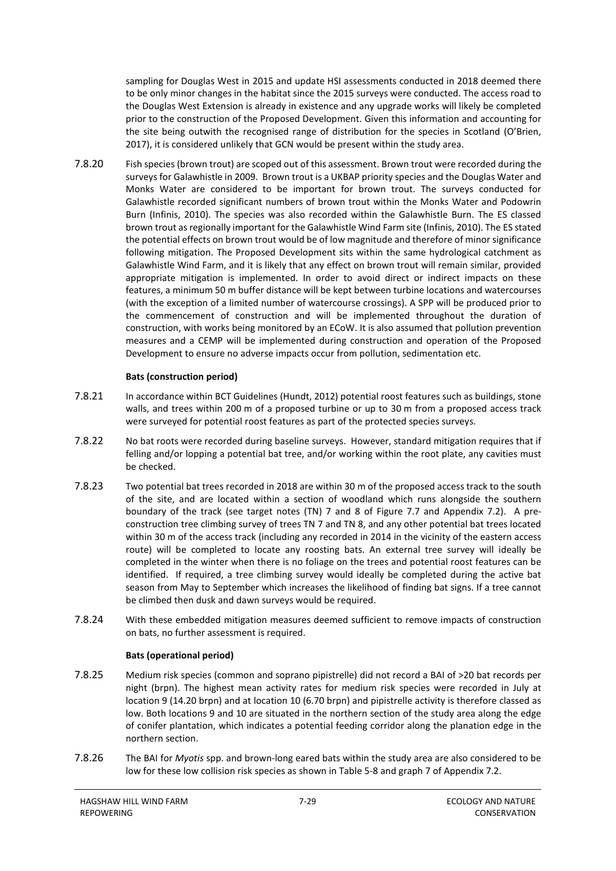sampling for Douglas West in 2015 and update HSI assessments conducted in 2018 deemed there to be only minor changes in the habitat since the 2015 surveys were conducted. The access road to the Douglas West Extension is already in existence and any upgrade works will likely be completed prior to the construction of the Proposed Development. Given this information and accounting for the site being outwith the recognised range of distribution for the species in Scotland (O'Brien, 2017), it is considered unlikely that GCN would be present within the study area.

7.8.20 Fish species (brown trout) are scoped out of this assessment. Brown trout were recorded during the surveys for Galawhistle in 2009. Brown trout is a UKBAP priority species and the Douglas Water and Monks Water are considered to be important for brown trout. The surveys conducted for Galawhistle recorded significant numbers of brown trout within the Monks Water and Podowrin Burn (Infinis, 2010). The species was also recorded within the Galawhistle Burn. The ES classed brown trout as regionally important for the Galawhistle Wind Farm site (Infinis, 2010). The ES stated the potential effects on brown trout would be of low magnitude and therefore of minor significance following mitigation. The Proposed Development sits within the same hydrological catchment as Galawhistle Wind Farm, and it is likely that any effect on brown trout will remain similar, provided appropriate mitigation is implemented. In order to avoid direct or indirect impacts on these features, a minimum 50 m buffer distance will be kept between turbine locations and watercourses (with the exception of a limited number of watercourse crossings). A SPP will be produced prior to the commencement of construction and will be implemented throughout the duration of construction, with works being monitored by an ECoW. It is also assumed that pollution prevention measures and a CEMP will be implemented during construction and operation of the Proposed Development to ensure no adverse impacts occur from pollution, sedimentation etc.

#### **Bats (construction period)**

- 7.8.21 In accordance within BCT Guidelines (Hundt, 2012) potential roost features such as buildings, stone walls, and trees within 200 m of a proposed turbine or up to 30 m from a proposed access track were surveyed for potential roost features as part of the protected species surveys.
- 7.8.22 No bat roots were recorded during baseline surveys. However, standard mitigation requires that if felling and/or lopping a potential bat tree, and/or working within the root plate, any cavities must be checked.
- 7.8.23 Two potential bat trees recorded in 2018 are within 30 m of the proposed access track to the south of the site, and are located within a section of woodland which runs alongside the southern boundary of the track (see target notes (TN) 7 and 8 of Figure 7.7 and Appendix 7.2). A preconstruction tree climbing survey of trees TN 7 and TN 8, and any other potential bat trees located within 30 m of the access track (including any recorded in 2014 in the vicinity of the eastern access route) will be completed to locate any roosting bats. An external tree survey will ideally be completed in the winter when there is no foliage on the trees and potential roost features can be identified. If required, a tree climbing survey would ideally be completed during the active bat season from May to September which increases the likelihood of finding bat signs. If a tree cannot be climbed then dusk and dawn surveys would be required.
- 7.8.24 With these embedded mitigation measures deemed sufficient to remove impacts of construction on bats, no further assessment is required.

#### **Bats (operational period)**

- 7.8.25 Medium risk species (common and soprano pipistrelle) did not record a BAI of >20 bat records per night (brpn). The highest mean activity rates for medium risk species were recorded in July at location 9 (14.20 brpn) and at location 10 (6.70 brpn) and pipistrelle activity is therefore classed as low. Both locations 9 and 10 are situated in the northern section of the study area along the edge of conifer plantation, which indicates a potential feeding corridor along the planation edge in the northern section.
- 7.8.26 The BAI for *Myotis* spp. and brown-long eared bats within the study area are also considered to be low for these low collision risk species as shown in Table 5-8 and graph 7 of Appendix 7.2.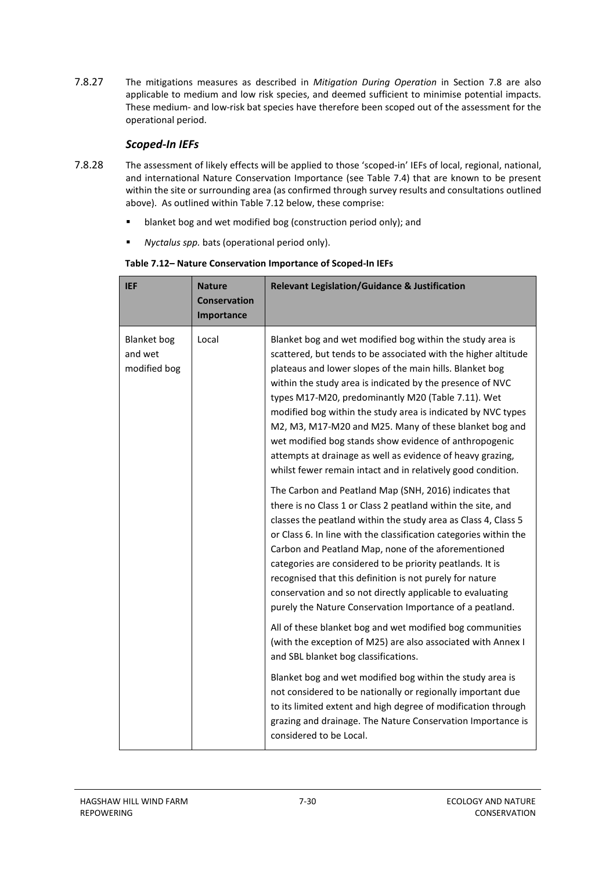7.8.27 The mitigations measures as described in *Mitigation During Operation* in Section 7.8 are also applicable to medium and low risk species, and deemed sufficient to minimise potential impacts. These medium- and low-risk bat species have therefore been scoped out of the assessment for the operational period.

### *Scoped-In IEFs*

- 7.8.28 The assessment of likely effects will be applied to those 'scoped-in' IEFs of local, regional, national, and international Nature Conservation Importance (see Table 7.4) that are known to be present within the site or surrounding area (as confirmed through survey results and consultations outlined above). As outlined within Table 7.12 below, these comprise:
	- **•** blanket bog and wet modified bog (construction period only); and
	- *Nyctalus spp.* bats (operational period only).

| <b>IEF</b>                                    | <b>Nature</b><br><b>Conservation</b><br>Importance | <b>Relevant Legislation/Guidance &amp; Justification</b>                                                                                                                                                                                                                                                                                                                                                                                                                                                                                                                                                                     |
|-----------------------------------------------|----------------------------------------------------|------------------------------------------------------------------------------------------------------------------------------------------------------------------------------------------------------------------------------------------------------------------------------------------------------------------------------------------------------------------------------------------------------------------------------------------------------------------------------------------------------------------------------------------------------------------------------------------------------------------------------|
| <b>Blanket</b> bog<br>and wet<br>modified bog | Local                                              | Blanket bog and wet modified bog within the study area is<br>scattered, but tends to be associated with the higher altitude<br>plateaus and lower slopes of the main hills. Blanket bog<br>within the study area is indicated by the presence of NVC<br>types M17-M20, predominantly M20 (Table 7.11). Wet<br>modified bog within the study area is indicated by NVC types<br>M2, M3, M17-M20 and M25. Many of these blanket bog and<br>wet modified bog stands show evidence of anthropogenic<br>attempts at drainage as well as evidence of heavy grazing,<br>whilst fewer remain intact and in relatively good condition. |
|                                               |                                                    | The Carbon and Peatland Map (SNH, 2016) indicates that<br>there is no Class 1 or Class 2 peatland within the site, and<br>classes the peatland within the study area as Class 4, Class 5<br>or Class 6. In line with the classification categories within the<br>Carbon and Peatland Map, none of the aforementioned<br>categories are considered to be priority peatlands. It is<br>recognised that this definition is not purely for nature<br>conservation and so not directly applicable to evaluating<br>purely the Nature Conservation Importance of a peatland.                                                       |
|                                               |                                                    | All of these blanket bog and wet modified bog communities<br>(with the exception of M25) are also associated with Annex I<br>and SBL blanket bog classifications.                                                                                                                                                                                                                                                                                                                                                                                                                                                            |
|                                               |                                                    | Blanket bog and wet modified bog within the study area is<br>not considered to be nationally or regionally important due<br>to its limited extent and high degree of modification through<br>grazing and drainage. The Nature Conservation Importance is<br>considered to be Local.                                                                                                                                                                                                                                                                                                                                          |

#### **Table 7.12– Nature Conservation Importance of Scoped-In IEFs**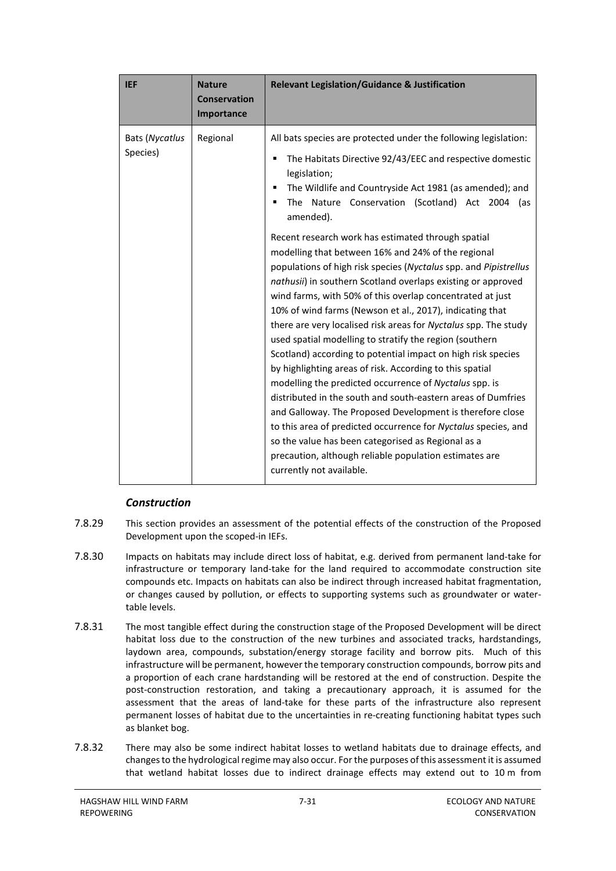| <b>IEF</b>                 | <b>Nature</b><br><b>Conservation</b><br>Importance | <b>Relevant Legislation/Guidance &amp; Justification</b>                                                                                                                                                                                                                                                                                                                                                                                                                                                                                                                                                                                                                                                                                                                                                                                                                                                       |
|----------------------------|----------------------------------------------------|----------------------------------------------------------------------------------------------------------------------------------------------------------------------------------------------------------------------------------------------------------------------------------------------------------------------------------------------------------------------------------------------------------------------------------------------------------------------------------------------------------------------------------------------------------------------------------------------------------------------------------------------------------------------------------------------------------------------------------------------------------------------------------------------------------------------------------------------------------------------------------------------------------------|
| Bats (Nycatlus<br>Species) | Regional                                           | All bats species are protected under the following legislation:<br>The Habitats Directive 92/43/EEC and respective domestic<br>٠<br>legislation;<br>The Wildlife and Countryside Act 1981 (as amended); and<br>The Nature Conservation (Scotland) Act 2004 (as<br>amended).<br>Recent research work has estimated through spatial<br>modelling that between 16% and 24% of the regional<br>populations of high risk species (Nyctalus spp. and Pipistrellus<br>nathusii) in southern Scotland overlaps existing or approved<br>wind farms, with 50% of this overlap concentrated at just<br>10% of wind farms (Newson et al., 2017), indicating that<br>there are very localised risk areas for Nyctalus spp. The study<br>used spatial modelling to stratify the region (southern<br>Scotland) according to potential impact on high risk species<br>by highlighting areas of risk. According to this spatial |
|                            |                                                    | modelling the predicted occurrence of Nyctalus spp. is<br>distributed in the south and south-eastern areas of Dumfries<br>and Galloway. The Proposed Development is therefore close<br>to this area of predicted occurrence for Nyctalus species, and<br>so the value has been categorised as Regional as a<br>precaution, although reliable population estimates are<br>currently not available.                                                                                                                                                                                                                                                                                                                                                                                                                                                                                                              |

#### *Construction*

- 7.8.29 This section provides an assessment of the potential effects of the construction of the Proposed Development upon the scoped-in IEFs.
- 7.8.30 Impacts on habitats may include direct loss of habitat, e.g. derived from permanent land-take for infrastructure or temporary land-take for the land required to accommodate construction site compounds etc. Impacts on habitats can also be indirect through increased habitat fragmentation, or changes caused by pollution, or effects to supporting systems such as groundwater or watertable levels.
- 7.8.31 The most tangible effect during the construction stage of the Proposed Development will be direct habitat loss due to the construction of the new turbines and associated tracks, hardstandings, laydown area, compounds, substation/energy storage facility and borrow pits. Much of this infrastructure will be permanent, however the temporary construction compounds, borrow pits and a proportion of each crane hardstanding will be restored at the end of construction. Despite the post-construction restoration, and taking a precautionary approach, it is assumed for the assessment that the areas of land-take for these parts of the infrastructure also represent permanent losses of habitat due to the uncertainties in re-creating functioning habitat types such as blanket bog.
- 7.8.32 There may also be some indirect habitat losses to wetland habitats due to drainage effects, and changes to the hydrological regime may also occur. For the purposes of this assessment it is assumed that wetland habitat losses due to indirect drainage effects may extend out to 10 m from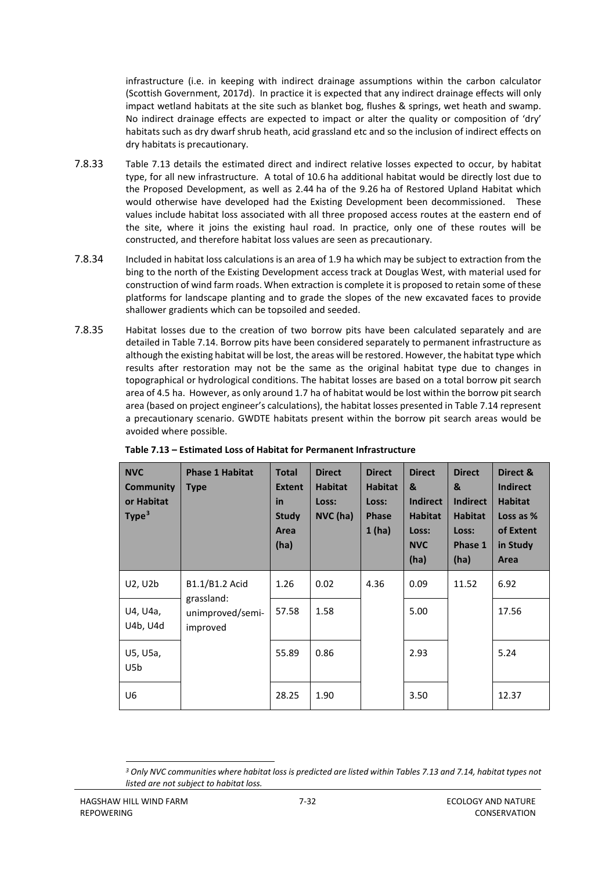infrastructure (i.e. in keeping with indirect drainage assumptions within the carbon calculator (Scottish Government, 2017d). In practice it is expected that any indirect drainage effects will only impact wetland habitats at the site such as blanket bog, flushes & springs, wet heath and swamp. No indirect drainage effects are expected to impact or alter the quality or composition of 'dry' habitats such as dry dwarf shrub heath, acid grassland etc and so the inclusion of indirect effects on dry habitats is precautionary.

- 7.8.33 Table 7.13 details the estimated direct and indirect relative losses expected to occur, by habitat type, for all new infrastructure. A total of 10.6 ha additional habitat would be directly lost due to the Proposed Development, as well as 2.44 ha of the 9.26 ha of Restored Upland Habitat which would otherwise have developed had the Existing Development been decommissioned. These values include habitat loss associated with all three proposed access routes at the eastern end of the site, where it joins the existing haul road. In practice, only one of these routes will be constructed, and therefore habitat loss values are seen as precautionary.
- 7.8.34 Included in habitat loss calculations is an area of 1.9 ha which may be subject to extraction from the bing to the north of the Existing Development access track at Douglas West, with material used for construction of wind farm roads. When extraction is complete it is proposed to retain some of these platforms for landscape planting and to grade the slopes of the new excavated faces to provide shallower gradients which can be topsoiled and seeded.
- 7.8.35 Habitat losses due to the creation of two borrow pits have been calculated separately and are detailed in Table 7.14. Borrow pits have been considered separately to permanent infrastructure as although the existing habitat will be lost, the areas will be restored. However, the habitat type which results after restoration may not be the same as the original habitat type due to changes in topographical or hydrological conditions. The habitat losses are based on a total borrow pit search area of 4.5 ha. However, as only around 1.7 ha of habitat would be lost within the borrow pit search area (based on project engineer's calculations), the habitat losses presented in Table 7.14 represent a precautionary scenario. GWDTE habitats present within the borrow pit search areas would be avoided where possible.

| <b>NVC</b><br><b>Community</b><br>or Habitat<br>Type <sup>3</sup> | <b>Phase 1 Habitat</b><br><b>Type</b>                        | <b>Total</b><br><b>Extent</b><br>in<br><b>Study</b><br>Area<br>(ha) | <b>Direct</b><br><b>Habitat</b><br>Loss:<br>NVC (ha) | <b>Direct</b><br><b>Habitat</b><br>Loss:<br><b>Phase</b><br>1(ha) | <b>Direct</b><br>&<br><b>Indirect</b><br><b>Habitat</b><br>Loss:<br><b>NVC</b><br>(ha) | <b>Direct</b><br>&<br><b>Indirect</b><br><b>Habitat</b><br>Loss:<br>Phase 1<br>(ha) | Direct &<br><b>Indirect</b><br><b>Habitat</b><br>Loss as %<br>of Extent<br>in Study<br>Area |
|-------------------------------------------------------------------|--------------------------------------------------------------|---------------------------------------------------------------------|------------------------------------------------------|-------------------------------------------------------------------|----------------------------------------------------------------------------------------|-------------------------------------------------------------------------------------|---------------------------------------------------------------------------------------------|
| U2, U2b                                                           | B1.1/B1.2 Acid<br>grassland:<br>unimproved/semi-<br>improved | 1.26                                                                | 0.02                                                 | 4.36                                                              | 0.09                                                                                   | 11.52                                                                               | 6.92                                                                                        |
| U4, U4a,<br>U4b, U4d                                              |                                                              | 57.58                                                               | 1.58                                                 |                                                                   | 5.00                                                                                   |                                                                                     | 17.56                                                                                       |
| U5, U5a,<br>U5b                                                   |                                                              | 55.89                                                               | 0.86                                                 |                                                                   | 2.93                                                                                   |                                                                                     | 5.24                                                                                        |
| U6                                                                |                                                              | 28.25                                                               | 1.90                                                 |                                                                   | 3.50                                                                                   |                                                                                     | 12.37                                                                                       |

**Table 7.13 – Estimated Loss of Habitat for Permanent Infrastructure**

<span id="page-33-0"></span> *<sup>3</sup> Only NVC communities where habitat loss is predicted are listed within Tables 7.13 and 7.14, habitat types not listed are not subject to habitat loss.*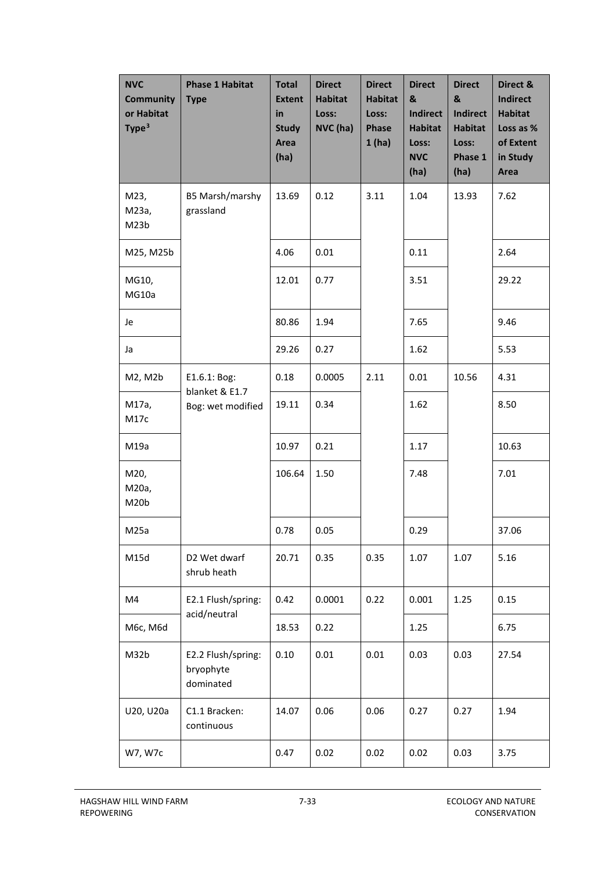| <b>NVC</b><br><b>Community</b><br>or Habitat<br>Type $3$ | <b>Phase 1 Habitat</b><br><b>Type</b>               | <b>Total</b><br><b>Extent</b><br>in<br><b>Study</b><br>Area<br>(ha) | <b>Direct</b><br><b>Habitat</b><br>Loss:<br>NVC (ha) | <b>Direct</b><br><b>Habitat</b><br>Loss:<br><b>Phase</b><br>1(ha) | <b>Direct</b><br>&<br><b>Indirect</b><br><b>Habitat</b><br>Loss:<br><b>NVC</b><br>(ha) | <b>Direct</b><br>&<br><b>Indirect</b><br><b>Habitat</b><br>Loss:<br>Phase 1<br>(ha) | Direct &<br><b>Indirect</b><br><b>Habitat</b><br>Loss as %<br>of Extent<br>in Study<br>Area |
|----------------------------------------------------------|-----------------------------------------------------|---------------------------------------------------------------------|------------------------------------------------------|-------------------------------------------------------------------|----------------------------------------------------------------------------------------|-------------------------------------------------------------------------------------|---------------------------------------------------------------------------------------------|
| M23,<br>M23a,<br>M23b                                    | B5 Marsh/marshy<br>grassland                        | 13.69                                                               | 0.12                                                 | 3.11                                                              | 1.04                                                                                   | 13.93                                                                               | 7.62                                                                                        |
| M25, M25b                                                |                                                     | 4.06                                                                | 0.01                                                 |                                                                   | 0.11                                                                                   |                                                                                     | 2.64                                                                                        |
| MG10,<br>MG10a                                           |                                                     | 12.01                                                               | 0.77                                                 |                                                                   | 3.51                                                                                   |                                                                                     | 29.22                                                                                       |
| Je                                                       |                                                     | 80.86                                                               | 1.94                                                 |                                                                   | 7.65                                                                                   |                                                                                     | 9.46                                                                                        |
| Ja                                                       |                                                     | 29.26                                                               | 0.27                                                 |                                                                   | 1.62                                                                                   |                                                                                     | 5.53                                                                                        |
| M2, M2b                                                  | E1.6.1: Bog:<br>blanket & E1.7<br>Bog: wet modified | 0.18                                                                | 0.0005                                               | 2.11                                                              | 0.01                                                                                   | 10.56                                                                               | 4.31                                                                                        |
| M17a,<br>M17c                                            |                                                     | 19.11                                                               | 0.34                                                 |                                                                   | 1.62                                                                                   |                                                                                     | 8.50                                                                                        |
| M19a                                                     |                                                     | 10.97                                                               | 0.21                                                 |                                                                   | 1.17                                                                                   |                                                                                     | 10.63                                                                                       |
| M20,<br>M20a,<br>M20b                                    |                                                     | 106.64                                                              | 1.50                                                 |                                                                   | 7.48                                                                                   |                                                                                     | 7.01                                                                                        |
| M25a                                                     |                                                     | 0.78                                                                | 0.05                                                 |                                                                   | 0.29                                                                                   |                                                                                     | 37.06                                                                                       |
| M15d                                                     | D2 Wet dwarf<br>shrub heath                         | 20.71                                                               | 0.35                                                 | 0.35                                                              | 1.07                                                                                   | 1.07                                                                                | 5.16                                                                                        |
| M4                                                       | E2.1 Flush/spring:<br>acid/neutral                  | 0.42                                                                | 0.0001                                               | 0.22                                                              | 0.001                                                                                  | 1.25                                                                                | 0.15                                                                                        |
| M6c, M6d                                                 |                                                     | 18.53                                                               | 0.22                                                 |                                                                   | 1.25                                                                                   |                                                                                     | 6.75                                                                                        |
| M32b                                                     | E2.2 Flush/spring:<br>bryophyte<br>dominated        | 0.10                                                                | 0.01                                                 | 0.01                                                              | 0.03                                                                                   | 0.03                                                                                | 27.54                                                                                       |
| U20, U20a                                                | C1.1 Bracken:<br>continuous                         | 14.07                                                               | 0.06                                                 | 0.06                                                              | 0.27                                                                                   | 0.27                                                                                | 1.94                                                                                        |
| W7, W7c                                                  |                                                     | 0.47                                                                | 0.02                                                 | 0.02                                                              | 0.02                                                                                   | 0.03                                                                                | 3.75                                                                                        |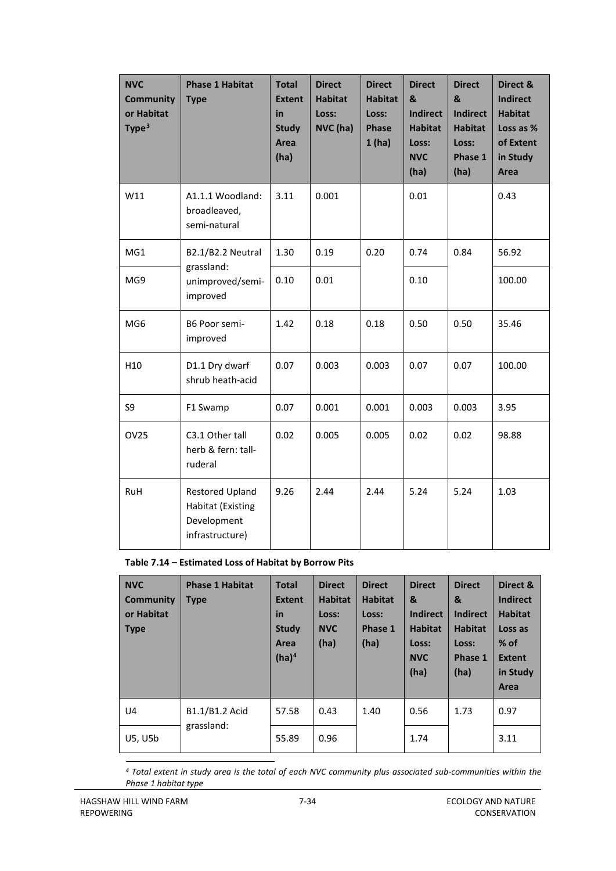| <b>NVC</b><br><b>Community</b><br>or Habitat<br>Type $3$ | <b>Phase 1 Habitat</b><br><b>Type</b>                                         | <b>Total</b><br><b>Extent</b><br>in<br><b>Study</b><br>Area<br>(ha) | <b>Direct</b><br><b>Habitat</b><br>Loss:<br>NVC (ha) | <b>Direct</b><br><b>Habitat</b><br>Loss:<br><b>Phase</b><br>1(ha) | <b>Direct</b><br>&<br><b>Indirect</b><br><b>Habitat</b><br>Loss:<br><b>NVC</b><br>(ha) | <b>Direct</b><br>&<br><b>Indirect</b><br><b>Habitat</b><br>Loss:<br>Phase 1<br>(ha) | Direct &<br><b>Indirect</b><br><b>Habitat</b><br>Loss as %<br>of Extent<br>in Study<br>Area |
|----------------------------------------------------------|-------------------------------------------------------------------------------|---------------------------------------------------------------------|------------------------------------------------------|-------------------------------------------------------------------|----------------------------------------------------------------------------------------|-------------------------------------------------------------------------------------|---------------------------------------------------------------------------------------------|
| W11                                                      | A1.1.1 Woodland:<br>broadleaved,<br>semi-natural                              | 3.11                                                                | 0.001                                                |                                                                   | 0.01                                                                                   |                                                                                     | 0.43                                                                                        |
| MG1                                                      | B2.1/B2.2 Neutral                                                             | 1.30                                                                | 0.19                                                 | 0.20                                                              | 0.74                                                                                   | 0.84                                                                                | 56.92                                                                                       |
| MG9                                                      | grassland:<br>unimproved/semi-<br>improved                                    | 0.10                                                                | 0.01                                                 |                                                                   | 0.10                                                                                   |                                                                                     | 100.00                                                                                      |
| MG6                                                      | B6 Poor semi-<br>improved                                                     | 1.42                                                                | 0.18                                                 | 0.18                                                              | 0.50                                                                                   | 0.50                                                                                | 35.46                                                                                       |
| H10                                                      | D1.1 Dry dwarf<br>shrub heath-acid                                            | 0.07                                                                | 0.003                                                | 0.003                                                             | 0.07                                                                                   | 0.07                                                                                | 100.00                                                                                      |
| S9                                                       | F1 Swamp                                                                      | 0.07                                                                | 0.001                                                | 0.001                                                             | 0.003                                                                                  | 0.003                                                                               | 3.95                                                                                        |
| <b>OV25</b>                                              | C3.1 Other tall<br>herb & fern: tall-<br>ruderal                              | 0.02                                                                | 0.005                                                | 0.005                                                             | 0.02                                                                                   | 0.02                                                                                | 98.88                                                                                       |
| RuH                                                      | Restored Upland<br><b>Habitat (Existing</b><br>Development<br>infrastructure) | 9.26                                                                | 2.44                                                 | 2.44                                                              | 5.24                                                                                   | 5.24                                                                                | 1.03                                                                                        |

**Table 7.14 – Estimated Loss of Habitat by Borrow Pits**

| <b>NVC</b><br>Community<br>or Habitat<br><b>Type</b> | <b>Phase 1 Habitat</b><br><b>Type</b> | <b>Total</b><br><b>Extent</b><br>in<br><b>Study</b><br>Area<br>$(ha)^4$ | <b>Direct</b><br><b>Habitat</b><br>Loss:<br><b>NVC</b><br>(ha) | <b>Direct</b><br><b>Habitat</b><br>Loss:<br>Phase 1<br>(ha) | <b>Direct</b><br>&<br><b>Indirect</b><br><b>Habitat</b><br>Loss:<br><b>NVC</b><br>(ha) | <b>Direct</b><br>&<br><b>Indirect</b><br><b>Habitat</b><br>Loss:<br>Phase 1<br>(ha) | Direct &<br><b>Indirect</b><br><b>Habitat</b><br>Loss as<br>$%$ of<br><b>Extent</b><br>in Study<br>Area |
|------------------------------------------------------|---------------------------------------|-------------------------------------------------------------------------|----------------------------------------------------------------|-------------------------------------------------------------|----------------------------------------------------------------------------------------|-------------------------------------------------------------------------------------|---------------------------------------------------------------------------------------------------------|
| U4                                                   | B1.1/B1.2 Acid<br>grassland:          | 57.58                                                                   | 0.43                                                           | 1.40                                                        | 0.56                                                                                   | 1.73                                                                                | 0.97                                                                                                    |
| U5, U5b                                              |                                       | 55.89                                                                   | 0.96                                                           |                                                             | 1.74                                                                                   |                                                                                     | 3.11                                                                                                    |

<span id="page-35-0"></span> *4 Total extent in study area is the total of each NVC community plus associated sub-communities within the Phase 1 habitat type*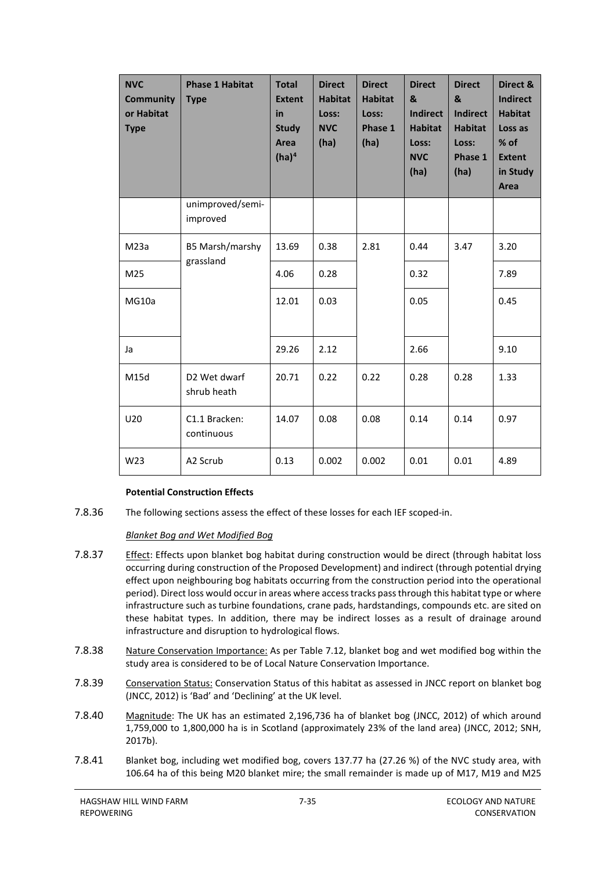| <b>NVC</b><br><b>Community</b><br>or Habitat<br><b>Type</b> | <b>Phase 1 Habitat</b><br><b>Type</b> | <b>Total</b><br><b>Extent</b><br>in<br><b>Study</b><br>Area<br>$(ha)^4$ | <b>Direct</b><br><b>Habitat</b><br>Loss:<br><b>NVC</b><br>(ha) | <b>Direct</b><br><b>Habitat</b><br>Loss:<br>Phase 1<br>(ha) | <b>Direct</b><br>&<br><b>Indirect</b><br><b>Habitat</b><br>Loss:<br><b>NVC</b><br>(ha) | <b>Direct</b><br>&<br><b>Indirect</b><br><b>Habitat</b><br>Loss:<br>Phase 1<br>(ha) | Direct &<br>Indirect<br><b>Habitat</b><br>Loss as<br>% of<br><b>Extent</b><br>in Study<br>Area |
|-------------------------------------------------------------|---------------------------------------|-------------------------------------------------------------------------|----------------------------------------------------------------|-------------------------------------------------------------|----------------------------------------------------------------------------------------|-------------------------------------------------------------------------------------|------------------------------------------------------------------------------------------------|
|                                                             | unimproved/semi-<br>improved          |                                                                         |                                                                |                                                             |                                                                                        |                                                                                     |                                                                                                |
| M <sub>23a</sub>                                            | B5 Marsh/marshy<br>grassland          | 13.69                                                                   | 0.38                                                           | 2.81                                                        | 0.44                                                                                   | 3.47                                                                                | 3.20                                                                                           |
| M25                                                         |                                       | 4.06                                                                    | 0.28                                                           |                                                             | 0.32                                                                                   |                                                                                     | 7.89                                                                                           |
| MG10a                                                       |                                       | 12.01                                                                   | 0.03                                                           |                                                             | 0.05                                                                                   |                                                                                     | 0.45                                                                                           |
| Ja                                                          |                                       | 29.26                                                                   | 2.12                                                           |                                                             | 2.66                                                                                   |                                                                                     | 9.10                                                                                           |
| M15d                                                        | D2 Wet dwarf<br>shrub heath           | 20.71                                                                   | 0.22                                                           | 0.22                                                        | 0.28                                                                                   | 0.28                                                                                | 1.33                                                                                           |
| U <sub>20</sub>                                             | C1.1 Bracken:<br>continuous           | 14.07                                                                   | 0.08                                                           | 0.08                                                        | 0.14                                                                                   | 0.14                                                                                | 0.97                                                                                           |
| W <sub>23</sub>                                             | A2 Scrub                              | 0.13                                                                    | 0.002                                                          | 0.002                                                       | 0.01                                                                                   | 0.01                                                                                | 4.89                                                                                           |

#### **Potential Construction Effects**

7.8.36 The following sections assess the effect of these losses for each IEF scoped-in.

#### *Blanket Bog and Wet Modified Bog*

- 7.8.37 Effect: Effects upon blanket bog habitat during construction would be direct (through habitat loss occurring during construction of the Proposed Development) and indirect (through potential drying effect upon neighbouring bog habitats occurring from the construction period into the operational period). Direct loss would occur in areas where access tracks pass through this habitat type or where infrastructure such as turbine foundations, crane pads, hardstandings, compounds etc. are sited on these habitat types. In addition, there may be indirect losses as a result of drainage around infrastructure and disruption to hydrological flows.
- 7.8.38 Nature Conservation Importance: As per Table 7.12, blanket bog and wet modified bog within the study area is considered to be of Local Nature Conservation Importance.
- 7.8.39 Conservation Status: Conservation Status of this habitat as assessed in JNCC report on blanket bog (JNCC, 2012) is 'Bad' and 'Declining' at the UK level.
- 7.8.40 Magnitude: The UK has an estimated 2,196,736 ha of blanket bog (JNCC, 2012) of which around 1,759,000 to 1,800,000 ha is in Scotland (approximately 23% of the land area) (JNCC, 2012; SNH, 2017b).
- 7.8.41 Blanket bog, including wet modified bog, covers 137.77 ha (27.26 %) of the NVC study area, with 106.64 ha of this being M20 blanket mire; the small remainder is made up of M17, M19 and M25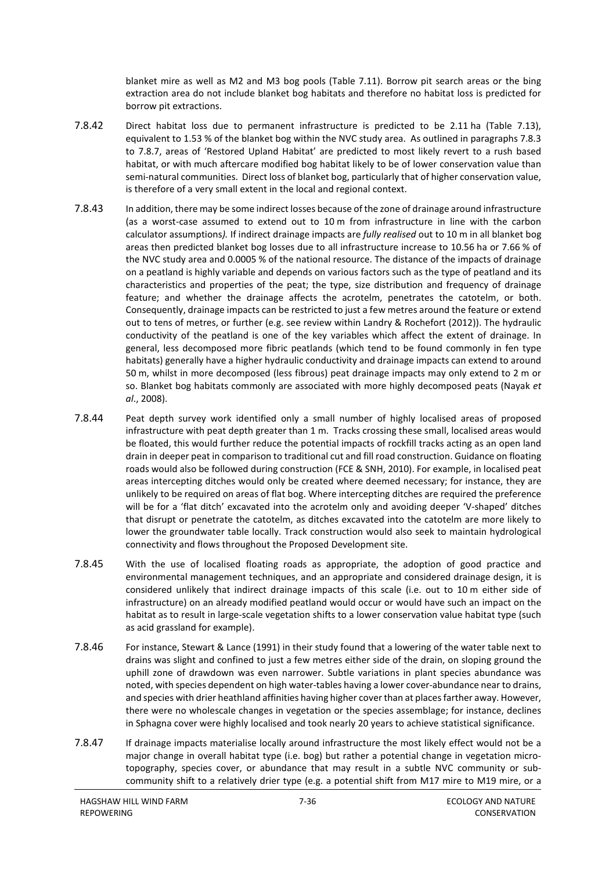blanket mire as well as M2 and M3 bog pools (Table 7.11). Borrow pit search areas or the bing extraction area do not include blanket bog habitats and therefore no habitat loss is predicted for borrow pit extractions.

- 7.8.42 Direct habitat loss due to permanent infrastructure is predicted to be 2.11 ha (Table 7.13), equivalent to 1.53 % of the blanket bog within the NVC study area. As outlined in paragraphs [7.8.3](#page-27-0) to [7.8.7,](#page-28-0) areas of 'Restored Upland Habitat' are predicted to most likely revert to a rush based habitat, or with much aftercare modified bog habitat likely to be of lower conservation value than semi-natural communities. Direct loss of blanket bog, particularly that of higher conservation value, is therefore of a very small extent in the local and regional context.
- 7.8.43 In addition, there may be some indirect losses because of the zone of drainage around infrastructure (as a worst-case assumed to extend out to 10 m from infrastructure in line with the carbon calculator assumptions*).* If indirect drainage impacts are *fully realised* out to 10 m in all blanket bog areas then predicted blanket bog losses due to all infrastructure increase to 10.56 ha or 7.66 % of the NVC study area and 0.0005 % of the national resource. The distance of the impacts of drainage on a peatland is highly variable and depends on various factors such as the type of peatland and its characteristics and properties of the peat; the type, size distribution and frequency of drainage feature; and whether the drainage affects the acrotelm, penetrates the catotelm, or both. Consequently, drainage impacts can be restricted to just a few metres around the feature or extend out to tens of metres, or further (e.g. see review within Landry & Rochefort (2012)). The hydraulic conductivity of the peatland is one of the key variables which affect the extent of drainage. In general, less decomposed more fibric peatlands (which tend to be found commonly in fen type habitats) generally have a higher hydraulic conductivity and drainage impacts can extend to around 50 m, whilst in more decomposed (less fibrous) peat drainage impacts may only extend to 2 m or so. Blanket bog habitats commonly are associated with more highly decomposed peats (Nayak *et al*., 2008).
- 7.8.44 Peat depth survey work identified only a small number of highly localised areas of proposed infrastructure with peat depth greater than 1 m. Tracks crossing these small, localised areas would be floated, this would further reduce the potential impacts of rockfill tracks acting as an open land drain in deeper peat in comparison to traditional cut and fill road construction. Guidance on floating roads would also be followed during construction (FCE & SNH, 2010). For example, in localised peat areas intercepting ditches would only be created where deemed necessary; for instance, they are unlikely to be required on areas of flat bog. Where intercepting ditches are required the preference will be for a 'flat ditch' excavated into the acrotelm only and avoiding deeper 'V-shaped' ditches that disrupt or penetrate the catotelm, as ditches excavated into the catotelm are more likely to lower the groundwater table locally. Track construction would also seek to maintain hydrological connectivity and flows throughout the Proposed Development site.
- 7.8.45 With the use of localised floating roads as appropriate, the adoption of good practice and environmental management techniques, and an appropriate and considered drainage design, it is considered unlikely that indirect drainage impacts of this scale (i.e. out to 10 m either side of infrastructure) on an already modified peatland would occur or would have such an impact on the habitat as to result in large-scale vegetation shifts to a lower conservation value habitat type (such as acid grassland for example).
- 7.8.46 For instance, Stewart & Lance (1991) in their study found that a lowering of the water table next to drains was slight and confined to just a few metres either side of the drain, on sloping ground the uphill zone of drawdown was even narrower. Subtle variations in plant species abundance was noted, with species dependent on high water-tables having a lower cover-abundance near to drains, and species with drier heathland affinities having higher cover than at places farther away. However, there were no wholescale changes in vegetation or the species assemblage; for instance, declines in Sphagna cover were highly localised and took nearly 20 years to achieve statistical significance.
- 7.8.47 If drainage impacts materialise locally around infrastructure the most likely effect would not be a major change in overall habitat type (i.e. bog) but rather a potential change in vegetation microtopography, species cover, or abundance that may result in a subtle NVC community or subcommunity shift to a relatively drier type (e.g. a potential shift from M17 mire to M19 mire, or a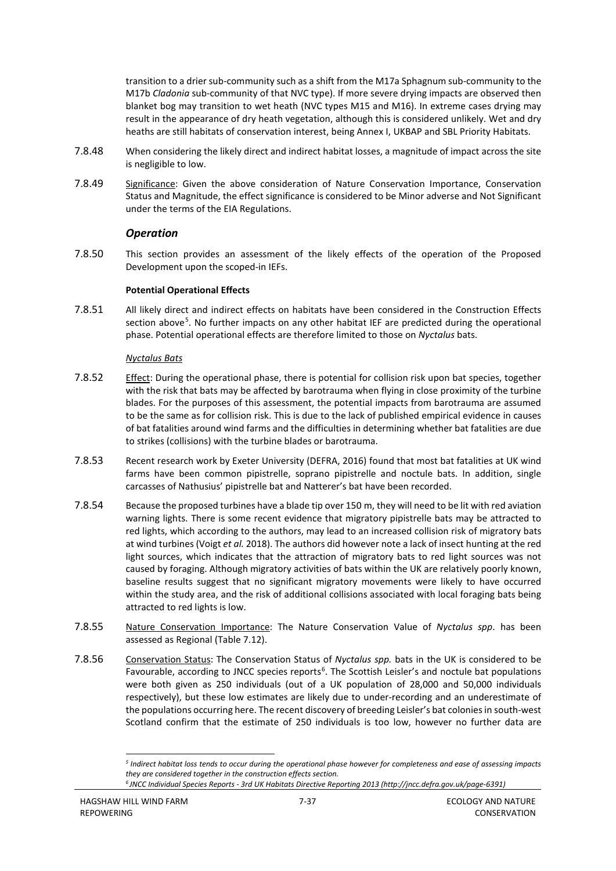transition to a drier sub-community such as a shift from the M17a Sphagnum sub-community to the M17b *Cladonia* sub-community of that NVC type). If more severe drying impacts are observed then blanket bog may transition to wet heath (NVC types M15 and M16). In extreme cases drying may result in the appearance of dry heath vegetation, although this is considered unlikely. Wet and dry heaths are still habitats of conservation interest, being Annex I, UKBAP and SBL Priority Habitats.

- 7.8.48 When considering the likely direct and indirect habitat losses, a magnitude of impact across the site is negligible to low.
- 7.8.49 Significance: Given the above consideration of Nature Conservation Importance, Conservation Status and Magnitude, the effect significance is considered to be Minor adverse and Not Significant under the terms of the EIA Regulations.

#### *Operation*

7.8.50 This section provides an assessment of the likely effects of the operation of the Proposed Development upon the scoped-in IEFs.

#### **Potential Operational Effects**

7.8.51 All likely direct and indirect effects on habitats have been considered in the Construction Effects section above<sup>[5](#page-38-0)</sup>. No further impacts on any other habitat IEF are predicted during the operational phase. Potential operational effects are therefore limited to those on *Nyctalus* bats.

#### *Nyctalus Bats*

- 7.8.52 Effect: During the operational phase, there is potential for collision risk upon bat species, together with the risk that bats may be affected by barotrauma when flying in close proximity of the turbine blades. For the purposes of this assessment, the potential impacts from barotrauma are assumed to be the same as for collision risk. This is due to the lack of published empirical evidence in causes of bat fatalities around wind farms and the difficulties in determining whether bat fatalities are due to strikes (collisions) with the turbine blades or barotrauma.
- 7.8.53 Recent research work by Exeter University (DEFRA, 2016) found that most bat fatalities at UK wind farms have been common pipistrelle, soprano pipistrelle and noctule bats. In addition, single carcasses of Nathusius' pipistrelle bat and Natterer's bat have been recorded.
- 7.8.54 Because the proposed turbines have a blade tip over 150 m, they will need to be lit with red aviation warning lights. There is some recent evidence that migratory pipistrelle bats may be attracted to red lights, which according to the authors, may lead to an increased collision risk of migratory bats at wind turbines (Voigt *et al.* 2018). The authors did however note a lack of insect hunting at the red light sources, which indicates that the attraction of migratory bats to red light sources was not caused by foraging. Although migratory activities of bats within the UK are relatively poorly known, baseline results suggest that no significant migratory movements were likely to have occurred within the study area, and the risk of additional collisions associated with local foraging bats being attracted to red lights is low.
- 7.8.55 Nature Conservation Importance: The Nature Conservation Value of *Nyctalus spp*. has been assessed as Regional (Table 7.12).
- 7.8.56 Conservation Status: The Conservation Status of *Nyctalus spp.* bats in the UK is considered to be Favourable, according to JNCC species reports<sup>[6](#page-38-1)</sup>. The Scottish Leisler's and noctule bat populations were both given as 250 individuals (out of a UK population of 28,000 and 50,000 individuals respectively), but these low estimates are likely due to under-recording and an underestimate of the populations occurring here. The recent discovery of breeding Leisler's bat colonies in south-west Scotland confirm that the estimate of 250 individuals is too low, however no further data are

<span id="page-38-0"></span> *<sup>5</sup> Indirect habitat loss tends to occur during the operational phase however for completeness and ease of assessing impacts they are considered together in the construction effects section.*

<span id="page-38-1"></span>*<sup>6</sup> JNCC Individual Species Reports - 3rd UK Habitats Directive Reporting 2013 (http://jncc.defra.gov.uk/page-6391)*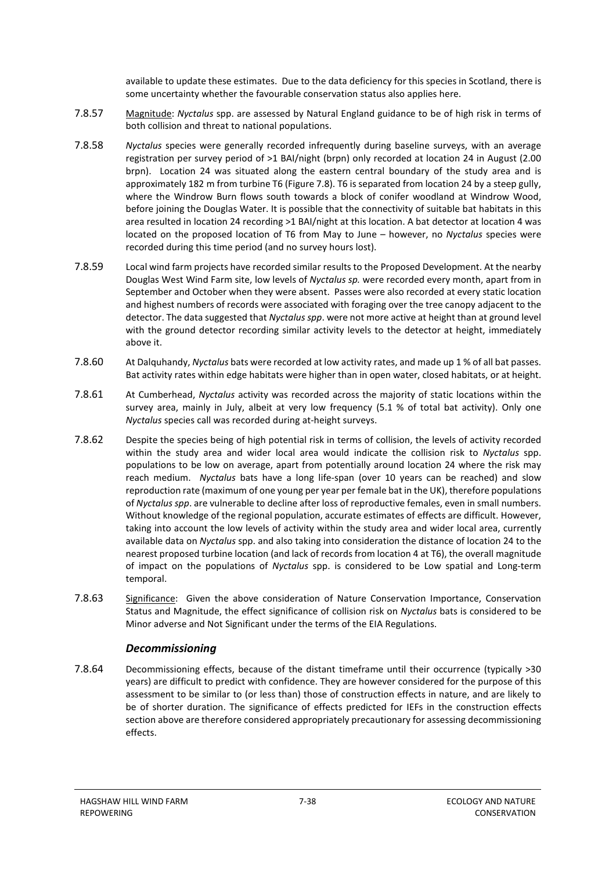available to update these estimates. Due to the data deficiency for this species in Scotland, there is some uncertainty whether the favourable conservation status also applies here.

- 7.8.57 Magnitude: *Nyctalus* spp. are assessed by Natural England guidance to be of high risk in terms of both collision and threat to national populations.
- 7.8.58 *Nyctalus* species were generally recorded infrequently during baseline surveys, with an average registration per survey period of >1 BAI/night (brpn) only recorded at location 24 in August (2.00 brpn). Location 24 was situated along the eastern central boundary of the study area and is approximately 182 m from turbine T6 (Figure 7.8). T6 is separated from location 24 by a steep gully, where the Windrow Burn flows south towards a block of conifer woodland at Windrow Wood, before joining the Douglas Water. It is possible that the connectivity of suitable bat habitats in this area resulted in location 24 recording >1 BAI/night at this location. A bat detector at location 4 was located on the proposed location of T6 from May to June – however, no *Nyctalus* species were recorded during this time period (and no survey hours lost).
- 7.8.59 Local wind farm projects have recorded similar results to the Proposed Development. At the nearby Douglas West Wind Farm site, low levels of *Nyctalus sp.* were recorded every month, apart from in September and October when they were absent. Passes were also recorded at every static location and highest numbers of records were associated with foraging over the tree canopy adjacent to the detector. The data suggested that *Nyctalus spp*. were not more active at height than at ground level with the ground detector recording similar activity levels to the detector at height, immediately above it.
- 7.8.60 At Dalquhandy, *Nyctalus* bats were recorded at low activity rates, and made up 1 % of all bat passes. Bat activity rates within edge habitats were higher than in open water, closed habitats, or at height.
- 7.8.61 At Cumberhead, *Nyctalus* activity was recorded across the majority of static locations within the survey area, mainly in July, albeit at very low frequency (5.1 % of total bat activity). Only one *Nyctalus* species call was recorded during at-height surveys.
- 7.8.62 Despite the species being of high potential risk in terms of collision, the levels of activity recorded within the study area and wider local area would indicate the collision risk to *Nyctalus* spp. populations to be low on average, apart from potentially around location 24 where the risk may reach medium. *Nyctalus* bats have a long life-span (over 10 years can be reached) and slow reproduction rate (maximum of one young per year per female bat in the UK), therefore populations of *Nyctalus spp*. are vulnerable to decline after loss of reproductive females, even in small numbers. Without knowledge of the regional population, accurate estimates of effects are difficult. However, taking into account the low levels of activity within the study area and wider local area, currently available data on *Nyctalus* spp. and also taking into consideration the distance of location 24 to the nearest proposed turbine location (and lack of records from location 4 at T6), the overall magnitude of impact on the populations of *Nyctalus* spp. is considered to be Low spatial and Long-term temporal.
- 7.8.63 Significance: Given the above consideration of Nature Conservation Importance, Conservation Status and Magnitude, the effect significance of collision risk on *Nyctalus* bats is considered to be Minor adverse and Not Significant under the terms of the EIA Regulations.

#### *Decommissioning*

<span id="page-39-0"></span>7.8.64 Decommissioning effects, because of the distant timeframe until their occurrence (typically >30 years) are difficult to predict with confidence. They are however considered for the purpose of this assessment to be similar to (or less than) those of construction effects in nature, and are likely to be of shorter duration. The significance of effects predicted for IEFs in the construction effects section above are therefore considered appropriately precautionary for assessing decommissioning effects.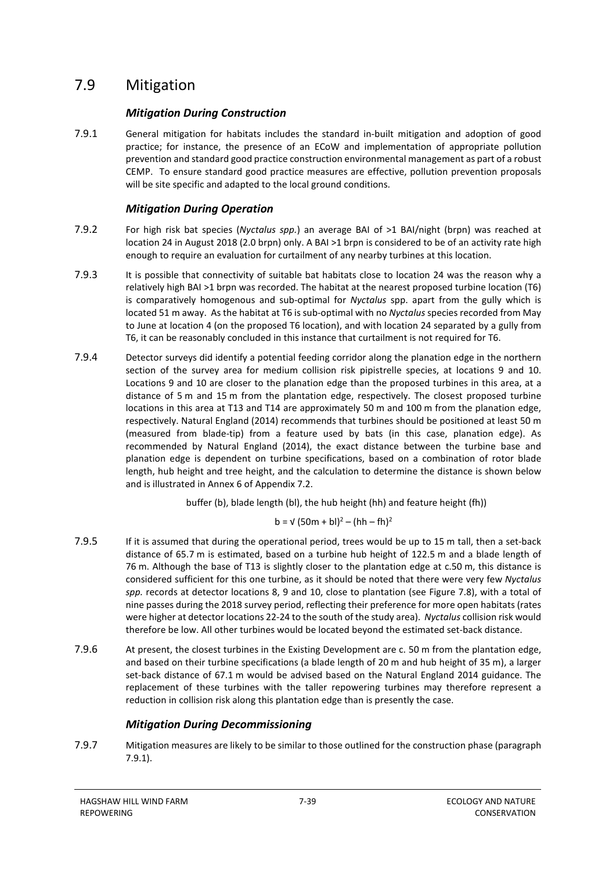# <span id="page-40-0"></span>7.9 Mitigation

## *Mitigation During Construction*

7.9.1 General mitigation for habitats includes the standard in-built mitigation and adoption of good practice; for instance, the presence of an ECoW and implementation of appropriate pollution prevention and standard good practice construction environmental management as part of a robust CEMP. To ensure standard good practice measures are effective, pollution prevention proposals will be site specific and adapted to the local ground conditions.

## *Mitigation During Operation*

- 7.9.2 For high risk bat species (*Nyctalus spp.*) an average BAI of >1 BAI/night (brpn) was reached at location 24 in August 2018 (2.0 brpn) only. A BAI >1 brpn is considered to be of an activity rate high enough to require an evaluation for curtailment of any nearby turbines at this location.
- 7.9.3 It is possible that connectivity of suitable bat habitats close to location 24 was the reason why a relatively high BAI >1 brpn was recorded. The habitat at the nearest proposed turbine location (T6) is comparatively homogenous and sub-optimal for *Nyctalus* spp. apart from the gully which is located 51 m away. As the habitat at T6 is sub-optimal with no *Nyctalus* species recorded from May to June at location 4 (on the proposed T6 location), and with location 24 separated by a gully from T6, it can be reasonably concluded in this instance that curtailment is not required for T6.
- 7.9.4 Detector surveys did identify a potential feeding corridor along the planation edge in the northern section of the survey area for medium collision risk pipistrelle species, at locations 9 and 10. Locations 9 and 10 are closer to the planation edge than the proposed turbines in this area, at a distance of 5 m and 15 m from the plantation edge, respectively. The closest proposed turbine locations in this area at T13 and T14 are approximately 50 m and 100 m from the planation edge, respectively. Natural England (2014) recommends that turbines should be positioned at least 50 m (measured from blade-tip) from a feature used by bats (in this case, planation edge). As recommended by Natural England (2014), the exact distance between the turbine base and planation edge is dependent on turbine specifications, based on a combination of rotor blade length, hub height and tree height, and the calculation to determine the distance is shown below and is illustrated in Annex 6 of Appendix 7.2.

buffer (b), blade length (bl), the hub height (hh) and feature height (fh))

$$
b = \sqrt{(50m + bl)^2 - (hh - fh)^2}
$$

- 7.9.5 If it is assumed that during the operational period, trees would be up to 15 m tall, then a set-back distance of 65.7 m is estimated, based on a turbine hub height of 122.5 m and a blade length of 76 m. Although the base of T13 is slightly closer to the plantation edge at c.50 m, this distance is considered sufficient for this one turbine, as it should be noted that there were very few *Nyctalus spp.* records at detector locations 8, 9 and 10, close to plantation (see Figure 7.8), with a total of nine passes during the 2018 survey period, reflecting their preference for more open habitats (rates were higher at detector locations 22-24 to the south of the study area). *Nyctalus* collision risk would therefore be low. All other turbines would be located beyond the estimated set-back distance.
- 7.9.6 At present, the closest turbines in the Existing Development are c. 50 m from the plantation edge, and based on their turbine specifications (a blade length of 20 m and hub height of 35 m), a larger set-back distance of 67.1 m would be advised based on the Natural England 2014 guidance. The replacement of these turbines with the taller repowering turbines may therefore represent a reduction in collision risk along this plantation edge than is presently the case.

# *Mitigation During Decommissioning*

7.9.7 Mitigation measures are likely to be similar to those outlined for the construction phase (paragraph 7.9.1).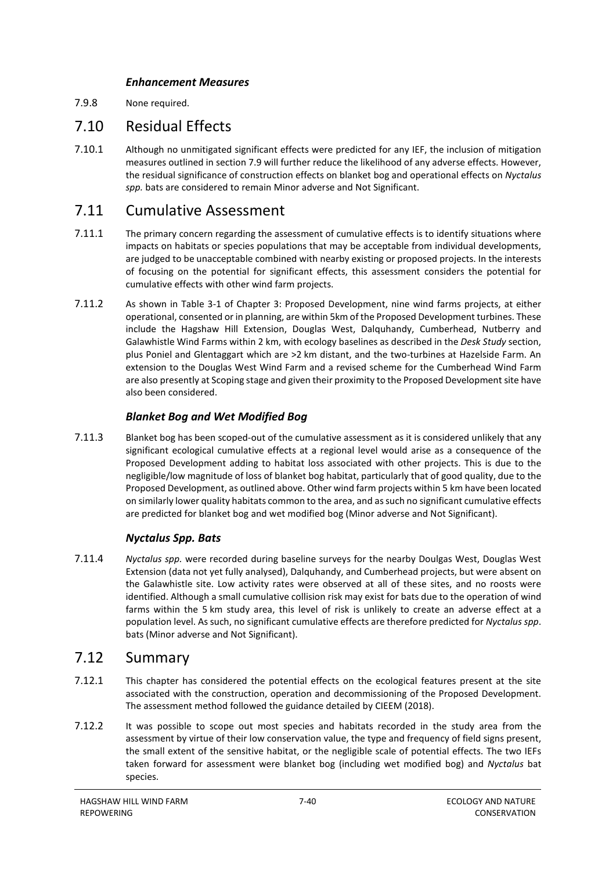### *Enhancement Measures*

7.9.8 None required.

# <span id="page-41-0"></span>7.10 Residual Effects

7.10.1 Although no unmitigated significant effects were predicted for any IEF, the inclusion of mitigation measures outlined in sectio[n 7.9](#page-39-0) will further reduce the likelihood of any adverse effects. However, the residual significance of construction effects on blanket bog and operational effects on *Nyctalus spp.* bats are considered to remain Minor adverse and Not Significant.

# <span id="page-41-1"></span>7.11 Cumulative Assessment

- 7.11.1 The primary concern regarding the assessment of cumulative effects is to identify situations where impacts on habitats or species populations that may be acceptable from individual developments, are judged to be unacceptable combined with nearby existing or proposed projects. In the interests of focusing on the potential for significant effects, this assessment considers the potential for cumulative effects with other wind farm projects.
- 7.11.2 As shown in Table 3-1 of Chapter 3: Proposed Development, nine wind farms projects, at either operational, consented or in planning, are within 5km of the Proposed Development turbines. These include the Hagshaw Hill Extension, Douglas West, Dalquhandy, Cumberhead, Nutberry and Galawhistle Wind Farms within 2 km, with ecology baselines as described in the *Desk Study* section, plus Poniel and Glentaggart which are >2 km distant, and the two-turbines at Hazelside Farm. An extension to the Douglas West Wind Farm and a revised scheme for the Cumberhead Wind Farm are also presently at Scoping stage and given their proximity to the Proposed Development site have also been considered.

### *Blanket Bog and Wet Modified Bog*

7.11.3 Blanket bog has been scoped-out of the cumulative assessment as it is considered unlikely that any significant ecological cumulative effects at a regional level would arise as a consequence of the Proposed Development adding to habitat loss associated with other projects. This is due to the negligible/low magnitude of loss of blanket bog habitat, particularly that of good quality, due to the Proposed Development, as outlined above. Other wind farm projects within 5 km have been located on similarly lower quality habitats common to the area, and as such no significant cumulative effects are predicted for blanket bog and wet modified bog (Minor adverse and Not Significant).

### *Nyctalus Spp. Bats*

7.11.4 *Nyctalus spp.* were recorded during baseline surveys for the nearby Doulgas West, Douglas West Extension (data not yet fully analysed), Dalquhandy, and Cumberhead projects, but were absent on the Galawhistle site. Low activity rates were observed at all of these sites, and no roosts were identified. Although a small cumulative collision risk may exist for bats due to the operation of wind farms within the 5 km study area, this level of risk is unlikely to create an adverse effect at a population level. As such, no significant cumulative effects are therefore predicted for *Nyctalus spp*. bats (Minor adverse and Not Significant).

# <span id="page-41-2"></span>7.12 Summary

- 7.12.1 This chapter has considered the potential effects on the ecological features present at the site associated with the construction, operation and decommissioning of the Proposed Development. The assessment method followed the guidance detailed by CIEEM (2018).
- 7.12.2 It was possible to scope out most species and habitats recorded in the study area from the assessment by virtue of their low conservation value, the type and frequency of field signs present, the small extent of the sensitive habitat, or the negligible scale of potential effects. The two IEFs taken forward for assessment were blanket bog (including wet modified bog) and *Nyctalus* bat species.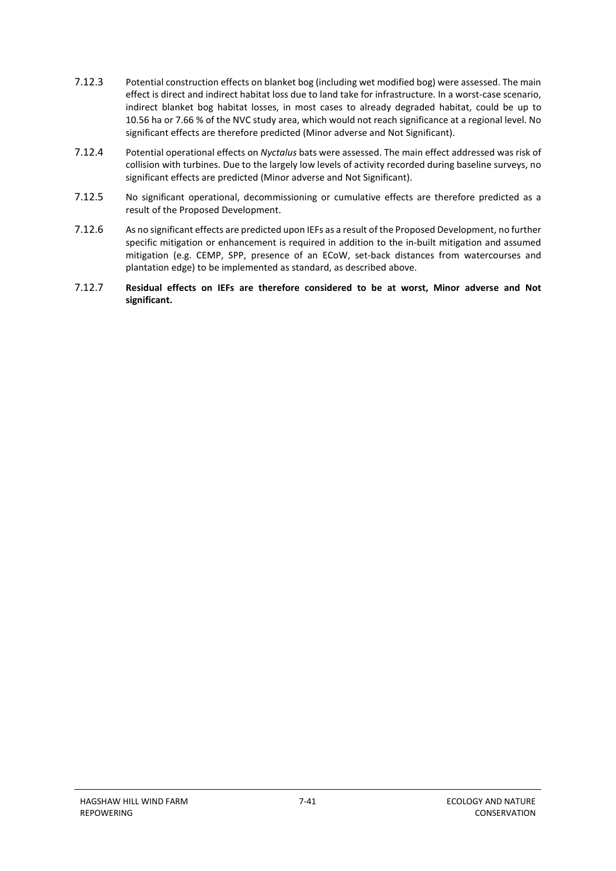- 7.12.3 Potential construction effects on blanket bog (including wet modified bog) were assessed. The main effect is direct and indirect habitat loss due to land take for infrastructure. In a worst-case scenario, indirect blanket bog habitat losses, in most cases to already degraded habitat, could be up to 10.56 ha or 7.66 % of the NVC study area, which would not reach significance at a regional level. No significant effects are therefore predicted (Minor adverse and Not Significant).
- 7.12.4 Potential operational effects on *Nyctalus* bats were assessed. The main effect addressed was risk of collision with turbines. Due to the largely low levels of activity recorded during baseline surveys, no significant effects are predicted (Minor adverse and Not Significant).
- 7.12.5 No significant operational, decommissioning or cumulative effects are therefore predicted as a result of the Proposed Development.
- 7.12.6 As no significant effects are predicted upon IEFs as a result of the Proposed Development, no further specific mitigation or enhancement is required in addition to the in-built mitigation and assumed mitigation (e.g. CEMP, SPP, presence of an ECoW, set-back distances from watercourses and plantation edge) to be implemented as standard, as described above.
- 7.12.7 **Residual effects on IEFs are therefore considered to be at worst, Minor adverse and Not significant.**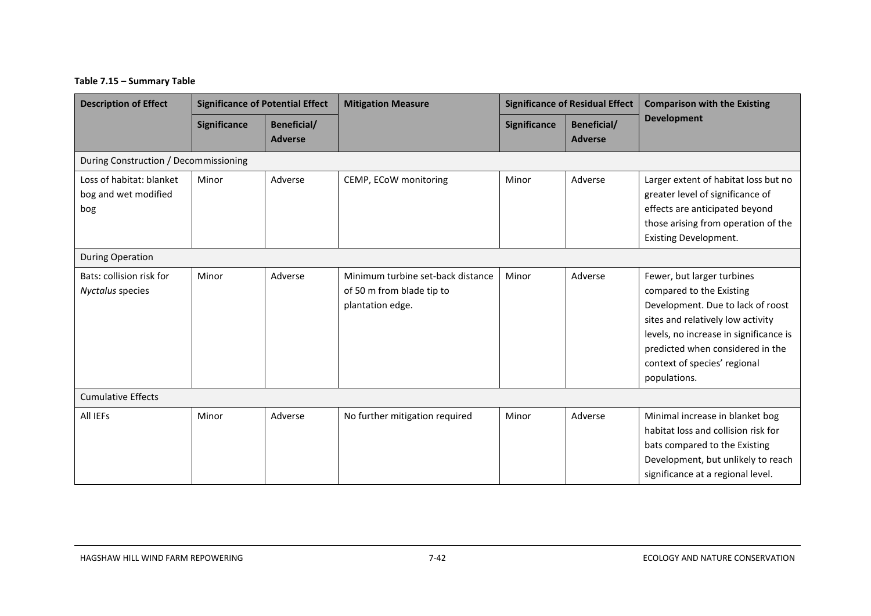#### **Table 7.15 – Summary Table**

| <b>Description of Effect</b>                            | <b>Significance of Potential Effect</b> |                                      | <b>Mitigation Measure</b>                                                          | <b>Significance of Residual Effect</b> |                               | <b>Comparison with the Existing</b>                                                                                                                                                                                                                            |  |  |  |  |  |
|---------------------------------------------------------|-----------------------------------------|--------------------------------------|------------------------------------------------------------------------------------|----------------------------------------|-------------------------------|----------------------------------------------------------------------------------------------------------------------------------------------------------------------------------------------------------------------------------------------------------------|--|--|--|--|--|
|                                                         | <b>Significance</b>                     | <b>Beneficial/</b><br><b>Adverse</b> |                                                                                    | <b>Significance</b>                    | Beneficial/<br><b>Adverse</b> | <b>Development</b>                                                                                                                                                                                                                                             |  |  |  |  |  |
| During Construction / Decommissioning                   |                                         |                                      |                                                                                    |                                        |                               |                                                                                                                                                                                                                                                                |  |  |  |  |  |
| Loss of habitat: blanket<br>bog and wet modified<br>bog | Minor                                   | Adverse                              | CEMP, ECoW monitoring                                                              | Minor                                  | Adverse                       | Larger extent of habitat loss but no<br>greater level of significance of<br>effects are anticipated beyond<br>those arising from operation of the<br><b>Existing Development.</b>                                                                              |  |  |  |  |  |
| <b>During Operation</b>                                 |                                         |                                      |                                                                                    |                                        |                               |                                                                                                                                                                                                                                                                |  |  |  |  |  |
| Bats: collision risk for<br>Nyctalus species            | Minor                                   | Adverse                              | Minimum turbine set-back distance<br>of 50 m from blade tip to<br>plantation edge. | Minor                                  | Adverse                       | Fewer, but larger turbines<br>compared to the Existing<br>Development. Due to lack of roost<br>sites and relatively low activity<br>levels, no increase in significance is<br>predicted when considered in the<br>context of species' regional<br>populations. |  |  |  |  |  |
| <b>Cumulative Effects</b>                               |                                         |                                      |                                                                                    |                                        |                               |                                                                                                                                                                                                                                                                |  |  |  |  |  |
| All IEFs                                                | Minor                                   | Adverse                              | No further mitigation required                                                     | Minor                                  | Adverse                       | Minimal increase in blanket bog<br>habitat loss and collision risk for<br>bats compared to the Existing<br>Development, but unlikely to reach<br>significance at a regional level.                                                                             |  |  |  |  |  |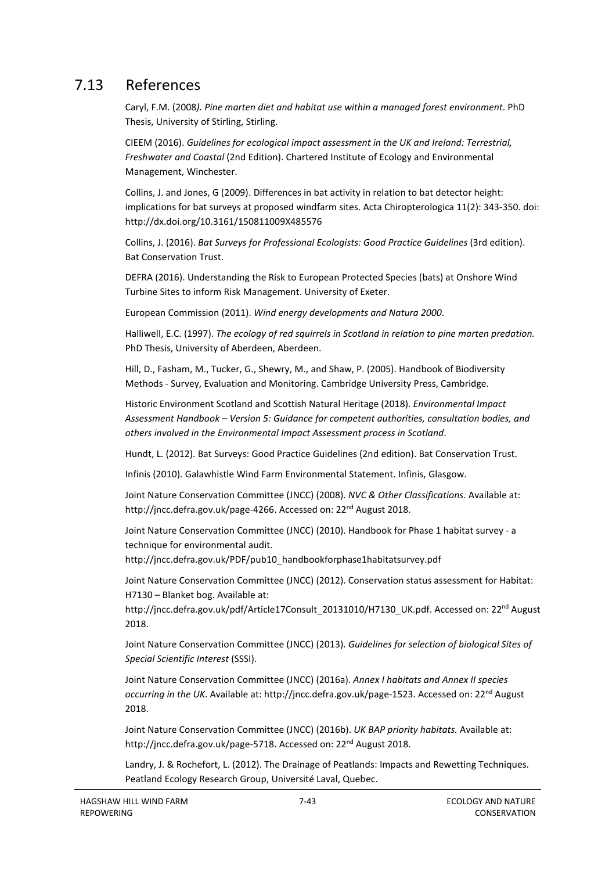# <span id="page-44-0"></span>7.13 References

Caryl, F.M. (2008*). Pine marten diet and habitat use within a managed forest environment*. PhD Thesis, University of Stirling, Stirling.

CIEEM (2016). *Guidelines for ecological impact assessment in the UK and Ireland: Terrestrial, Freshwater and Coastal* (2nd Edition). Chartered Institute of Ecology and Environmental Management, Winchester.

Collins, J. and Jones, G (2009). Differences in bat activity in relation to bat detector height: implications for bat surveys at proposed windfarm sites. Acta Chiropterologica 11(2): 343-350. doi: http://dx.doi.org/10.3161/150811009X485576

Collins, J. (2016). *Bat Surveys for Professional Ecologists: Good Practice Guidelines* (3rd edition). Bat Conservation Trust.

DEFRA (2016). Understanding the Risk to European Protected Species (bats) at Onshore Wind Turbine Sites to inform Risk Management. University of Exeter.

European Commission (2011). *Wind energy developments and Natura 2000*.

Halliwell, E.C. (1997). *The ecology of red squirrels in Scotland in relation to pine marten predation.* PhD Thesis, University of Aberdeen, Aberdeen.

Hill, D., Fasham, M., Tucker, G., Shewry, M., and Shaw, P. (2005). Handbook of Biodiversity Methods - Survey, Evaluation and Monitoring. Cambridge University Press, Cambridge.

Historic Environment Scotland and Scottish Natural Heritage (2018). *Environmental Impact Assessment Handbook – Version 5: Guidance for competent authorities, consultation bodies, and others involved in the Environmental Impact Assessment process in Scotland*.

Hundt, L. (2012). Bat Surveys: Good Practice Guidelines (2nd edition). Bat Conservation Trust.

Infinis (2010). Galawhistle Wind Farm Environmental Statement. Infinis, Glasgow.

Joint Nature Conservation Committee (JNCC) (2008). *NVC & Other Classifications*. Available at: http://jncc.defra.gov.uk/page-4266. Accessed on: 22<sup>nd</sup> August 2018.

Joint Nature Conservation Committee (JNCC) (2010). Handbook for Phase 1 habitat survey - a technique for environmental audit.

http://jncc.defra.gov.uk/PDF/pub10\_handbookforphase1habitatsurvey.pdf

Joint Nature Conservation Committee (JNCC) (2012). Conservation status assessment for Habitat: H7130 – Blanket bog. Available at:

http://jncc.defra.gov.uk/pdf/Article17Consult\_20131010/H7130\_UK.pdf. Accessed on: 22<sup>nd</sup> August 2018.

Joint Nature Conservation Committee (JNCC) (2013). *Guidelines for selection of biological Sites of Special Scientific Interest* (SSSI).

Joint Nature Conservation Committee (JNCC) (2016a). *Annex I habitats and Annex II species occurring in the UK*. Available at: http://jncc.defra.gov.uk/page-1523. Accessed on: 22nd August 2018.

Joint Nature Conservation Committee (JNCC) (2016b). *UK BAP priority habitats.* Available at: http://jncc.defra.gov.uk/page-5718. Accessed on: 22<sup>nd</sup> August 2018.

Landry, J. & Rochefort, L. (2012). The Drainage of Peatlands: Impacts and Rewetting Techniques. Peatland Ecology Research Group, Université Laval, Quebec.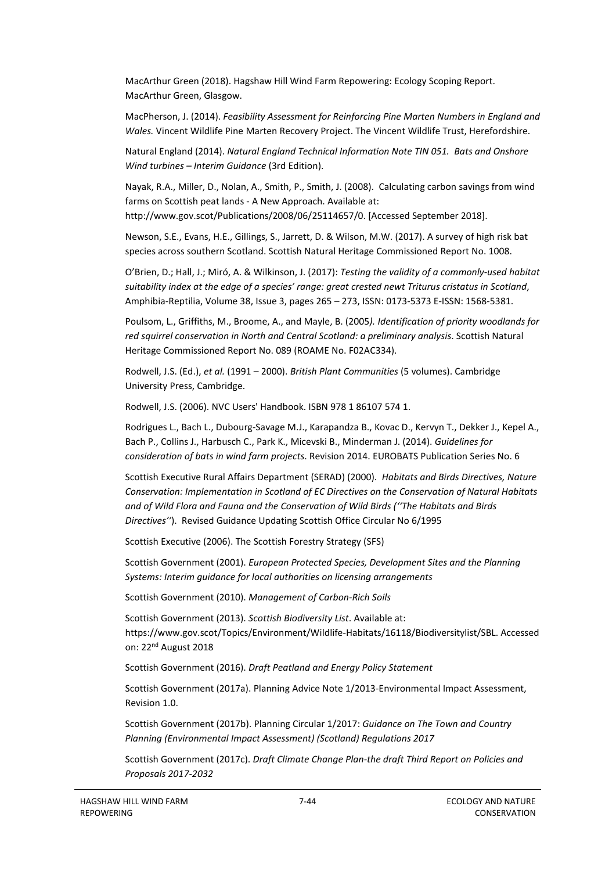MacArthur Green (2018). Hagshaw Hill Wind Farm Repowering: Ecology Scoping Report. MacArthur Green, Glasgow.

MacPherson, J. (2014). *Feasibility Assessment for Reinforcing Pine Marten Numbers in England and Wales.* Vincent Wildlife Pine Marten Recovery Project. The Vincent Wildlife Trust, Herefordshire.

Natural England (2014). *Natural England Technical Information Note TIN 051. Bats and Onshore Wind turbines – Interim Guidance* (3rd Edition).

Nayak, R.A., Miller, D., Nolan, A., Smith, P., Smith, J. (2008). Calculating carbon savings from wind farms on Scottish peat lands - A New Approach. Available at: http://www.gov.scot/Publications/2008/06/25114657/0. [Accessed September 2018].

Newson, S.E., Evans, H.E., Gillings, S., Jarrett, D. & Wilson, M.W. (2017). A survey of high risk bat species across southern Scotland. Scottish Natural Heritage Commissioned Report No. 1008.

O'Brien, D.; Hall, J.; Miró, A. & Wilkinson, J. (2017): *Testing the validity of a commonly-used habitat suitability index at the edge of a species' range: great crested newt Triturus cristatus in Scotland*, Amphibia-Reptilia, Volume 38, Issue 3, pages 265 – 273, ISSN: 0173-5373 E-ISSN: 1568-5381.

Poulsom, L., Griffiths, M., Broome, A., and Mayle, B. (2005*). Identification of priority woodlands for red squirrel conservation in North and Central Scotland: a preliminary analysis*. Scottish Natural Heritage Commissioned Report No. 089 (ROAME No. F02AC334).

Rodwell, J.S. (Ed.), *et al.* (1991 – 2000). *British Plant Communities* (5 volumes). Cambridge University Press, Cambridge.

Rodwell, J.S. (2006). NVC Users' Handbook. ISBN 978 1 86107 574 1.

Rodrigues L., Bach L., Dubourg-Savage M.J., Karapandza B., Kovac D., Kervyn T., Dekker J., Kepel A., Bach P., Collins J., Harbusch C., Park K., Micevski B., Minderman J. (2014). *Guidelines for consideration of bats in wind farm projects*. Revision 2014. EUROBATS Publication Series No. 6

Scottish Executive Rural Affairs Department (SERAD) (2000). *Habitats and Birds Directives, Nature Conservation: Implementation in Scotland of EC Directives on the Conservation of Natural Habitats and of Wild Flora and Fauna and the Conservation of Wild Birds (''The Habitats and Birds Directives''*). Revised Guidance Updating Scottish Office Circular No 6/1995

Scottish Executive (2006). The Scottish Forestry Strategy (SFS)

Scottish Government (2001). *European Protected Species, Development Sites and the Planning Systems: Interim guidance for local authorities on licensing arrangements*

Scottish Government (2010). *Management of Carbon-Rich Soils*

Scottish Government (2013). *Scottish Biodiversity List*. Available at: https://www.gov.scot/Topics/Environment/Wildlife-Habitats/16118/Biodiversitylist/SBL. Accessed on: 22<sup>nd</sup> August 2018

Scottish Government (2016). *Draft Peatland and Energy Policy Statement*

Scottish Government (2017a). Planning Advice Note 1/2013-Environmental Impact Assessment, Revision 1.0.

Scottish Government (2017b). Planning Circular 1/2017: *Guidance on The Town and Country Planning (Environmental Impact Assessment) (Scotland) Regulations 2017*

Scottish Government (2017c). *Draft Climate Change Plan-the draft Third Report on Policies and Proposals 2017-2032*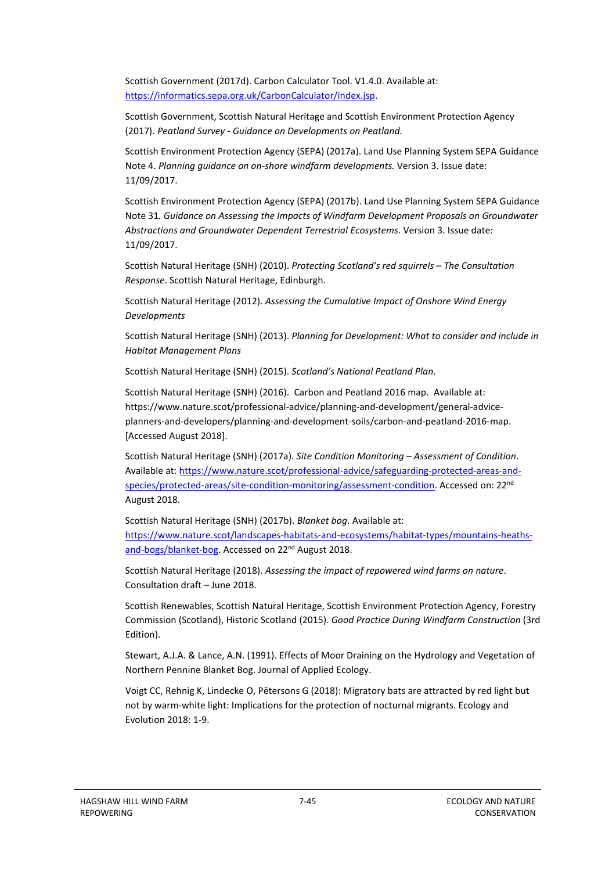Scottish Government (2017d). Carbon Calculator Tool. V1.4.0. Available at: [https://informatics.sepa.org.uk/CarbonCalculator/index.jsp.](https://informatics.sepa.org.uk/CarbonCalculator/index.jsp)

Scottish Government, Scottish Natural Heritage and Scottish Environment Protection Agency (2017). *Peatland Survey - Guidance on Developments on Peatland.*

Scottish Environment Protection Agency (SEPA) (2017a). Land Use Planning System SEPA Guidance Note 4. *Planning guidance on on-shore windfarm developments.* Version 3. Issue date: 11/09/2017.

Scottish Environment Protection Agency (SEPA) (2017b). Land Use Planning System SEPA Guidance Note 31*. Guidance on Assessing the Impacts of Windfarm Development Proposals on Groundwater Abstractions and Groundwater Dependent Terrestrial Ecosystems*. Version 3. Issue date: 11/09/2017.

Scottish Natural Heritage (SNH) (2010). *Protecting Scotland's red squirrels – The Consultation Response*. Scottish Natural Heritage, Edinburgh.

Scottish Natural Heritage (2012). *Assessing the Cumulative Impact of Onshore Wind Energy Developments*

Scottish Natural Heritage (SNH) (2013). *Planning for Development: What to consider and include in Habitat Management Plans*

Scottish Natural Heritage (SNH) (2015). *Scotland's National Peatland Plan.*

Scottish Natural Heritage (SNH) (2016). Carbon and Peatland 2016 map. Available at: https://www.nature.scot/professional-advice/planning-and-development/general-adviceplanners-and-developers/planning-and-development-soils/carbon-and-peatland-2016-map. [Accessed August 2018].

Scottish Natural Heritage (SNH) (2017a). *Site Condition Monitoring – Assessment of Condition*. Available at: [https://www.nature.scot/professional-advice/safeguarding-protected-areas-and](https://www.nature.scot/professional-advice/safeguarding-protected-areas-and-species/protected-areas/site-condition-monitoring/assessment-condition)[species/protected-areas/site-condition-monitoring/assessment-condition.](https://www.nature.scot/professional-advice/safeguarding-protected-areas-and-species/protected-areas/site-condition-monitoring/assessment-condition) Accessed on: 22<sup>nd</sup> August 2018.

Scottish Natural Heritage (SNH) (2017b). *Blanket bog*. Available at: [https://www.nature.scot/landscapes-habitats-and-ecosystems/habitat-types/mountains-heaths](https://www.nature.scot/landscapes-habitats-and-ecosystems/habitat-types/mountains-heaths-and-bogs/blanket-bog)[and-bogs/blanket-bog.](https://www.nature.scot/landscapes-habitats-and-ecosystems/habitat-types/mountains-heaths-and-bogs/blanket-bog) Accessed on 22<sup>nd</sup> August 2018.

Scottish Natural Heritage (2018). *Assessing the impact of repowered wind farms on nature*. Consultation draft – June 2018.

Scottish Renewables, Scottish Natural Heritage, Scottish Environment Protection Agency, Forestry Commission (Scotland), Historic Scotland (2015). *Good Practice During Windfarm Construction* (3rd Edition).

Stewart, A.J.A. & Lance, A.N. (1991). Effects of Moor Draining on the Hydrology and Vegetation of Northern Pennine Blanket Bog. Journal of Applied Ecology.

Voigt CC, Rehnig K, Lindecke O, Pētersons G (2018): Migratory bats are attracted by red light but not by warm-white light: Implications for the protection of nocturnal migrants. Ecology and Evolution 2018: 1-9.